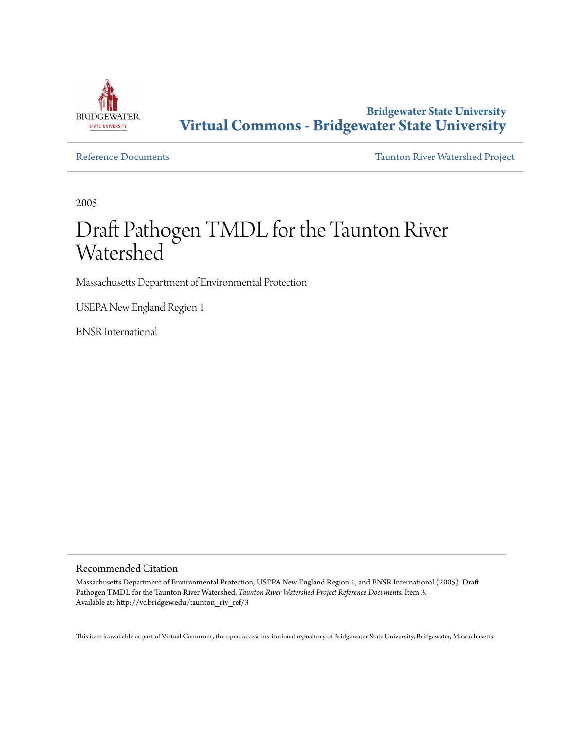

**Bridgewater State University [Virtual Commons - Bridgewater State University](http://vc.bridgew.edu)**

[Reference Documents](http://vc.bridgew.edu/taunton_riv_ref) [Taunton River Watershed Project](http://vc.bridgew.edu/taunton_riv)

2005

# Draft Pathogen TMDL for the Taunton River Watershed

Massachusetts Department of Environmental Protection

USEPA New England Region 1

ENSR International

#### Recommended Citation

Massachusetts Department of Environmental Protection, USEPA New England Region 1, and ENSR International (2005). Draft Pathogen TMDL for the Taunton River Watershed. *Taunton River Watershed Project Reference Documents.* Item 3. Available at: http://vc.bridgew.edu/taunton\_riv\_ref/3

This item is available as part of Virtual Commons, the open-access institutional repository of Bridgewater State University, Bridgewater, Massachusetts.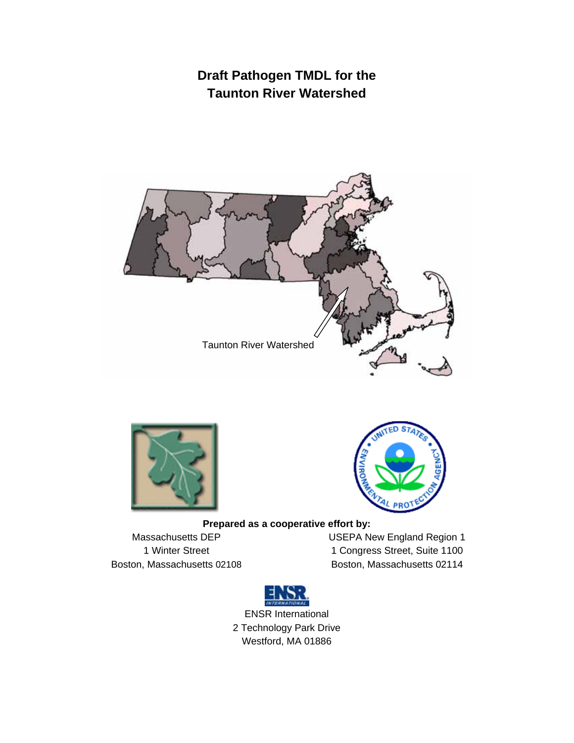# **Draft Pathogen TMDL for the Taunton River Watershed**







#### **Prepared as a cooperative effort by:**

Massachusetts DEP 1 Winter Street Boston, Massachusetts 02108 USEPA New England Region 1 1 Congress Street, Suite 1100 Boston, Massachusetts 02114



ENSR International 2 Technology Park Drive Westford, MA 01886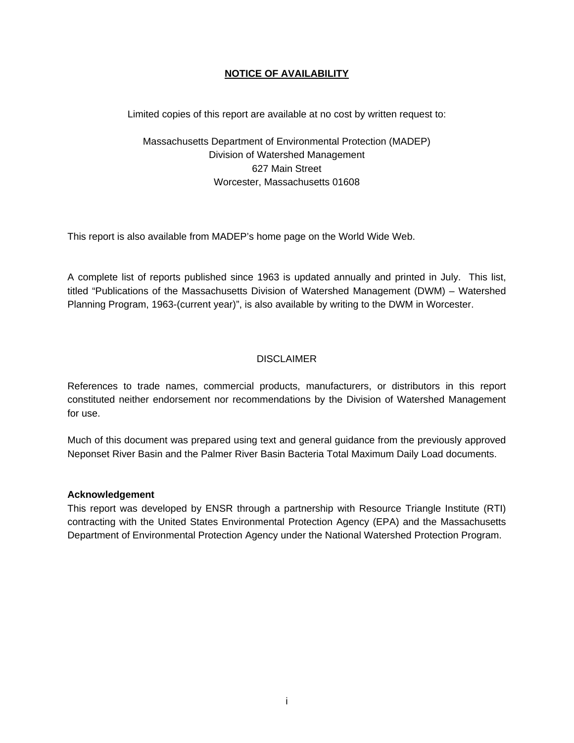#### **NOTICE OF AVAILABILITY**

Limited copies of this report are available at no cost by written request to:

Massachusetts Department of Environmental Protection (MADEP) Division of Watershed Management 627 Main Street Worcester, Massachusetts 01608

This report is also available from MADEP's home page on the World Wide Web.

A complete list of reports published since 1963 is updated annually and printed in July. This list, titled "Publications of the Massachusetts Division of Watershed Management (DWM) – Watershed Planning Program, 1963-(current year)", is also available by writing to the DWM in Worcester.

#### **DISCLAIMER**

References to trade names, commercial products, manufacturers, or distributors in this report constituted neither endorsement nor recommendations by the Division of Watershed Management for use.

Much of this document was prepared using text and general guidance from the previously approved Neponset River Basin and the Palmer River Basin Bacteria Total Maximum Daily Load documents.

#### **Acknowledgement**

This report was developed by ENSR through a partnership with Resource Triangle Institute (RTI) contracting with the United States Environmental Protection Agency (EPA) and the Massachusetts Department of Environmental Protection Agency under the National Watershed Protection Program.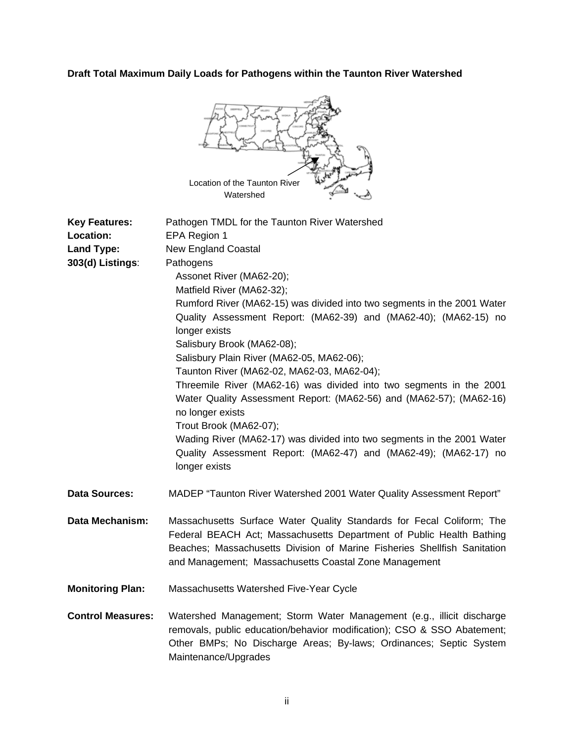## **Draft Total Maximum Daily Loads for Pathogens within the Taunton River Watershed**



| <b>Key Features:</b><br>Location:<br>Land Type:<br>303(d) Listings: | Pathogen TMDL for the Taunton River Watershed<br>EPA Region 1<br><b>New England Coastal</b><br>Pathogens<br>Assonet River (MA62-20);<br>Matfield River (MA62-32);<br>Rumford River (MA62-15) was divided into two segments in the 2001 Water<br>Quality Assessment Report: (MA62-39) and (MA62-40); (MA62-15) no<br>longer exists<br>Salisbury Brook (MA62-08);<br>Salisbury Plain River (MA62-05, MA62-06);<br>Taunton River (MA62-02, MA62-03, MA62-04);<br>Threemile River (MA62-16) was divided into two segments in the 2001<br>Water Quality Assessment Report: (MA62-56) and (MA62-57); (MA62-16)<br>no longer exists<br>Trout Brook (MA62-07);<br>Wading River (MA62-17) was divided into two segments in the 2001 Water<br>Quality Assessment Report: (MA62-47) and (MA62-49); (MA62-17) no<br>longer exists |
|---------------------------------------------------------------------|-----------------------------------------------------------------------------------------------------------------------------------------------------------------------------------------------------------------------------------------------------------------------------------------------------------------------------------------------------------------------------------------------------------------------------------------------------------------------------------------------------------------------------------------------------------------------------------------------------------------------------------------------------------------------------------------------------------------------------------------------------------------------------------------------------------------------|
| <b>Data Sources:</b>                                                | MADEP "Taunton River Watershed 2001 Water Quality Assessment Report"                                                                                                                                                                                                                                                                                                                                                                                                                                                                                                                                                                                                                                                                                                                                                  |
| <b>Data Mechanism:</b>                                              | Massachusetts Surface Water Quality Standards for Fecal Coliform; The<br>Federal BEACH Act; Massachusetts Department of Public Health Bathing<br>Beaches; Massachusetts Division of Marine Fisheries Shellfish Sanitation<br>and Management; Massachusetts Coastal Zone Management                                                                                                                                                                                                                                                                                                                                                                                                                                                                                                                                    |
| <b>Monitoring Plan:</b>                                             | Massachusetts Watershed Five-Year Cycle                                                                                                                                                                                                                                                                                                                                                                                                                                                                                                                                                                                                                                                                                                                                                                               |
| <b>Control Measures:</b>                                            | Watershed Management; Storm Water Management (e.g., illicit discharge<br>removals, public education/behavior modification); CSO & SSO Abatement;<br>Other BMPs; No Discharge Areas; By-laws; Ordinances; Septic System<br>Maintenance/Upgrades                                                                                                                                                                                                                                                                                                                                                                                                                                                                                                                                                                        |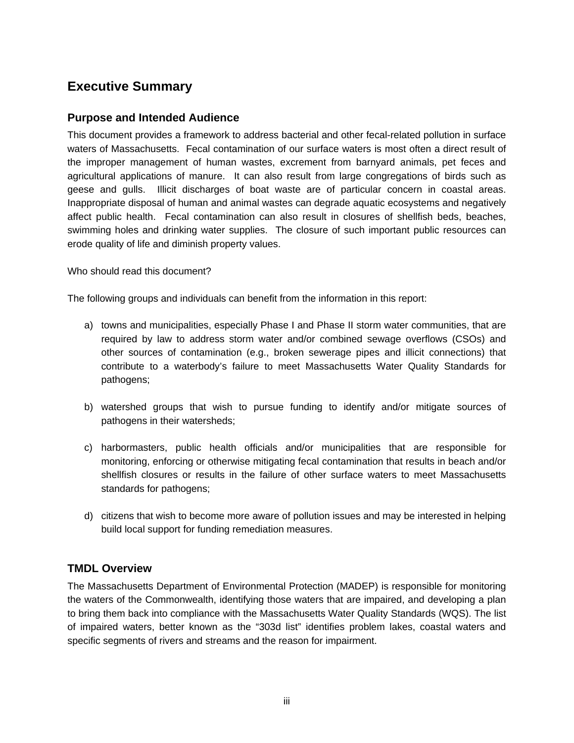# **Executive Summary**

#### **Purpose and Intended Audience**

This document provides a framework to address bacterial and other fecal-related pollution in surface waters of Massachusetts. Fecal contamination of our surface waters is most often a direct result of the improper management of human wastes, excrement from barnyard animals, pet feces and agricultural applications of manure. It can also result from large congregations of birds such as geese and gulls. Illicit discharges of boat waste are of particular concern in coastal areas. Inappropriate disposal of human and animal wastes can degrade aquatic ecosystems and negatively affect public health. Fecal contamination can also result in closures of shellfish beds, beaches, swimming holes and drinking water supplies. The closure of such important public resources can erode quality of life and diminish property values.

Who should read this document?

The following groups and individuals can benefit from the information in this report:

- a) towns and municipalities, especially Phase I and Phase II storm water communities, that are required by law to address storm water and/or combined sewage overflows (CSOs) and other sources of contamination (e.g., broken sewerage pipes and illicit connections) that contribute to a waterbody's failure to meet Massachusetts Water Quality Standards for pathogens;
- b) watershed groups that wish to pursue funding to identify and/or mitigate sources of pathogens in their watersheds;
- c) harbormasters, public health officials and/or municipalities that are responsible for monitoring, enforcing or otherwise mitigating fecal contamination that results in beach and/or shellfish closures or results in the failure of other surface waters to meet Massachusetts standards for pathogens;
- d) citizens that wish to become more aware of pollution issues and may be interested in helping build local support for funding remediation measures.

## **TMDL Overview**

The Massachusetts Department of Environmental Protection (MADEP) is responsible for monitoring the waters of the Commonwealth, identifying those waters that are impaired, and developing a plan to bring them back into compliance with the Massachusetts Water Quality Standards (WQS). The list of impaired waters, better known as the "303d list" identifies problem lakes, coastal waters and specific segments of rivers and streams and the reason for impairment.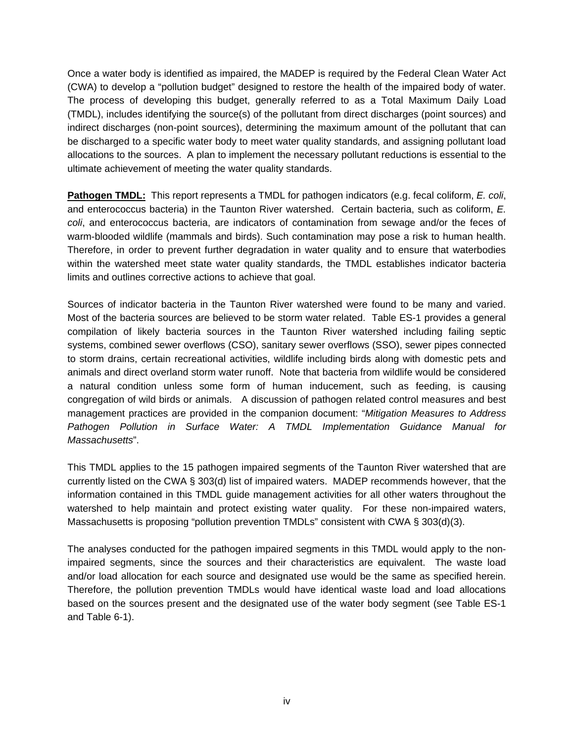Once a water body is identified as impaired, the MADEP is required by the Federal Clean Water Act (CWA) to develop a "pollution budget" designed to restore the health of the impaired body of water. The process of developing this budget, generally referred to as a Total Maximum Daily Load (TMDL), includes identifying the source(s) of the pollutant from direct discharges (point sources) and indirect discharges (non-point sources), determining the maximum amount of the pollutant that can be discharged to a specific water body to meet water quality standards, and assigning pollutant load allocations to the sources. A plan to implement the necessary pollutant reductions is essential to the ultimate achievement of meeting the water quality standards.

**Pathogen TMDL:** This report represents a TMDL for pathogen indicators (e.g. fecal coliform, *E. coli*, and enterococcus bacteria) in the Taunton River watershed. Certain bacteria, such as coliform, *E. coli*, and enterococcus bacteria, are indicators of contamination from sewage and/or the feces of warm-blooded wildlife (mammals and birds). Such contamination may pose a risk to human health. Therefore, in order to prevent further degradation in water quality and to ensure that waterbodies within the watershed meet state water quality standards, the TMDL establishes indicator bacteria limits and outlines corrective actions to achieve that goal.

Sources of indicator bacteria in the Taunton River watershed were found to be many and varied. Most of the bacteria sources are believed to be storm water related. Table ES-1 provides a general compilation of likely bacteria sources in the Taunton River watershed including failing septic systems, combined sewer overflows (CSO), sanitary sewer overflows (SSO), sewer pipes connected to storm drains, certain recreational activities, wildlife including birds along with domestic pets and animals and direct overland storm water runoff. Note that bacteria from wildlife would be considered a natural condition unless some form of human inducement, such as feeding, is causing congregation of wild birds or animals. A discussion of pathogen related control measures and best management practices are provided in the companion document: "*Mitigation Measures to Address Pathogen Pollution in Surface Water: A TMDL Implementation Guidance Manual for Massachusetts*".

This TMDL applies to the 15 pathogen impaired segments of the Taunton River watershed that are currently listed on the CWA § 303(d) list of impaired waters. MADEP recommends however, that the information contained in this TMDL guide management activities for all other waters throughout the watershed to help maintain and protect existing water quality. For these non-impaired waters, Massachusetts is proposing "pollution prevention TMDLs" consistent with CWA § 303(d)(3).

The analyses conducted for the pathogen impaired segments in this TMDL would apply to the nonimpaired segments, since the sources and their characteristics are equivalent. The waste load and/or load allocation for each source and designated use would be the same as specified herein. Therefore, the pollution prevention TMDLs would have identical waste load and load allocations based on the sources present and the designated use of the water body segment (see Table ES-1 and Table 6-1).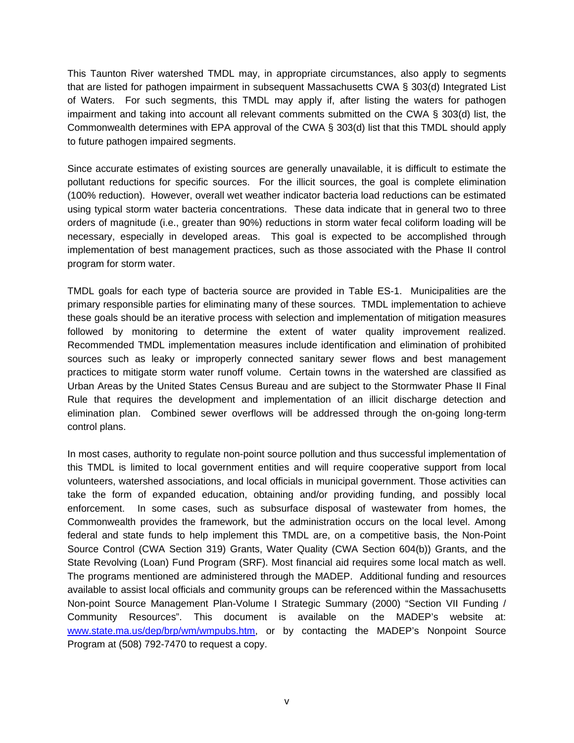This Taunton River watershed TMDL may, in appropriate circumstances, also apply to segments that are listed for pathogen impairment in subsequent Massachusetts CWA § 303(d) Integrated List of Waters. For such segments, this TMDL may apply if, after listing the waters for pathogen impairment and taking into account all relevant comments submitted on the CWA § 303(d) list, the Commonwealth determines with EPA approval of the CWA § 303(d) list that this TMDL should apply to future pathogen impaired segments.

Since accurate estimates of existing sources are generally unavailable, it is difficult to estimate the pollutant reductions for specific sources. For the illicit sources, the goal is complete elimination (100% reduction). However, overall wet weather indicator bacteria load reductions can be estimated using typical storm water bacteria concentrations. These data indicate that in general two to three orders of magnitude (i.e., greater than 90%) reductions in storm water fecal coliform loading will be necessary, especially in developed areas. This goal is expected to be accomplished through implementation of best management practices, such as those associated with the Phase II control program for storm water.

TMDL goals for each type of bacteria source are provided in Table ES-1. Municipalities are the primary responsible parties for eliminating many of these sources. TMDL implementation to achieve these goals should be an iterative process with selection and implementation of mitigation measures followed by monitoring to determine the extent of water quality improvement realized. Recommended TMDL implementation measures include identification and elimination of prohibited sources such as leaky or improperly connected sanitary sewer flows and best management practices to mitigate storm water runoff volume. Certain towns in the watershed are classified as Urban Areas by the United States Census Bureau and are subject to the Stormwater Phase II Final Rule that requires the development and implementation of an illicit discharge detection and elimination plan. Combined sewer overflows will be addressed through the on-going long-term control plans.

In most cases, authority to regulate non-point source pollution and thus successful implementation of this TMDL is limited to local government entities and will require cooperative support from local volunteers, watershed associations, and local officials in municipal government. Those activities can take the form of expanded education, obtaining and/or providing funding, and possibly local enforcement. In some cases, such as subsurface disposal of wastewater from homes, the Commonwealth provides the framework, but the administration occurs on the local level. Among federal and state funds to help implement this TMDL are, on a competitive basis, the Non-Point Source Control (CWA Section 319) Grants, Water Quality (CWA Section 604(b)) Grants, and the State Revolving (Loan) Fund Program (SRF). Most financial aid requires some local match as well. The programs mentioned are administered through the MADEP. Additional funding and resources available to assist local officials and community groups can be referenced within the Massachusetts Non-point Source Management Plan-Volume I Strategic Summary (2000) "Section VII Funding / Community Resources". This document is available on the MADEP's website at: www.state.ma.us/dep/brp/wm/wmpubs.htm, or by contacting the MADEP's Nonpoint Source Program at (508) 792-7470 to request a copy.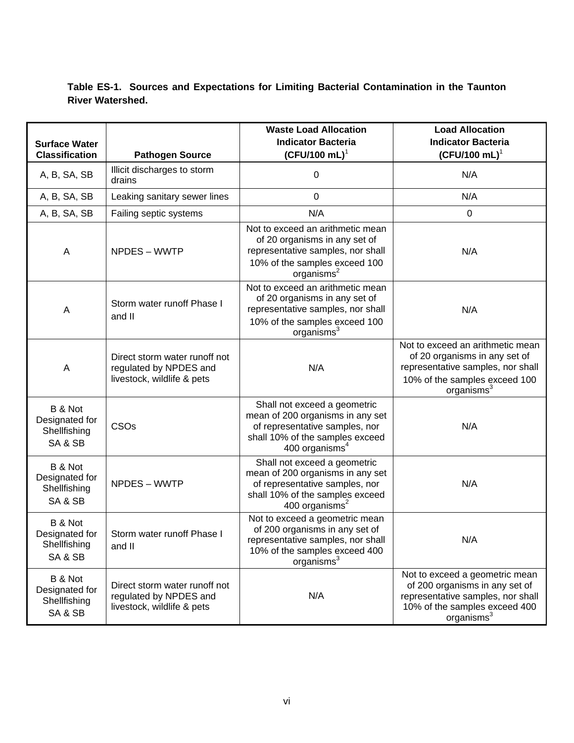## **Table ES-1. Sources and Expectations for Limiting Bacterial Contamination in the Taunton River Watershed.**

| <b>Surface Water</b>                                 |                                                                                       | <b>Waste Load Allocation</b><br><b>Indicator Bacteria</b>                                                                                                         | <b>Load Allocation</b><br><b>Indicator Bacteria</b>                                                                                                               |
|------------------------------------------------------|---------------------------------------------------------------------------------------|-------------------------------------------------------------------------------------------------------------------------------------------------------------------|-------------------------------------------------------------------------------------------------------------------------------------------------------------------|
| <b>Classification</b>                                | <b>Pathogen Source</b>                                                                | $(CFU/100 mL)^1$                                                                                                                                                  | $(CFU/100 mL)^T$                                                                                                                                                  |
| A, B, SA, SB                                         | Illicit discharges to storm<br>drains                                                 | 0                                                                                                                                                                 | N/A                                                                                                                                                               |
| A, B, SA, SB                                         | Leaking sanitary sewer lines                                                          | $\mathbf 0$                                                                                                                                                       | N/A                                                                                                                                                               |
| A, B, SA, SB                                         | Failing septic systems                                                                | N/A                                                                                                                                                               | 0                                                                                                                                                                 |
| A<br>NPDES - WWTP                                    |                                                                                       | Not to exceed an arithmetic mean<br>of 20 organisms in any set of<br>representative samples, nor shall<br>10% of the samples exceed 100<br>organisms <sup>2</sup> | N/A                                                                                                                                                               |
| A                                                    | Storm water runoff Phase I<br>and II                                                  | Not to exceed an arithmetic mean<br>of 20 organisms in any set of<br>representative samples, nor shall<br>10% of the samples exceed 100<br>organisms <sup>3</sup> | N/A                                                                                                                                                               |
| A                                                    | Direct storm water runoff not<br>regulated by NPDES and<br>livestock, wildlife & pets | N/A                                                                                                                                                               | Not to exceed an arithmetic mean<br>of 20 organisms in any set of<br>representative samples, nor shall<br>10% of the samples exceed 100<br>organisms <sup>3</sup> |
| B & Not<br>Designated for<br>Shellfishing<br>SA & SB | CSOs                                                                                  | Shall not exceed a geometric<br>mean of 200 organisms in any set<br>of representative samples, nor<br>shall 10% of the samples exceed<br>400 organisms $4$        | N/A                                                                                                                                                               |
| B & Not<br>Designated for<br>Shellfishing<br>SA & SB | NPDES - WWTP                                                                          | Shall not exceed a geometric<br>mean of 200 organisms in any set<br>of representative samples, nor<br>shall 10% of the samples exceed<br>400 organisms $2$        | N/A                                                                                                                                                               |
| B & Not<br>Designated for<br>Shellfishing<br>SA & SB | Storm water runoff Phase I<br>and II                                                  | Not to exceed a geometric mean<br>of 200 organisms in any set of<br>representative samples, nor shall<br>10% of the samples exceed 400<br>organisms <sup>3</sup>  | N/A                                                                                                                                                               |
| B & Not<br>Designated for<br>Shellfishing<br>SA & SB | Direct storm water runoff not<br>regulated by NPDES and<br>livestock, wildlife & pets | N/A                                                                                                                                                               | Not to exceed a geometric mean<br>of 200 organisms in any set of<br>representative samples, nor shall<br>10% of the samples exceed 400<br>organisms <sup>3</sup>  |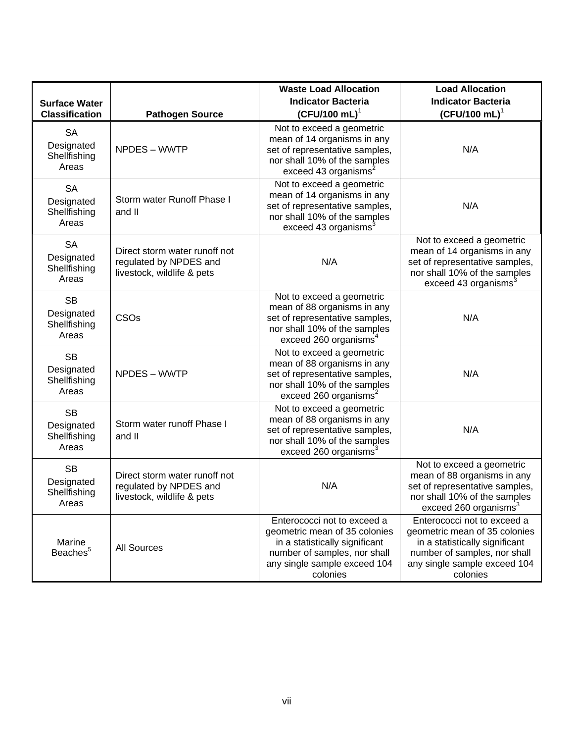|                                                      |                                                                                                                                                                   | <b>Waste Load Allocation</b>                                                                                                                                               | <b>Load Allocation</b>                                                                                                                                                     |  |
|------------------------------------------------------|-------------------------------------------------------------------------------------------------------------------------------------------------------------------|----------------------------------------------------------------------------------------------------------------------------------------------------------------------------|----------------------------------------------------------------------------------------------------------------------------------------------------------------------------|--|
| <b>Surface Water</b>                                 |                                                                                                                                                                   | <b>Indicator Bacteria</b>                                                                                                                                                  | <b>Indicator Bacteria</b>                                                                                                                                                  |  |
| <b>Classification</b>                                | $(CFU/100 mL)^T$<br><b>Pathogen Source</b>                                                                                                                        |                                                                                                                                                                            | $(CFU/100 mL)^1$                                                                                                                                                           |  |
| <b>SA</b><br>Designated<br>Shellfishing<br>Areas     | Not to exceed a geometric<br>mean of 14 organisms in any<br>NPDES - WWTP<br>set of representative samples,<br>nor shall 10% of the samples<br>exceed 43 organisms |                                                                                                                                                                            | N/A                                                                                                                                                                        |  |
| <b>SA</b><br>Designated<br>Shellfishing<br>Areas     | Storm water Runoff Phase I<br>and II                                                                                                                              | Not to exceed a geometric<br>mean of 14 organisms in any<br>set of representative samples,<br>nor shall 10% of the samples<br>exceed 43 organisms <sup>3</sup>             | N/A                                                                                                                                                                        |  |
| <b>SA</b><br>Designated<br>Shellfishing<br>Areas     | Direct storm water runoff not<br>regulated by NPDES and<br>livestock, wildlife & pets                                                                             | N/A                                                                                                                                                                        | Not to exceed a geometric<br>mean of 14 organisms in any<br>set of representative samples,<br>nor shall 10% of the samples<br>exceed 43 organisms <sup>3</sup>             |  |
| <b>SB</b><br>Designated<br>Shellfishing<br>Areas     | CSOs                                                                                                                                                              | Not to exceed a geometric<br>mean of 88 organisms in any<br>set of representative samples,<br>nor shall 10% of the samples<br>exceed 260 organisms <sup>4</sup>            | N/A                                                                                                                                                                        |  |
| <b>SB</b><br>Designated<br>Shellfishing<br>Areas     | NPDES - WWTP                                                                                                                                                      | Not to exceed a geometric<br>mean of 88 organisms in any<br>set of representative samples,<br>nor shall 10% of the samples<br>exceed 260 organisms <sup>2</sup>            | N/A                                                                                                                                                                        |  |
| <b>SB</b><br>Designated<br>Shellfishing<br>Areas     | Storm water runoff Phase I<br>and II                                                                                                                              | Not to exceed a geometric<br>mean of 88 organisms in any<br>set of representative samples,<br>nor shall 10% of the samples<br>exceed 260 organisms <sup>3</sup>            | N/A                                                                                                                                                                        |  |
| <b>SB</b><br>Designated<br>Shellfishing<br>Areas     | Direct storm water runoff not<br>N/A<br>regulated by NPDES and<br>livestock, wildlife & pets                                                                      |                                                                                                                                                                            | Not to exceed a geometric<br>mean of 88 organisms in any<br>set of representative samples,<br>nor shall 10% of the samples<br>exceed 260 organisms <sup>3</sup>            |  |
| Marine<br><b>All Sources</b><br>Beaches <sup>5</sup> |                                                                                                                                                                   | Enterococci not to exceed a<br>geometric mean of 35 colonies<br>in a statistically significant<br>number of samples, nor shall<br>any single sample exceed 104<br>colonies | Enterococci not to exceed a<br>geometric mean of 35 colonies<br>in a statistically significant<br>number of samples, nor shall<br>any single sample exceed 104<br>colonies |  |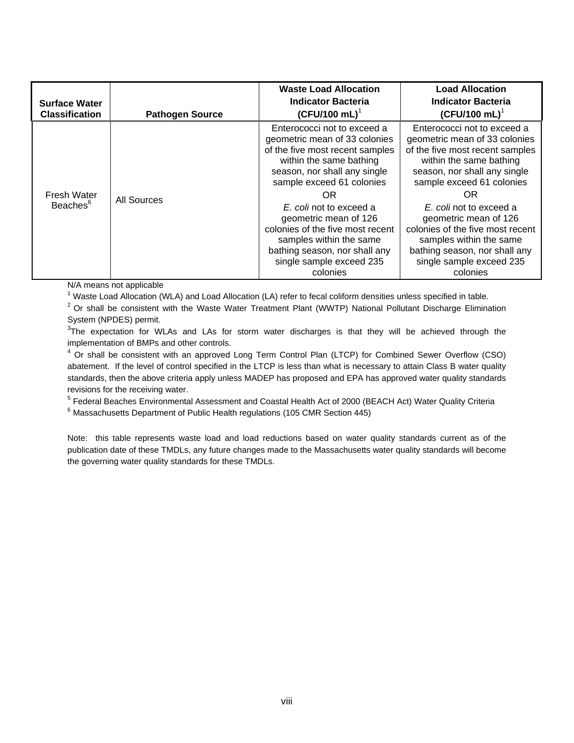| <b>Surface Water</b><br><b>Classification</b> | <b>Pathogen Source</b> | <b>Waste Load Allocation</b><br><b>Indicator Bacteria</b><br>$(CFU/100 mL)^1$                                                                                                                                                                                                                                                                                                             | <b>Load Allocation</b><br><b>Indicator Bacteria</b><br>$(CFU/100 mL)^T$                                                                                                                                                                                                                                                                                                                   |
|-----------------------------------------------|------------------------|-------------------------------------------------------------------------------------------------------------------------------------------------------------------------------------------------------------------------------------------------------------------------------------------------------------------------------------------------------------------------------------------|-------------------------------------------------------------------------------------------------------------------------------------------------------------------------------------------------------------------------------------------------------------------------------------------------------------------------------------------------------------------------------------------|
| Fresh Water<br>Beaches <sup>6</sup>           | <b>All Sources</b>     | Enterococci not to exceed a<br>geometric mean of 33 colonies<br>of the five most recent samples<br>within the same bathing<br>season, nor shall any single<br>sample exceed 61 colonies<br>OR<br>E. coli not to exceed a<br>geometric mean of 126<br>colonies of the five most recent<br>samples within the same<br>bathing season, nor shall any<br>single sample exceed 235<br>colonies | Enterococci not to exceed a<br>geometric mean of 33 colonies<br>of the five most recent samples<br>within the same bathing<br>season, nor shall any single<br>sample exceed 61 colonies<br>OR<br>E. coli not to exceed a<br>geometric mean of 126<br>colonies of the five most recent<br>samples within the same<br>bathing season, nor shall any<br>single sample exceed 235<br>colonies |

N/A means not applicable

<sup>1</sup> Waste Load Allocation (WLA) and Load Allocation (LA) refer to fecal coliform densities unless specified in table.

 $2$  Or shall be consistent with the Waste Water Treatment Plant (WWTP) National Pollutant Discharge Elimination System (NPDES) permit.

 $3$ The expectation for WLAs and LAs for storm water discharges is that they will be achieved through the implementation of BMPs and other controls.

<sup>4</sup> Or shall be consistent with an approved Long Term Control Plan (LTCP) for Combined Sewer Overflow (CSO) abatement. If the level of control specified in the LTCP is less than what is necessary to attain Class B water quality standards, then the above criteria apply unless MADEP has proposed and EPA has approved water quality standards revisions for the receiving water.

<sup>5</sup> Federal Beaches Environmental Assessment and Coastal Health Act of 2000 (BEACH Act) Water Quality Criteria<br><sup>6</sup> Messechusette Department of Bublic Health requlations (105 CMB Section 445)

 $6$  Massachusetts Department of Public Health regulations (105 CMR Section 445)

Note: this table represents waste load and load reductions based on water quality standards current as of the publication date of these TMDLs, any future changes made to the Massachusetts water quality standards will become the governing water quality standards for these TMDLs.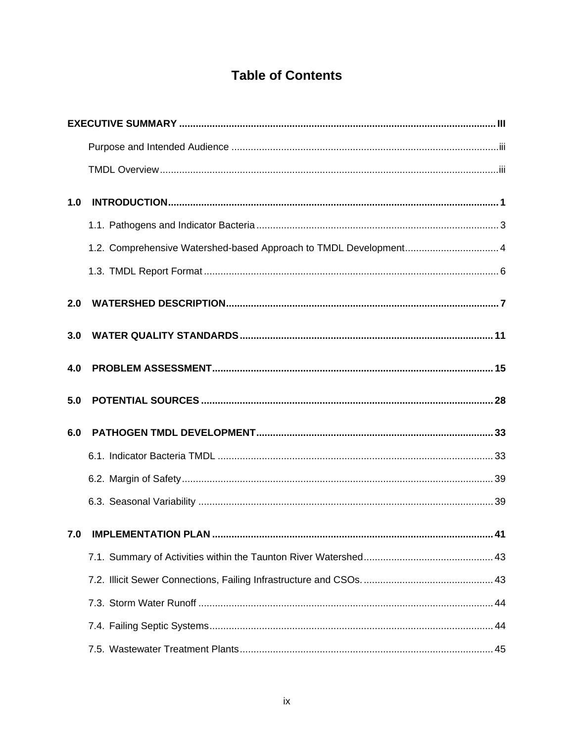# **Table of Contents**

| 1.0 |                                                                   |  |
|-----|-------------------------------------------------------------------|--|
|     |                                                                   |  |
|     | 1.2. Comprehensive Watershed-based Approach to TMDL Development 4 |  |
|     |                                                                   |  |
| 2.0 |                                                                   |  |
| 3.0 |                                                                   |  |
| 4.0 |                                                                   |  |
| 5.0 |                                                                   |  |
| 6.0 |                                                                   |  |
|     |                                                                   |  |
|     |                                                                   |  |
|     |                                                                   |  |
|     | 41                                                                |  |
|     |                                                                   |  |
|     |                                                                   |  |
|     |                                                                   |  |
|     |                                                                   |  |
|     |                                                                   |  |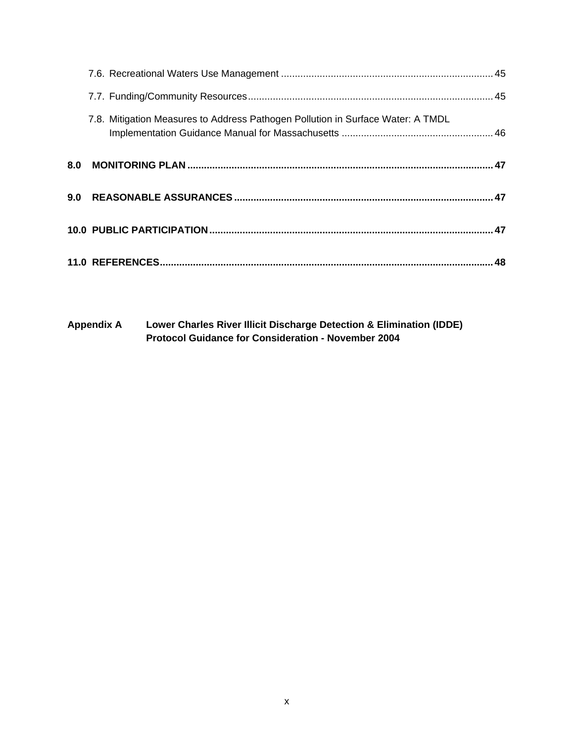| 7.8. Mitigation Measures to Address Pathogen Pollution in Surface Water: A TMDL |  |
|---------------------------------------------------------------------------------|--|
|                                                                                 |  |
|                                                                                 |  |
|                                                                                 |  |
|                                                                                 |  |

**Appendix A Lower Charles River Illicit Discharge Detection & Elimination (IDDE) Protocol Guidance for Consideration - November 2004**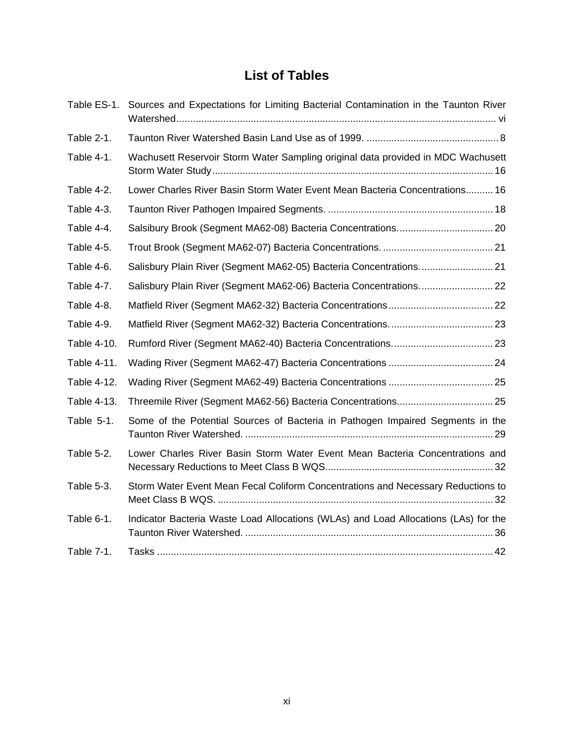# **List of Tables**

|             | Table ES-1. Sources and Expectations for Limiting Bacterial Contamination in the Taunton River |
|-------------|------------------------------------------------------------------------------------------------|
| Table 2-1.  |                                                                                                |
| Table 4-1.  | Wachusett Reservoir Storm Water Sampling original data provided in MDC Wachusett               |
| Table 4-2.  | Lower Charles River Basin Storm Water Event Mean Bacteria Concentrations 16                    |
| Table 4-3.  |                                                                                                |
| Table 4-4.  |                                                                                                |
| Table 4-5.  |                                                                                                |
| Table 4-6.  | Salisbury Plain River (Segment MA62-05) Bacteria Concentrations 21                             |
| Table 4-7.  | Salisbury Plain River (Segment MA62-06) Bacteria Concentrations 22                             |
| Table 4-8.  |                                                                                                |
| Table 4-9.  |                                                                                                |
| Table 4-10. |                                                                                                |
| Table 4-11. |                                                                                                |
| Table 4-12. |                                                                                                |
| Table 4-13. | Threemile River (Segment MA62-56) Bacteria Concentrations 25                                   |
| Table 5-1.  | Some of the Potential Sources of Bacteria in Pathogen Impaired Segments in the                 |
| Table 5-2.  | Lower Charles River Basin Storm Water Event Mean Bacteria Concentrations and                   |
| Table 5-3.  | Storm Water Event Mean Fecal Coliform Concentrations and Necessary Reductions to               |
| Table 6-1.  | Indicator Bacteria Waste Load Allocations (WLAs) and Load Allocations (LAs) for the            |
| Table 7-1.  |                                                                                                |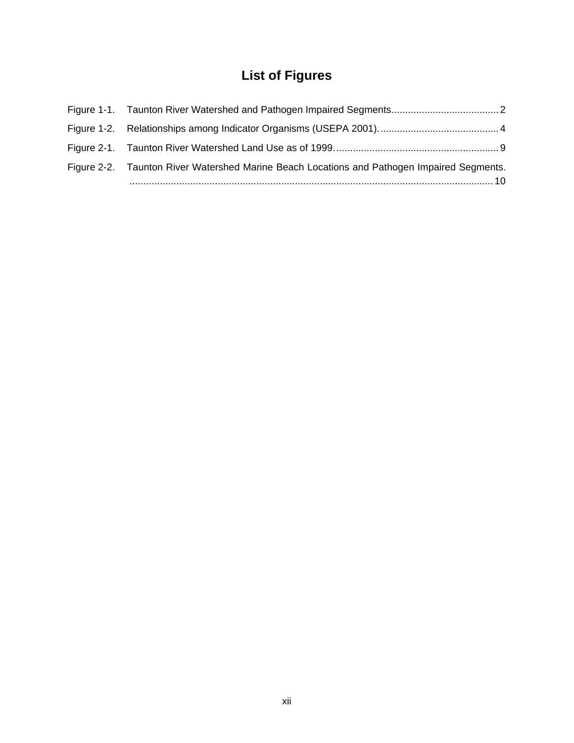# **List of Figures**

| Figure 2-2. Taunton River Watershed Marine Beach Locations and Pathogen Impaired Segments. |  |
|--------------------------------------------------------------------------------------------|--|
|                                                                                            |  |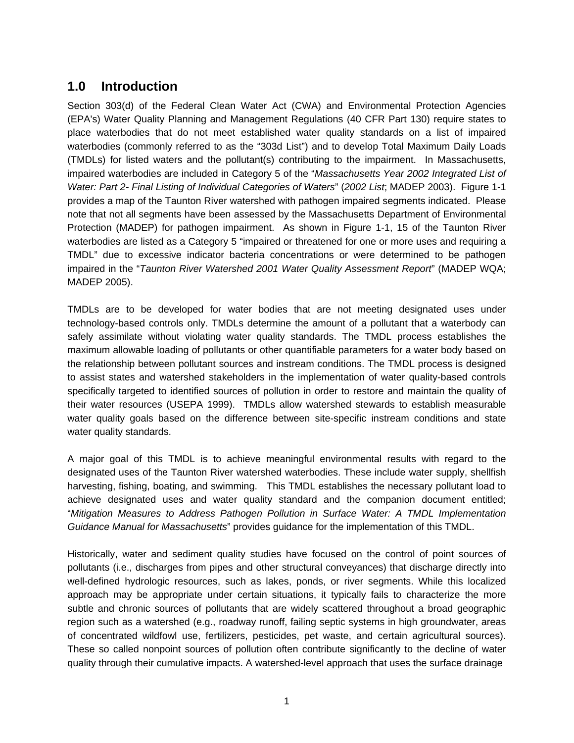# **1.0 Introduction**

Section 303(d) of the Federal Clean Water Act (CWA) and Environmental Protection Agencies (EPA's) Water Quality Planning and Management Regulations (40 CFR Part 130) require states to place waterbodies that do not meet established water quality standards on a list of impaired waterbodies (commonly referred to as the "303d List") and to develop Total Maximum Daily Loads (TMDLs) for listed waters and the pollutant(s) contributing to the impairment. In Massachusetts, impaired waterbodies are included in Category 5 of the "*Massachusetts Year 2002 Integrated List of Water: Part 2- Final Listing of Individual Categories of Waters*" (*2002 List*; MADEP 2003). Figure 1-1 provides a map of the Taunton River watershed with pathogen impaired segments indicated. Please note that not all segments have been assessed by the Massachusetts Department of Environmental Protection (MADEP) for pathogen impairment. As shown in Figure 1-1, 15 of the Taunton River waterbodies are listed as a Category 5 "impaired or threatened for one or more uses and requiring a TMDL" due to excessive indicator bacteria concentrations or were determined to be pathogen impaired in the "*Taunton River Watershed 2001 Water Quality Assessment Report*" (MADEP WQA; MADEP 2005).

TMDLs are to be developed for water bodies that are not meeting designated uses under technology-based controls only. TMDLs determine the amount of a pollutant that a waterbody can safely assimilate without violating water quality standards. The TMDL process establishes the maximum allowable loading of pollutants or other quantifiable parameters for a water body based on the relationship between pollutant sources and instream conditions. The TMDL process is designed to assist states and watershed stakeholders in the implementation of water quality-based controls specifically targeted to identified sources of pollution in order to restore and maintain the quality of their water resources (USEPA 1999). TMDLs allow watershed stewards to establish measurable water quality goals based on the difference between site-specific instream conditions and state water quality standards.

A major goal of this TMDL is to achieve meaningful environmental results with regard to the designated uses of the Taunton River watershed waterbodies. These include water supply, shellfish harvesting, fishing, boating, and swimming. This TMDL establishes the necessary pollutant load to achieve designated uses and water quality standard and the companion document entitled; "*Mitigation Measures to Address Pathogen Pollution in Surface Water: A TMDL Implementation Guidance Manual for Massachusetts*" provides guidance for the implementation of this TMDL.

Historically, water and sediment quality studies have focused on the control of point sources of pollutants (i.e., discharges from pipes and other structural conveyances) that discharge directly into well-defined hydrologic resources, such as lakes, ponds, or river segments. While this localized approach may be appropriate under certain situations, it typically fails to characterize the more subtle and chronic sources of pollutants that are widely scattered throughout a broad geographic region such as a watershed (e.g., roadway runoff, failing septic systems in high groundwater, areas of concentrated wildfowl use, fertilizers, pesticides, pet waste, and certain agricultural sources). These so called nonpoint sources of pollution often contribute significantly to the decline of water quality through their cumulative impacts. A watershed-level approach that uses the surface drainage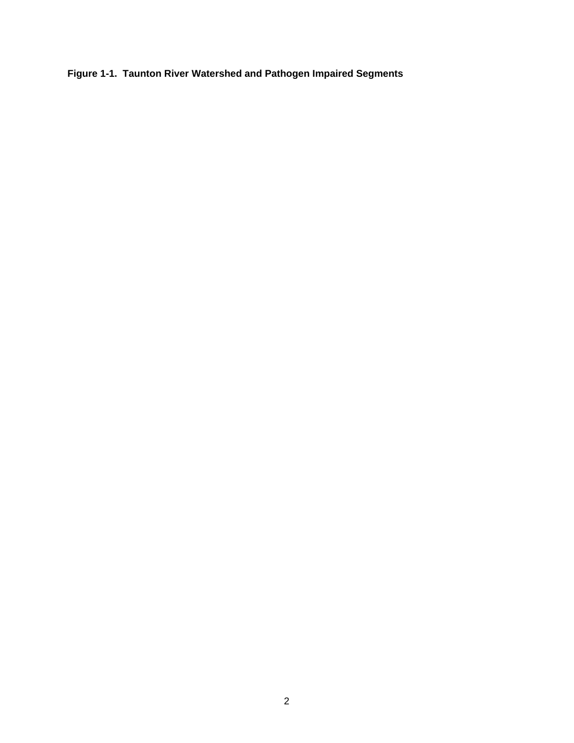**Figure 1-1. Taunton River Watershed and Pathogen Impaired Segments**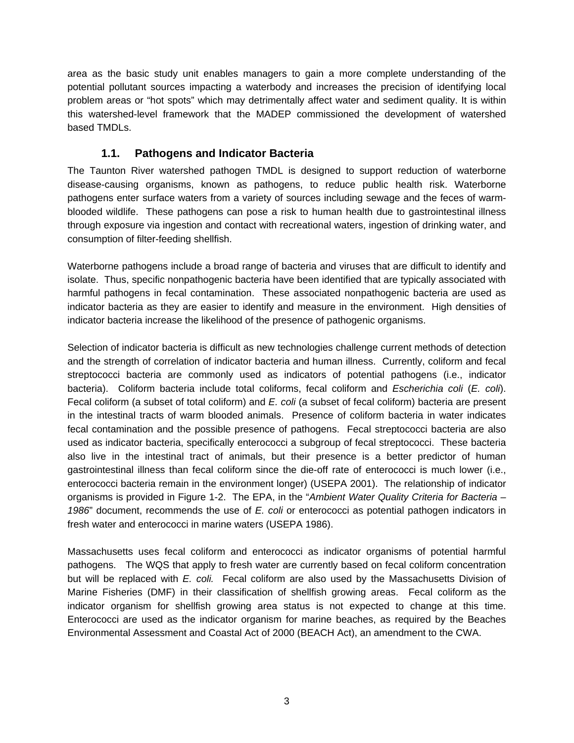area as the basic study unit enables managers to gain a more complete understanding of the potential pollutant sources impacting a waterbody and increases the precision of identifying local problem areas or "hot spots" which may detrimentally affect water and sediment quality. It is within this watershed-level framework that the MADEP commissioned the development of watershed based TMDLs.

## **1.1. Pathogens and Indicator Bacteria**

The Taunton River watershed pathogen TMDL is designed to support reduction of waterborne disease-causing organisms, known as pathogens, to reduce public health risk. Waterborne pathogens enter surface waters from a variety of sources including sewage and the feces of warmblooded wildlife. These pathogens can pose a risk to human health due to gastrointestinal illness through exposure via ingestion and contact with recreational waters, ingestion of drinking water, and consumption of filter-feeding shellfish.

Waterborne pathogens include a broad range of bacteria and viruses that are difficult to identify and isolate. Thus, specific nonpathogenic bacteria have been identified that are typically associated with harmful pathogens in fecal contamination. These associated nonpathogenic bacteria are used as indicator bacteria as they are easier to identify and measure in the environment. High densities of indicator bacteria increase the likelihood of the presence of pathogenic organisms.

Selection of indicator bacteria is difficult as new technologies challenge current methods of detection and the strength of correlation of indicator bacteria and human illness. Currently, coliform and fecal streptococci bacteria are commonly used as indicators of potential pathogens (i.e., indicator bacteria). Coliform bacteria include total coliforms, fecal coliform and *Escherichia coli* (*E. coli*). Fecal coliform (a subset of total coliform) and *E. coli* (a subset of fecal coliform) bacteria are present in the intestinal tracts of warm blooded animals. Presence of coliform bacteria in water indicates fecal contamination and the possible presence of pathogens. Fecal streptococci bacteria are also used as indicator bacteria, specifically enterococci a subgroup of fecal streptococci. These bacteria also live in the intestinal tract of animals, but their presence is a better predictor of human gastrointestinal illness than fecal coliform since the die-off rate of enterococci is much lower (i.e., enterococci bacteria remain in the environment longer) (USEPA 2001). The relationship of indicator organisms is provided in Figure 1-2. The EPA, in the "*Ambient Water Quality Criteria for Bacteria – 1986*" document, recommends the use of *E. coli* or enterococci as potential pathogen indicators in fresh water and enterococci in marine waters (USEPA 1986).

Massachusetts uses fecal coliform and enterococci as indicator organisms of potential harmful pathogens. The WQS that apply to fresh water are currently based on fecal coliform concentration but will be replaced with *E. coli.* Fecal coliform are also used by the Massachusetts Division of Marine Fisheries (DMF) in their classification of shellfish growing areas. Fecal coliform as the indicator organism for shellfish growing area status is not expected to change at this time. Enterococci are used as the indicator organism for marine beaches, as required by the Beaches Environmental Assessment and Coastal Act of 2000 (BEACH Act), an amendment to the CWA.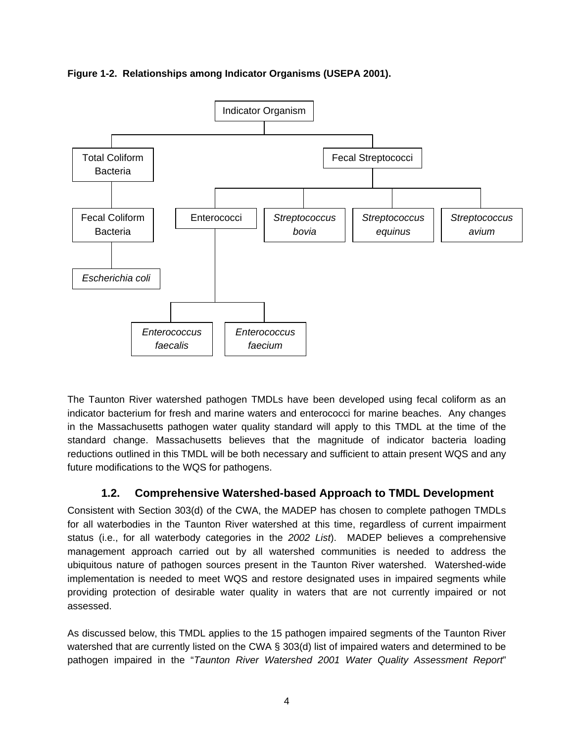**Figure 1-2. Relationships among Indicator Organisms (USEPA 2001).** 



The Taunton River watershed pathogen TMDLs have been developed using fecal coliform as an indicator bacterium for fresh and marine waters and enterococci for marine beaches. Any changes in the Massachusetts pathogen water quality standard will apply to this TMDL at the time of the standard change. Massachusetts believes that the magnitude of indicator bacteria loading reductions outlined in this TMDL will be both necessary and sufficient to attain present WQS and any future modifications to the WQS for pathogens.

## **1.2. Comprehensive Watershed-based Approach to TMDL Development**

Consistent with Section 303(d) of the CWA, the MADEP has chosen to complete pathogen TMDLs for all waterbodies in the Taunton River watershed at this time, regardless of current impairment status (i.e., for all waterbody categories in the *2002 List*). MADEP believes a comprehensive management approach carried out by all watershed communities is needed to address the ubiquitous nature of pathogen sources present in the Taunton River watershed. Watershed-wide implementation is needed to meet WQS and restore designated uses in impaired segments while providing protection of desirable water quality in waters that are not currently impaired or not assessed.

As discussed below, this TMDL applies to the 15 pathogen impaired segments of the Taunton River watershed that are currently listed on the CWA § 303(d) list of impaired waters and determined to be pathogen impaired in the "*Taunton River Watershed 2001 Water Quality Assessment Report*"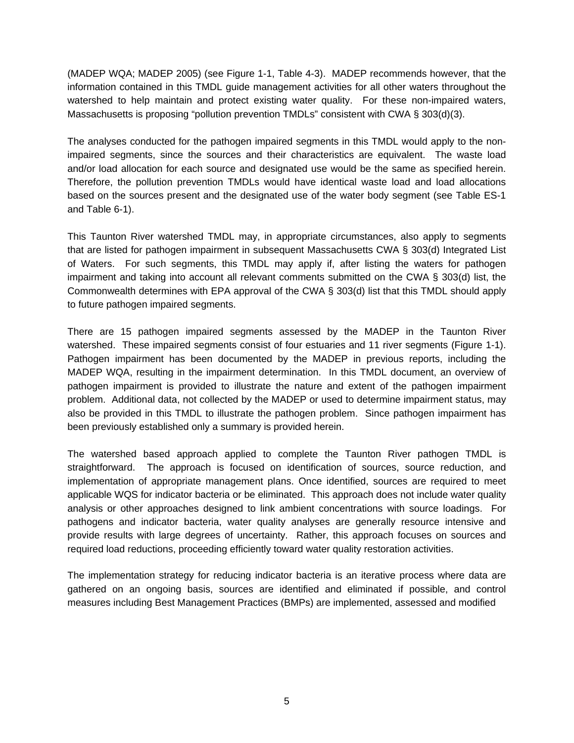(MADEP WQA; MADEP 2005) (see Figure 1-1, Table 4-3). MADEP recommends however, that the information contained in this TMDL guide management activities for all other waters throughout the watershed to help maintain and protect existing water quality. For these non-impaired waters, Massachusetts is proposing "pollution prevention TMDLs" consistent with CWA § 303(d)(3).

The analyses conducted for the pathogen impaired segments in this TMDL would apply to the nonimpaired segments, since the sources and their characteristics are equivalent. The waste load and/or load allocation for each source and designated use would be the same as specified herein. Therefore, the pollution prevention TMDLs would have identical waste load and load allocations based on the sources present and the designated use of the water body segment (see Table ES-1 and Table 6-1).

This Taunton River watershed TMDL may, in appropriate circumstances, also apply to segments that are listed for pathogen impairment in subsequent Massachusetts CWA § 303(d) Integrated List of Waters. For such segments, this TMDL may apply if, after listing the waters for pathogen impairment and taking into account all relevant comments submitted on the CWA § 303(d) list, the Commonwealth determines with EPA approval of the CWA § 303(d) list that this TMDL should apply to future pathogen impaired segments.

There are 15 pathogen impaired segments assessed by the MADEP in the Taunton River watershed. These impaired segments consist of four estuaries and 11 river segments (Figure 1-1). Pathogen impairment has been documented by the MADEP in previous reports, including the MADEP WQA, resulting in the impairment determination. In this TMDL document, an overview of pathogen impairment is provided to illustrate the nature and extent of the pathogen impairment problem. Additional data, not collected by the MADEP or used to determine impairment status, may also be provided in this TMDL to illustrate the pathogen problem. Since pathogen impairment has been previously established only a summary is provided herein.

The watershed based approach applied to complete the Taunton River pathogen TMDL is straightforward. The approach is focused on identification of sources, source reduction, and implementation of appropriate management plans. Once identified, sources are required to meet applicable WQS for indicator bacteria or be eliminated. This approach does not include water quality analysis or other approaches designed to link ambient concentrations with source loadings. For pathogens and indicator bacteria, water quality analyses are generally resource intensive and provide results with large degrees of uncertainty. Rather, this approach focuses on sources and required load reductions, proceeding efficiently toward water quality restoration activities.

The implementation strategy for reducing indicator bacteria is an iterative process where data are gathered on an ongoing basis, sources are identified and eliminated if possible, and control measures including Best Management Practices (BMPs) are implemented, assessed and modified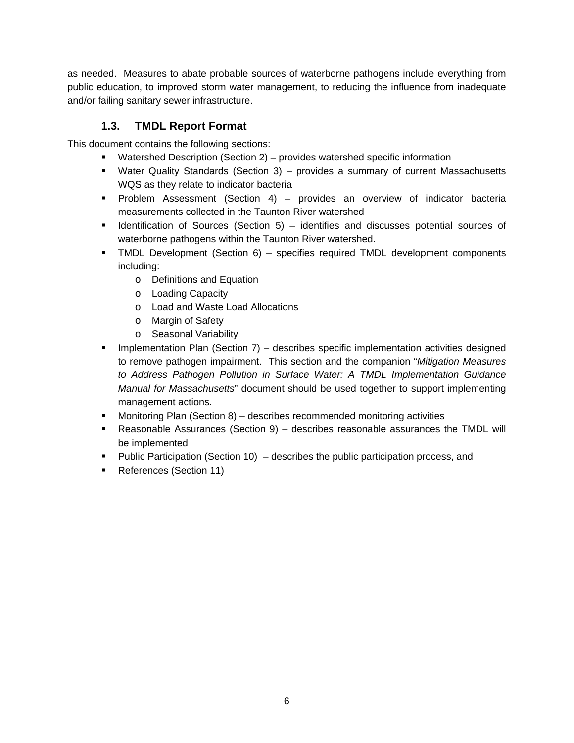as needed. Measures to abate probable sources of waterborne pathogens include everything from public education, to improved storm water management, to reducing the influence from inadequate and/or failing sanitary sewer infrastructure.

## **1.3. TMDL Report Format**

This document contains the following sections:

- Watershed Description (Section 2) provides watershed specific information
- Water Quality Standards (Section 3) provides a summary of current Massachusetts WQS as they relate to indicator bacteria
- Problem Assessment (Section 4) provides an overview of indicator bacteria measurements collected in the Taunton River watershed
- $\blacksquare$  Identification of Sources (Section 5) identifies and discusses potential sources of waterborne pathogens within the Taunton River watershed.
- TMDL Development (Section 6) specifies required TMDL development components including:
	- o Definitions and Equation
	- o Loading Capacity
	- o Load and Waste Load Allocations
	- o Margin of Safety
	- o Seasonal Variability
- **Implementation Plan (Section 7) describes specific implementation activities designed** to remove pathogen impairment. This section and the companion "*Mitigation Measures to Address Pathogen Pollution in Surface Water: A TMDL Implementation Guidance Manual for Massachusetts*" document should be used together to support implementing management actions.
- Monitoring Plan (Section 8) describes recommended monitoring activities
- Reasonable Assurances (Section 9) describes reasonable assurances the TMDL will be implemented
- Public Participation (Section 10) describes the public participation process, and
- References (Section 11)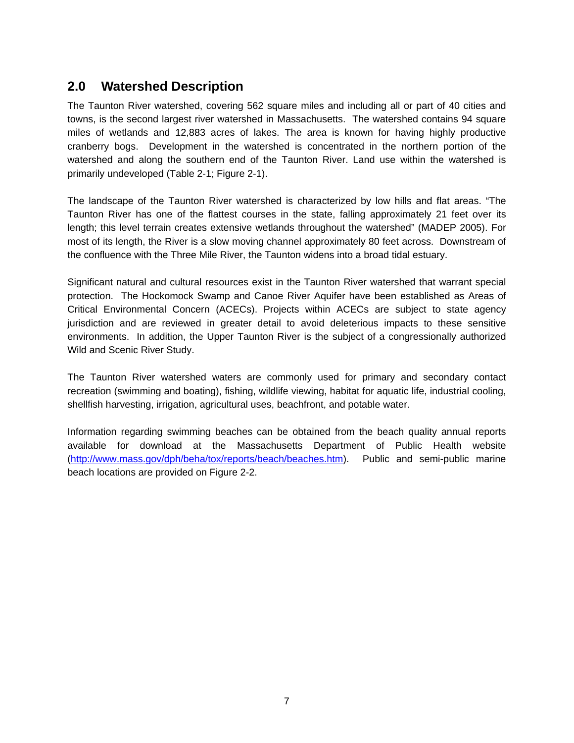# **2.0 Watershed Description**

The Taunton River watershed, covering 562 square miles and including all or part of 40 cities and towns, is the second largest river watershed in Massachusetts. The watershed contains 94 square miles of wetlands and 12,883 acres of lakes. The area is known for having highly productive cranberry bogs. Development in the watershed is concentrated in the northern portion of the watershed and along the southern end of the Taunton River. Land use within the watershed is primarily undeveloped (Table 2-1; Figure 2-1).

The landscape of the Taunton River watershed is characterized by low hills and flat areas. "The Taunton River has one of the flattest courses in the state, falling approximately 21 feet over its length; this level terrain creates extensive wetlands throughout the watershed" (MADEP 2005). For most of its length, the River is a slow moving channel approximately 80 feet across. Downstream of the confluence with the Three Mile River, the Taunton widens into a broad tidal estuary.

Significant natural and cultural resources exist in the Taunton River watershed that warrant special protection. The Hockomock Swamp and Canoe River Aquifer have been established as Areas of Critical Environmental Concern (ACECs). Projects within ACECs are subject to state agency jurisdiction and are reviewed in greater detail to avoid deleterious impacts to these sensitive environments. In addition, the Upper Taunton River is the subject of a congressionally authorized Wild and Scenic River Study.

The Taunton River watershed waters are commonly used for primary and secondary contact recreation (swimming and boating), fishing, wildlife viewing, habitat for aquatic life, industrial cooling, shellfish harvesting, irrigation, agricultural uses, beachfront, and potable water.

Information regarding swimming beaches can be obtained from the beach quality annual reports available for download at the Massachusetts Department of Public Health website (http://www.mass.gov/dph/beha/tox/reports/beach/beaches.htm). Public and semi-public marine beach locations are provided on Figure 2-2.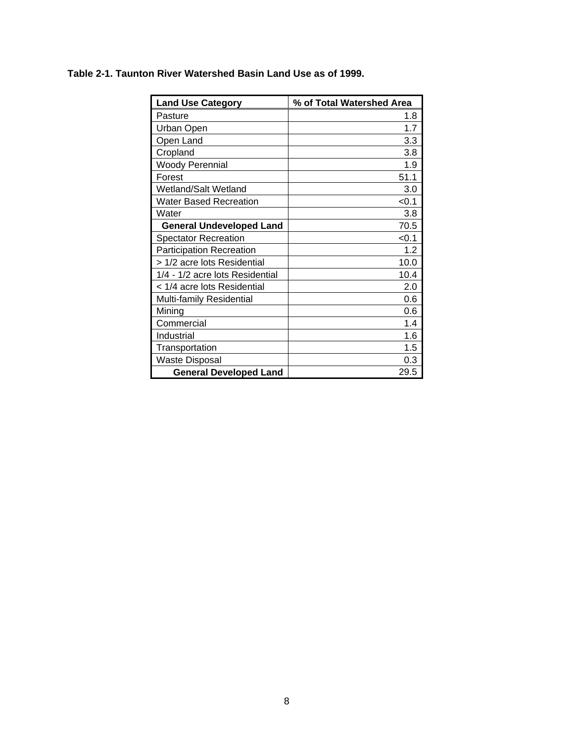| <b>Land Use Category</b>        | % of Total Watershed Area |
|---------------------------------|---------------------------|
| Pasture                         | 1.8                       |
| Urban Open                      | 1.7                       |
| Open Land                       | 3.3                       |
| Cropland                        | 3.8                       |
| <b>Woody Perennial</b>          | 1.9                       |
| Forest                          | 51.1                      |
| Wetland/Salt Wetland            | 3.0                       |
| Water Based Recreation          | < 0.1                     |
| Water                           | 3.8                       |
| <b>General Undeveloped Land</b> | 70.5                      |
| <b>Spectator Recreation</b>     | < 0.1                     |
| <b>Participation Recreation</b> | 1.2                       |
| > 1/2 acre lots Residential     | 10.0                      |
| 1/4 - 1/2 acre lots Residential | 10.4                      |
| < 1/4 acre lots Residential     | 2.0                       |
| Multi-family Residential        | 0.6                       |
| Mining                          | 0.6                       |
| Commercial                      | 1.4                       |
| Industrial                      | 1.6                       |
| Transportation                  | 1.5                       |
| <b>Waste Disposal</b>           | 0.3                       |
| <b>General Developed Land</b>   | 29.5                      |

#### **Table 2-1. Taunton River Watershed Basin Land Use as of 1999.**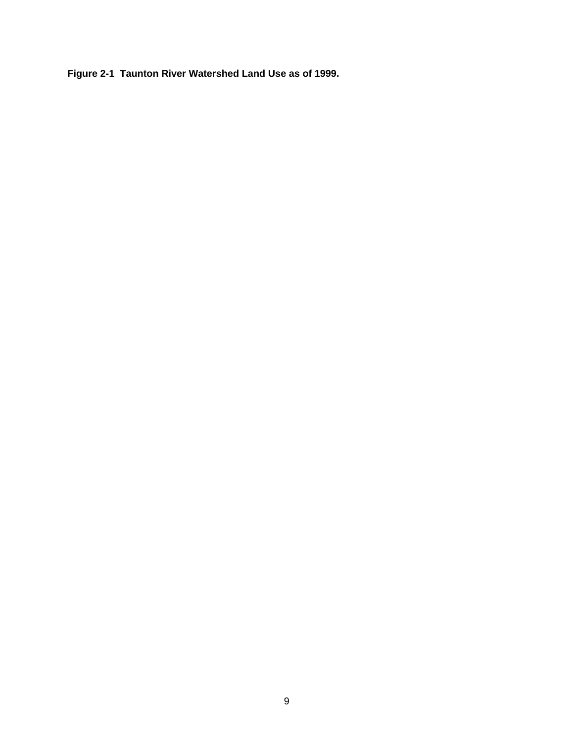**Figure 2-1 Taunton River Watershed Land Use as of 1999.**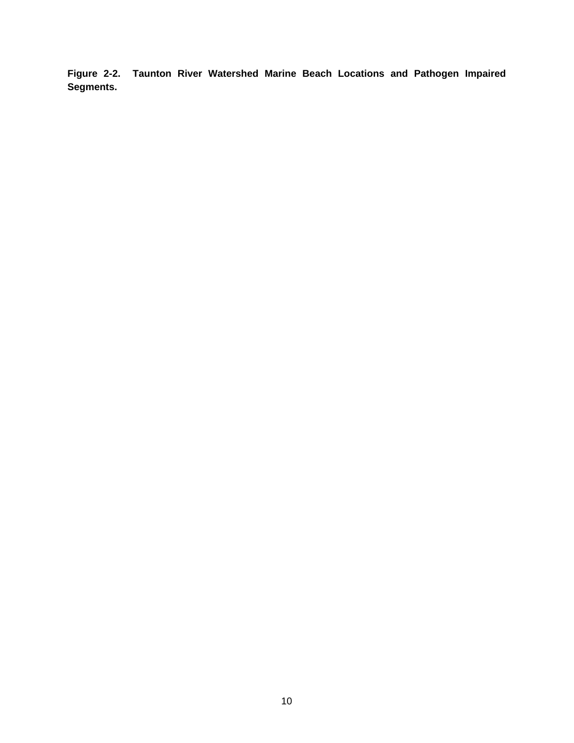**Figure 2-2. Taunton River Watershed Marine Beach Locations and Pathogen Impaired Segments.**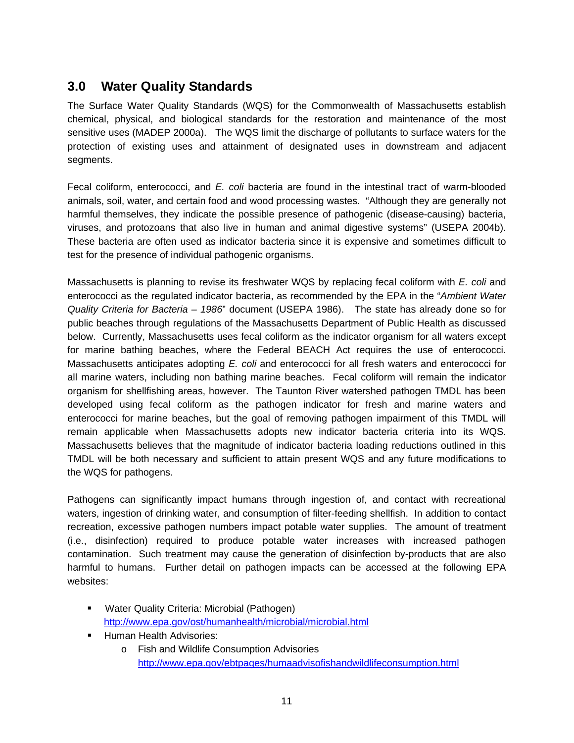# **3.0 Water Quality Standards**

The Surface Water Quality Standards (WQS) for the Commonwealth of Massachusetts establish chemical, physical, and biological standards for the restoration and maintenance of the most sensitive uses (MADEP 2000a). The WQS limit the discharge of pollutants to surface waters for the protection of existing uses and attainment of designated uses in downstream and adjacent segments.

Fecal coliform, enterococci, and *E. coli* bacteria are found in the intestinal tract of warm-blooded animals, soil, water, and certain food and wood processing wastes. "Although they are generally not harmful themselves, they indicate the possible presence of pathogenic (disease-causing) bacteria, viruses, and protozoans that also live in human and animal digestive systems" (USEPA 2004b). These bacteria are often used as indicator bacteria since it is expensive and sometimes difficult to test for the presence of individual pathogenic organisms.

Massachusetts is planning to revise its freshwater WQS by replacing fecal coliform with *E. coli* and enterococci as the regulated indicator bacteria, as recommended by the EPA in the "*Ambient Water Quality Criteria for Bacteria – 1986*" document (USEPA 1986). The state has already done so for public beaches through regulations of the Massachusetts Department of Public Health as discussed below. Currently, Massachusetts uses fecal coliform as the indicator organism for all waters except for marine bathing beaches, where the Federal BEACH Act requires the use of enterococci. Massachusetts anticipates adopting *E. coli* and enterococci for all fresh waters and enterococci for all marine waters, including non bathing marine beaches. Fecal coliform will remain the indicator organism for shellfishing areas, however. The Taunton River watershed pathogen TMDL has been developed using fecal coliform as the pathogen indicator for fresh and marine waters and enterococci for marine beaches, but the goal of removing pathogen impairment of this TMDL will remain applicable when Massachusetts adopts new indicator bacteria criteria into its WQS. Massachusetts believes that the magnitude of indicator bacteria loading reductions outlined in this TMDL will be both necessary and sufficient to attain present WQS and any future modifications to the WQS for pathogens.

Pathogens can significantly impact humans through ingestion of, and contact with recreational waters, ingestion of drinking water, and consumption of filter-feeding shellfish. In addition to contact recreation, excessive pathogen numbers impact potable water supplies. The amount of treatment (i.e., disinfection) required to produce potable water increases with increased pathogen contamination. Such treatment may cause the generation of disinfection by-products that are also harmful to humans. Further detail on pathogen impacts can be accessed at the following EPA websites:

- **Water Quality Criteria: Microbial (Pathogen)** http://www.epa.gov/ost/humanhealth/microbial/microbial.html
- **Human Health Advisories:** 
	- o Fish and Wildlife Consumption Advisories http://www.epa.gov/ebtpages/humaadvisofishandwildlifeconsumption.html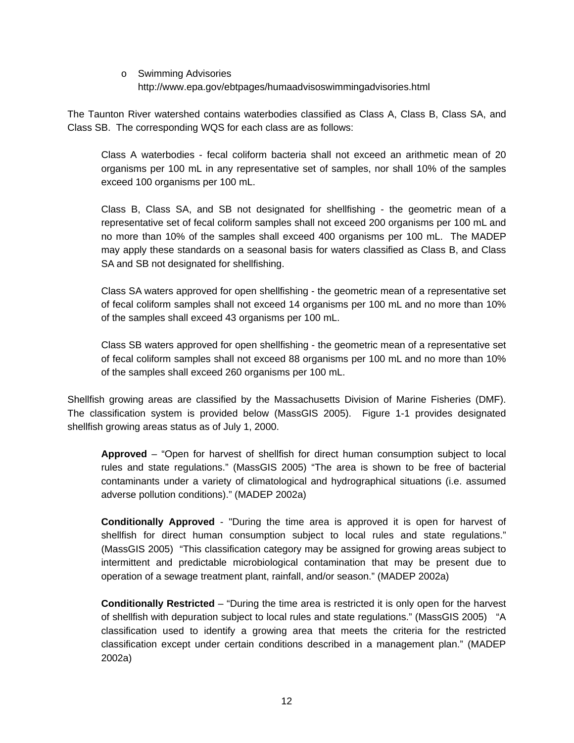o Swimming Advisories http://www.epa.gov/ebtpages/humaadvisoswimmingadvisories.html

The Taunton River watershed contains waterbodies classified as Class A, Class B, Class SA, and Class SB. The corresponding WQS for each class are as follows:

Class A waterbodies - fecal coliform bacteria shall not exceed an arithmetic mean of 20 organisms per 100 mL in any representative set of samples, nor shall 10% of the samples exceed 100 organisms per 100 mL.

Class B, Class SA, and SB not designated for shellfishing - the geometric mean of a representative set of fecal coliform samples shall not exceed 200 organisms per 100 mL and no more than 10% of the samples shall exceed 400 organisms per 100 mL. The MADEP may apply these standards on a seasonal basis for waters classified as Class B, and Class SA and SB not designated for shellfishing.

Class SA waters approved for open shellfishing - the geometric mean of a representative set of fecal coliform samples shall not exceed 14 organisms per 100 mL and no more than 10% of the samples shall exceed 43 organisms per 100 mL.

Class SB waters approved for open shellfishing - the geometric mean of a representative set of fecal coliform samples shall not exceed 88 organisms per 100 mL and no more than 10% of the samples shall exceed 260 organisms per 100 mL.

Shellfish growing areas are classified by the Massachusetts Division of Marine Fisheries (DMF). The classification system is provided below (MassGIS 2005). Figure 1-1 provides designated shellfish growing areas status as of July 1, 2000.

**Approved** – "Open for harvest of shellfish for direct human consumption subject to local rules and state regulations." (MassGIS 2005) "The area is shown to be free of bacterial contaminants under a variety of climatological and hydrographical situations (i.e. assumed adverse pollution conditions)." (MADEP 2002a)

**Conditionally Approved** - "During the time area is approved it is open for harvest of shellfish for direct human consumption subject to local rules and state regulations." (MassGIS 2005) "This classification category may be assigned for growing areas subject to intermittent and predictable microbiological contamination that may be present due to operation of a sewage treatment plant, rainfall, and/or season." (MADEP 2002a)

**Conditionally Restricted** – "During the time area is restricted it is only open for the harvest of shellfish with depuration subject to local rules and state regulations." (MassGIS 2005) "A classification used to identify a growing area that meets the criteria for the restricted classification except under certain conditions described in a management plan." (MADEP 2002a)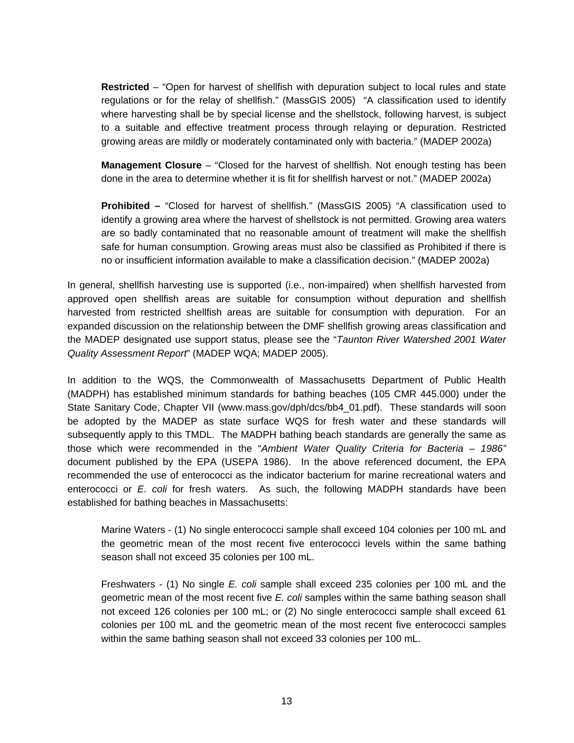**Restricted** – "Open for harvest of shellfish with depuration subject to local rules and state regulations or for the relay of shellfish." (MassGIS 2005) "A classification used to identify where harvesting shall be by special license and the shellstock, following harvest, is subject to a suitable and effective treatment process through relaying or depuration. Restricted growing areas are mildly or moderately contaminated only with bacteria." (MADEP 2002a)

**Management Closure** – "Closed for the harvest of shellfish. Not enough testing has been done in the area to determine whether it is fit for shellfish harvest or not." (MADEP 2002a)

**Prohibited –** "Closed for harvest of shellfish." (MassGIS 2005) "A classification used to identify a growing area where the harvest of shellstock is not permitted. Growing area waters are so badly contaminated that no reasonable amount of treatment will make the shellfish safe for human consumption. Growing areas must also be classified as Prohibited if there is no or insufficient information available to make a classification decision." (MADEP 2002a)

In general, shellfish harvesting use is supported (i.e., non-impaired) when shellfish harvested from approved open shellfish areas are suitable for consumption without depuration and shellfish harvested from restricted shellfish areas are suitable for consumption with depuration. For an expanded discussion on the relationship between the DMF shellfish growing areas classification and the MADEP designated use support status, please see the "*Taunton River Watershed 2001 Water Quality Assessment Report*" (MADEP WQA; MADEP 2005).

In addition to the WQS, the Commonwealth of Massachusetts Department of Public Health (MADPH) has established minimum standards for bathing beaches (105 CMR 445.000) under the State Sanitary Code, Chapter VII (www.mass.gov/dph/dcs/bb4\_01.pdf). These standards will soon be adopted by the MADEP as state surface WQS for fresh water and these standards will subsequently apply to this TMDL. The MADPH bathing beach standards are generally the same as those which were recommended in the "*Ambient Water Quality Criteria for Bacteria – 1986"* document published by the EPA (USEPA 1986). In the above referenced document, the EPA recommended the use of enterococci as the indicator bacterium for marine recreational waters and enterococci or *E. coli* for fresh waters. As such, the following MADPH standards have been established for bathing beaches in Massachusetts:

Marine Waters - (1) No single enterococci sample shall exceed 104 colonies per 100 mL and the geometric mean of the most recent five enterococci levels within the same bathing season shall not exceed 35 colonies per 100 mL.

Freshwaters - (1) No single *E. coli* sample shall exceed 235 colonies per 100 mL and the geometric mean of the most recent five *E. coli* samples within the same bathing season shall not exceed 126 colonies per 100 mL; or (2) No single enterococci sample shall exceed 61 colonies per 100 mL and the geometric mean of the most recent five enterococci samples within the same bathing season shall not exceed 33 colonies per 100 mL.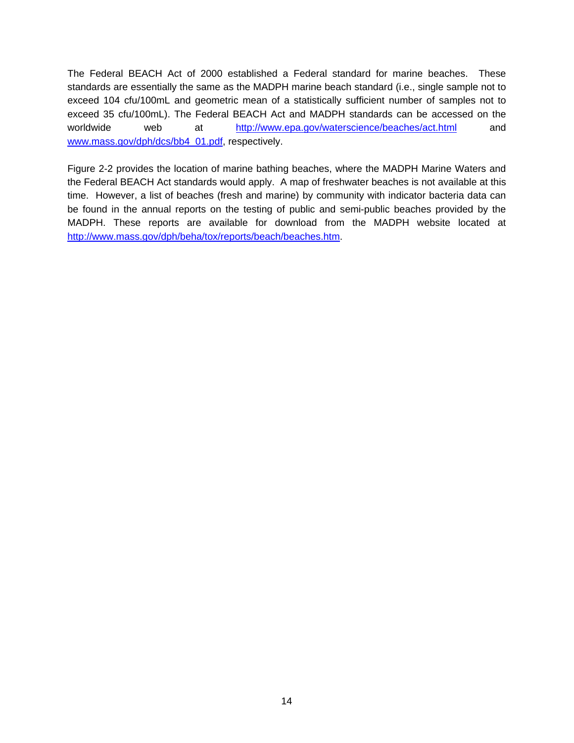The Federal BEACH Act of 2000 established a Federal standard for marine beaches. These standards are essentially the same as the MADPH marine beach standard (i.e., single sample not to exceed 104 cfu/100mL and geometric mean of a statistically sufficient number of samples not to exceed 35 cfu/100mL). The Federal BEACH Act and MADPH standards can be accessed on the worldwide web at http://www.epa.gov/waterscience/beaches/act.html and www.mass.gov/dph/dcs/bb4\_01.pdf, respectively.

Figure 2-2 provides the location of marine bathing beaches, where the MADPH Marine Waters and the Federal BEACH Act standards would apply. A map of freshwater beaches is not available at this time. However, a list of beaches (fresh and marine) by community with indicator bacteria data can be found in the annual reports on the testing of public and semi-public beaches provided by the MADPH. These reports are available for download from the MADPH website located at http://www.mass.gov/dph/beha/tox/reports/beach/beaches.htm.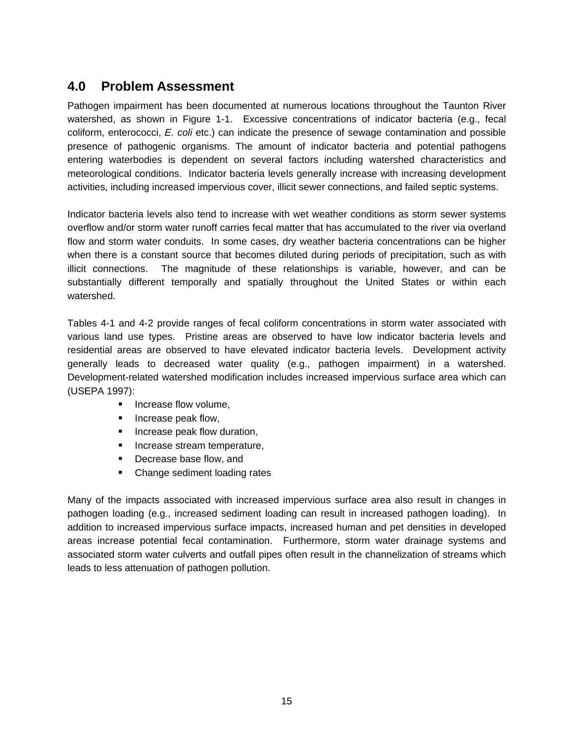# **4.0 Problem Assessment**

Pathogen impairment has been documented at numerous locations throughout the Taunton River watershed, as shown in Figure 1-1. Excessive concentrations of indicator bacteria (e.g., fecal coliform, enterococci, *E. coli* etc.) can indicate the presence of sewage contamination and possible presence of pathogenic organisms. The amount of indicator bacteria and potential pathogens entering waterbodies is dependent on several factors including watershed characteristics and meteorological conditions. Indicator bacteria levels generally increase with increasing development activities, including increased impervious cover, illicit sewer connections, and failed septic systems.

Indicator bacteria levels also tend to increase with wet weather conditions as storm sewer systems overflow and/or storm water runoff carries fecal matter that has accumulated to the river via overland flow and storm water conduits. In some cases, dry weather bacteria concentrations can be higher when there is a constant source that becomes diluted during periods of precipitation, such as with illicit connections. The magnitude of these relationships is variable, however, and can be substantially different temporally and spatially throughout the United States or within each watershed.

Tables 4-1 and 4-2 provide ranges of fecal coliform concentrations in storm water associated with various land use types. Pristine areas are observed to have low indicator bacteria levels and residential areas are observed to have elevated indicator bacteria levels. Development activity generally leads to decreased water quality (e.g., pathogen impairment) in a watershed. Development-related watershed modification includes increased impervious surface area which can (USEPA 1997):

- **Increase flow volume,**
- **Increase peak flow,**
- **Increase peak flow duration,**
- **Increase stream temperature,**
- **Decrease base flow, and**
- Change sediment loading rates

Many of the impacts associated with increased impervious surface area also result in changes in pathogen loading (e.g., increased sediment loading can result in increased pathogen loading). In addition to increased impervious surface impacts, increased human and pet densities in developed areas increase potential fecal contamination. Furthermore, storm water drainage systems and associated storm water culverts and outfall pipes often result in the channelization of streams which leads to less attenuation of pathogen pollution.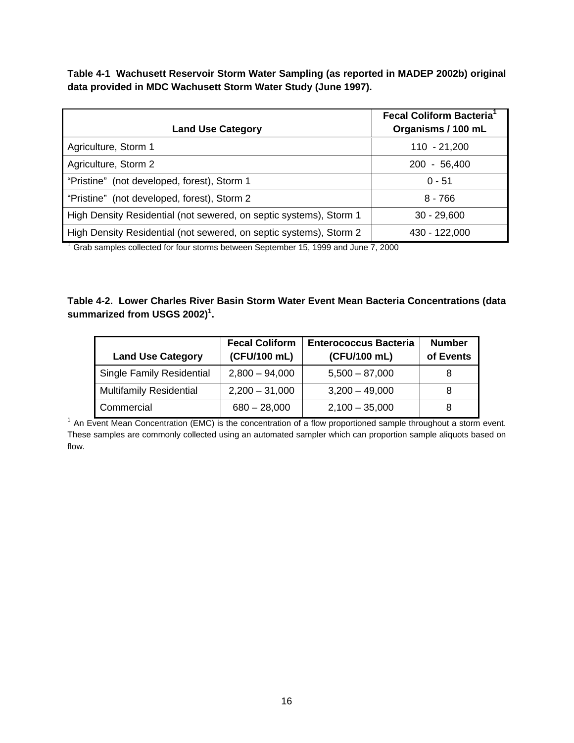**Table 4-1 Wachusett Reservoir Storm Water Sampling (as reported in MADEP 2002b) original data provided in MDC Wachusett Storm Water Study (June 1997).** 

| <b>Land Use Category</b>                                           | <b>Fecal Coliform Bacteria</b> <sup>1</sup><br>Organisms / 100 mL |
|--------------------------------------------------------------------|-------------------------------------------------------------------|
| Agriculture, Storm 1                                               | $110 - 21,200$                                                    |
| Agriculture, Storm 2                                               | $-56,400$<br><b>200</b>                                           |
| "Pristine" (not developed, forest), Storm 1                        | $0 - 51$                                                          |
| "Pristine" (not developed, forest), Storm 2                        | $8 - 766$                                                         |
| High Density Residential (not sewered, on septic systems), Storm 1 | $30 - 29,600$                                                     |
| High Density Residential (not sewered, on septic systems), Storm 2 | 430 - 122,000                                                     |

<sup>1</sup> Grab samples collected for four storms between September 15, 1999 and June 7, 2000

#### **Table 4-2. Lower Charles River Basin Storm Water Event Mean Bacteria Concentrations (data**  summarized from USGS 2002)<sup>1</sup>.

| <b>Land Use Category</b>         | <b>Fecal Coliform</b><br>(CFU/100 mL) | <b>Enterococcus Bacteria</b><br>(CFU/100 mL) | <b>Number</b><br>of Events |
|----------------------------------|---------------------------------------|----------------------------------------------|----------------------------|
| <b>Single Family Residential</b> | $2,800 - 94,000$                      | $5,500 - 87,000$                             |                            |
| <b>Multifamily Residential</b>   | $2,200 - 31,000$                      | $3,200 - 49,000$                             |                            |
| Commercial                       | $680 - 28,000$                        | $2,100 - 35,000$                             | 8                          |

<sup>1</sup> An Event Mean Concentration (EMC) is the concentration of a flow proportioned sample throughout a storm event. These samples are commonly collected using an automated sampler which can proportion sample aliquots based on flow.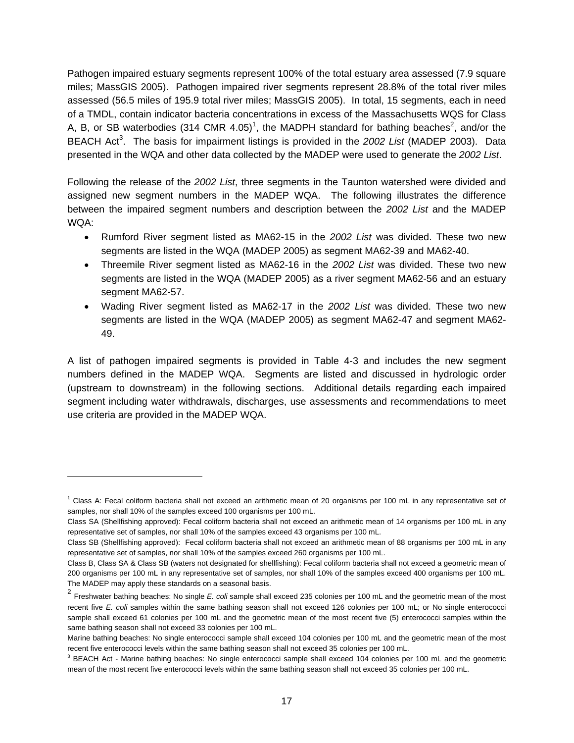Pathogen impaired estuary segments represent 100% of the total estuary area assessed (7.9 square miles; MassGIS 2005). Pathogen impaired river segments represent 28.8% of the total river miles assessed (56.5 miles of 195.9 total river miles; MassGIS 2005). In total, 15 segments, each in need of a TMDL, contain indicator bacteria concentrations in excess of the Massachusetts WQS for Class A, B, or SB waterbodies (314 CMR 4.05)<sup>1</sup>, the MADPH standard for bathing beaches<sup>2</sup>, and/or the BEACH Act<sup>3</sup>. The basis for impairment listings is provided in the 2002 List (MADEP 2003). Data presented in the WQA and other data collected by the MADEP were used to generate the *2002 List*.

Following the release of the *2002 List*, three segments in the Taunton watershed were divided and assigned new segment numbers in the MADEP WQA. The following illustrates the difference between the impaired segment numbers and description between the *2002 List* and the MADEP WQA:

- Rumford River segment listed as MA62-15 in the *2002 List* was divided. These two new segments are listed in the WQA (MADEP 2005) as segment MA62-39 and MA62-40.
- Threemile River segment listed as MA62-16 in the *2002 List* was divided. These two new segments are listed in the WQA (MADEP 2005) as a river segment MA62-56 and an estuary segment MA62-57.
- Wading River segment listed as MA62-17 in the *2002 List* was divided. These two new segments are listed in the WQA (MADEP 2005) as segment MA62-47 and segment MA62- 49.

A list of pathogen impaired segments is provided in Table 4-3 and includes the new segment numbers defined in the MADEP WQA. Segments are listed and discussed in hydrologic order (upstream to downstream) in the following sections. Additional details regarding each impaired segment including water withdrawals, discharges, use assessments and recommendations to meet use criteria are provided in the MADEP WQA.

 $\overline{a}$ 

<sup>1</sup> Class A: Fecal coliform bacteria shall not exceed an arithmetic mean of 20 organisms per 100 mL in any representative set of samples, nor shall 10% of the samples exceed 100 organisms per 100 mL.

Class SA (Shellfishing approved): Fecal coliform bacteria shall not exceed an arithmetic mean of 14 organisms per 100 mL in any representative set of samples, nor shall 10% of the samples exceed 43 organisms per 100 mL.

Class SB (Shellfishing approved): Fecal coliform bacteria shall not exceed an arithmetic mean of 88 organisms per 100 mL in any representative set of samples, nor shall 10% of the samples exceed 260 organisms per 100 mL.

Class B, Class SA & Class SB (waters not designated for shellfishing): Fecal coliform bacteria shall not exceed a geometric mean of 200 organisms per 100 mL in any representative set of samples, nor shall 10% of the samples exceed 400 organisms per 100 mL. The MADEP may apply these standards on a seasonal basis.

<sup>2</sup> Freshwater bathing beaches: No single *E. coli* sample shall exceed 235 colonies per 100 mL and the geometric mean of the most recent five *E. coli* samples within the same bathing season shall not exceed 126 colonies per 100 mL; or No single enterococci sample shall exceed 61 colonies per 100 mL and the geometric mean of the most recent five (5) enterococci samples within the same bathing season shall not exceed 33 colonies per 100 mL.

Marine bathing beaches: No single enterococci sample shall exceed 104 colonies per 100 mL and the geometric mean of the most recent five enterococci levels within the same bathing season shall not exceed 35 colonies per 100 mL.

<sup>&</sup>lt;sup>3</sup> BEACH Act - Marine bathing beaches: No single enterococci sample shall exceed 104 colonies per 100 mL and the geometric mean of the most recent five enterococci levels within the same bathing season shall not exceed 35 colonies per 100 mL.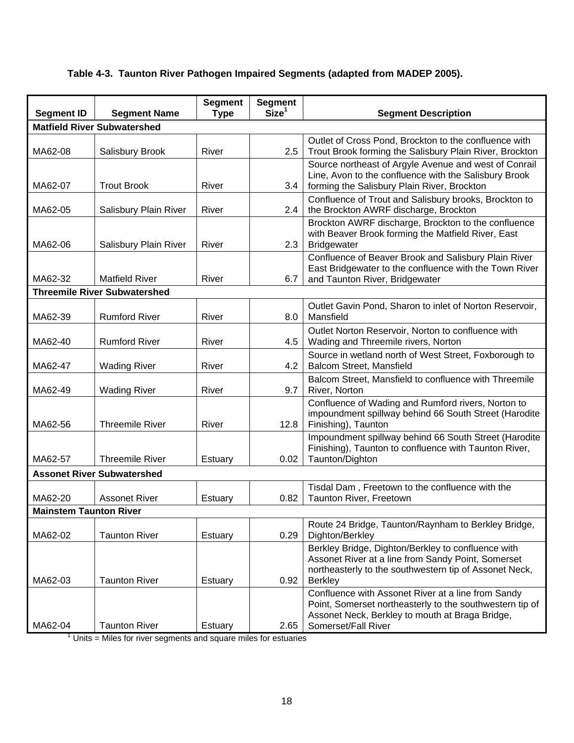| <b>Segment ID</b>             | <b>Segment Name</b>                                                                     | <b>Segment</b><br><b>Type</b> | <b>Segment</b><br>Size <sup>1</sup> | <b>Segment Description</b>                                                                                                                                                               |
|-------------------------------|-----------------------------------------------------------------------------------------|-------------------------------|-------------------------------------|------------------------------------------------------------------------------------------------------------------------------------------------------------------------------------------|
|                               | <b>Matfield River Subwatershed</b>                                                      |                               |                                     |                                                                                                                                                                                          |
| MA62-08                       | Salisbury Brook                                                                         | River                         | 2.5                                 | Outlet of Cross Pond, Brockton to the confluence with<br>Trout Brook forming the Salisbury Plain River, Brockton                                                                         |
| MA62-07                       | <b>Trout Brook</b>                                                                      | River                         | 3.4                                 | Source northeast of Argyle Avenue and west of Conrail<br>Line, Avon to the confluence with the Salisbury Brook<br>forming the Salisbury Plain River, Brockton                            |
| MA62-05                       | Salisbury Plain River                                                                   | River                         | 2.4                                 | Confluence of Trout and Salisbury brooks, Brockton to<br>the Brockton AWRF discharge, Brockton                                                                                           |
| MA62-06                       | Salisbury Plain River                                                                   | River                         | 2.3                                 | Brockton AWRF discharge, Brockton to the confluence<br>with Beaver Brook forming the Matfield River, East<br><b>Bridgewater</b>                                                          |
| MA62-32                       | <b>Matfield River</b>                                                                   | River                         | 6.7                                 | Confluence of Beaver Brook and Salisbury Plain River<br>East Bridgewater to the confluence with the Town River<br>and Taunton River, Bridgewater                                         |
|                               | <b>Threemile River Subwatershed</b>                                                     |                               |                                     |                                                                                                                                                                                          |
| MA62-39                       | <b>Rumford River</b>                                                                    | River                         | 8.0                                 | Outlet Gavin Pond, Sharon to inlet of Norton Reservoir,<br>Mansfield                                                                                                                     |
| MA62-40                       | <b>Rumford River</b>                                                                    | River                         | 4.5                                 | Outlet Norton Reservoir, Norton to confluence with<br>Wading and Threemile rivers, Norton                                                                                                |
| MA62-47                       | <b>Wading River</b>                                                                     | River                         | 4.2                                 | Source in wetland north of West Street, Foxborough to<br>Balcom Street, Mansfield                                                                                                        |
| MA62-49                       | <b>Wading River</b>                                                                     | River                         | 9.7                                 | Balcom Street, Mansfield to confluence with Threemile<br>River, Norton                                                                                                                   |
| MA62-56                       | <b>Threemile River</b>                                                                  | River                         | 12.8                                | Confluence of Wading and Rumford rivers, Norton to<br>impoundment spillway behind 66 South Street (Harodite<br>Finishing), Taunton                                                       |
| MA62-57                       | <b>Threemile River</b>                                                                  | Estuary                       | 0.02                                | Impoundment spillway behind 66 South Street (Harodite<br>Finishing), Taunton to confluence with Taunton River,<br>Taunton/Dighton                                                        |
|                               | <b>Assonet River Subwatershed</b>                                                       |                               |                                     |                                                                                                                                                                                          |
| MA62-20                       | <b>Assonet River</b>                                                                    | Estuary                       | 0.82                                | Tisdal Dam, Freetown to the confluence with the<br>Taunton River, Freetown                                                                                                               |
| <b>Mainstem Taunton River</b> |                                                                                         |                               |                                     |                                                                                                                                                                                          |
| MA62-02                       | <b>Taunton River</b>                                                                    | <b>Estuary</b>                | 0.29                                | Route 24 Bridge, Taunton/Raynham to Berkley Bridge,<br>Dighton/Berkley                                                                                                                   |
| MA62-03                       | <b>Taunton River</b>                                                                    | Estuary                       | 0.92                                | Berkley Bridge, Dighton/Berkley to confluence with<br>Assonet River at a line from Sandy Point, Somerset<br>northeasterly to the southwestern tip of Assonet Neck,<br><b>Berkley</b>     |
| MA62-04                       | <b>Taunton River</b><br>Units = Miles for river segments and square miles for estuaries | Estuary                       | 2.65                                | Confluence with Assonet River at a line from Sandy<br>Point, Somerset northeasterly to the southwestern tip of<br>Assonet Neck, Berkley to mouth at Braga Bridge,<br>Somerset/Fall River |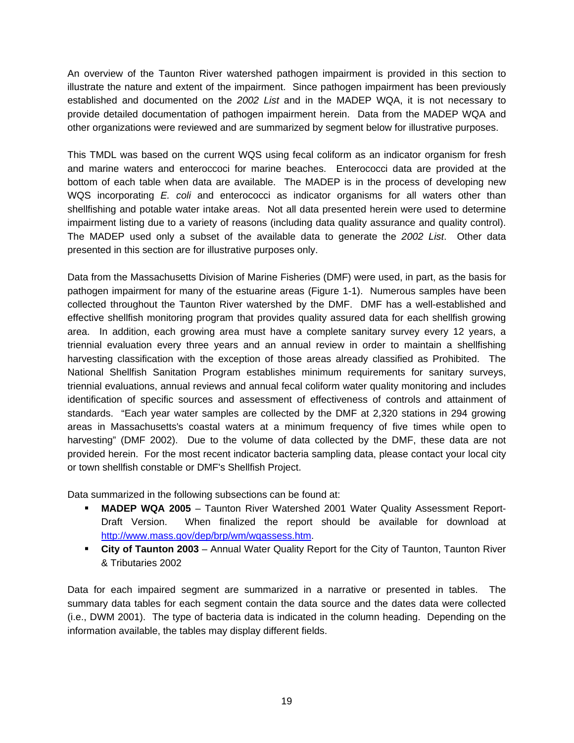An overview of the Taunton River watershed pathogen impairment is provided in this section to illustrate the nature and extent of the impairment. Since pathogen impairment has been previously established and documented on the *2002 List* and in the MADEP WQA, it is not necessary to provide detailed documentation of pathogen impairment herein. Data from the MADEP WQA and other organizations were reviewed and are summarized by segment below for illustrative purposes.

This TMDL was based on the current WQS using fecal coliform as an indicator organism for fresh and marine waters and enteroccoci for marine beaches. Enterococci data are provided at the bottom of each table when data are available. The MADEP is in the process of developing new WQS incorporating *E. coli* and enterococci as indicator organisms for all waters other than shellfishing and potable water intake areas. Not all data presented herein were used to determine impairment listing due to a variety of reasons (including data quality assurance and quality control). The MADEP used only a subset of the available data to generate the *2002 List*. Other data presented in this section are for illustrative purposes only.

Data from the Massachusetts Division of Marine Fisheries (DMF) were used, in part, as the basis for pathogen impairment for many of the estuarine areas (Figure 1-1). Numerous samples have been collected throughout the Taunton River watershed by the DMF. DMF has a well-established and effective shellfish monitoring program that provides quality assured data for each shellfish growing area. In addition, each growing area must have a complete sanitary survey every 12 years, a triennial evaluation every three years and an annual review in order to maintain a shellfishing harvesting classification with the exception of those areas already classified as Prohibited. The National Shellfish Sanitation Program establishes minimum requirements for sanitary surveys, triennial evaluations, annual reviews and annual fecal coliform water quality monitoring and includes identification of specific sources and assessment of effectiveness of controls and attainment of standards. "Each year water samples are collected by the DMF at 2,320 stations in 294 growing areas in Massachusetts's coastal waters at a minimum frequency of five times while open to harvesting" (DMF 2002). Due to the volume of data collected by the DMF, these data are not provided herein. For the most recent indicator bacteria sampling data, please contact your local city or town shellfish constable or DMF's Shellfish Project.

Data summarized in the following subsections can be found at:

- **MADEP WQA 2005**  Taunton River Watershed 2001 Water Quality Assessment Report-Draft Version. When finalized the report should be available for download at http://www.mass.gov/dep/brp/wm/wqassess.htm.
- **City of Taunton 2003** Annual Water Quality Report for the City of Taunton, Taunton River & Tributaries 2002

Data for each impaired segment are summarized in a narrative or presented in tables. The summary data tables for each segment contain the data source and the dates data were collected (i.e., DWM 2001). The type of bacteria data is indicated in the column heading. Depending on the information available, the tables may display different fields.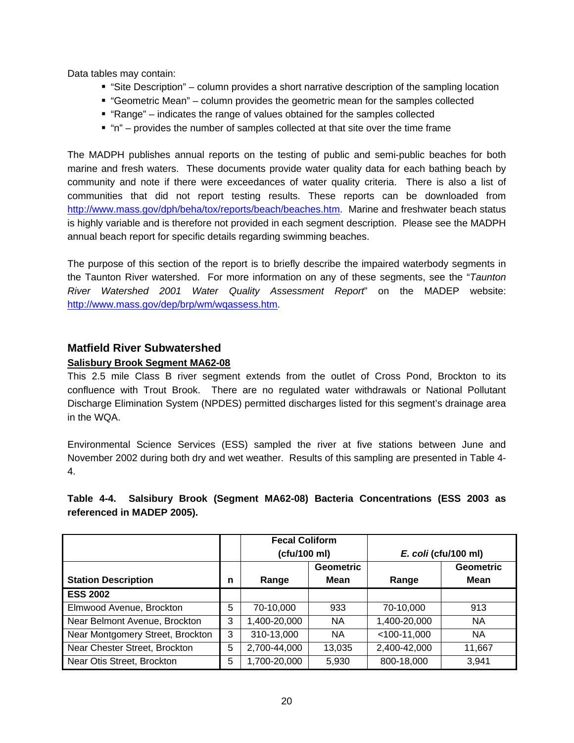Data tables may contain:

- "Site Description" column provides a short narrative description of the sampling location
- "Geometric Mean" column provides the geometric mean for the samples collected
- "Range" indicates the range of values obtained for the samples collected
- $"$  "n" provides the number of samples collected at that site over the time frame

The MADPH publishes annual reports on the testing of public and semi-public beaches for both marine and fresh waters. These documents provide water quality data for each bathing beach by community and note if there were exceedances of water quality criteria. There is also a list of communities that did not report testing results. These reports can be downloaded from http://www.mass.gov/dph/beha/tox/reports/beach/beaches.htm. Marine and freshwater beach status is highly variable and is therefore not provided in each segment description. Please see the MADPH annual beach report for specific details regarding swimming beaches.

The purpose of this section of the report is to briefly describe the impaired waterbody segments in the Taunton River watershed. For more information on any of these segments, see the "*Taunton River Watershed 2001 Water Quality Assessment Report*" on the MADEP website: http://www.mass.gov/dep/brp/wm/wqassess.htm.

## **Matfield River Subwatershed**

#### **Salisbury Brook Segment MA62-08**

This 2.5 mile Class B river segment extends from the outlet of Cross Pond, Brockton to its confluence with Trout Brook. There are no regulated water withdrawals or National Pollutant Discharge Elimination System (NPDES) permitted discharges listed for this segment's drainage area in the WQA.

Environmental Science Services (ESS) sampled the river at five stations between June and November 2002 during both dry and wet weather. Results of this sampling are presented in Table 4- 4.

#### **Table 4-4. Salsibury Brook (Segment MA62-08) Bacteria Concentrations (ESS 2003 as referenced in MADEP 2005).**

|                                  |   | <b>Fecal Coliform</b> |                  |                      |                  |
|----------------------------------|---|-----------------------|------------------|----------------------|------------------|
|                                  |   | (cfu/100 ml)          |                  | E. coli (cfu/100 ml) |                  |
|                                  |   |                       | <b>Geometric</b> |                      | <b>Geometric</b> |
| <b>Station Description</b>       | n | Range                 | Mean             | Range                | Mean             |
| <b>ESS 2002</b>                  |   |                       |                  |                      |                  |
| Elmwood Avenue, Brockton         | 5 | 70-10,000             | 933              | 70-10,000            | 913              |
| Near Belmont Avenue, Brockton    | 3 | 1,400-20,000          | NA.              | 1,400-20,000         | <b>NA</b>        |
| Near Montgomery Street, Brockton | 3 | 310-13,000            | <b>NA</b>        | $<$ 100-11,000       | <b>NA</b>        |
| Near Chester Street, Brockton    | 5 | 2,700-44,000          | 13,035           | 2,400-42,000         | 11,667           |
| Near Otis Street, Brockton       | 5 | 1,700-20,000          | 5,930            | 800-18,000           | 3,941            |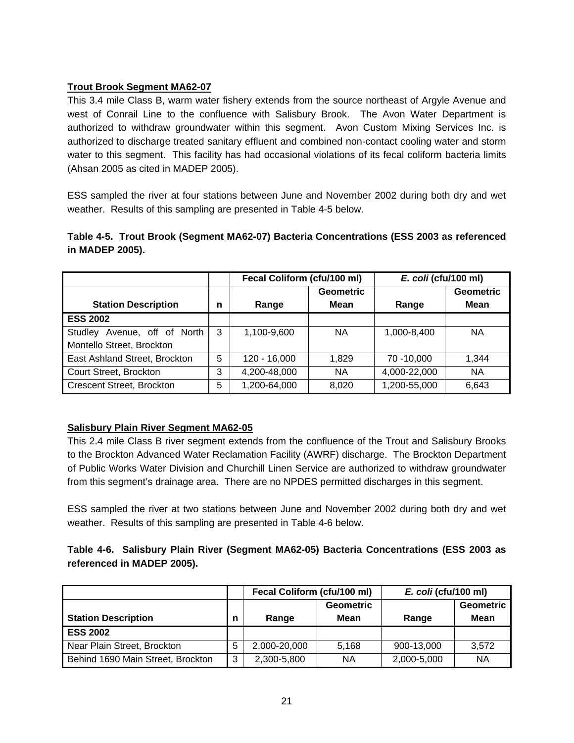#### **Trout Brook Segment MA62-07**

This 3.4 mile Class B, warm water fishery extends from the source northeast of Argyle Avenue and west of Conrail Line to the confluence with Salisbury Brook. The Avon Water Department is authorized to withdraw groundwater within this segment. Avon Custom Mixing Services Inc. is authorized to discharge treated sanitary effluent and combined non-contact cooling water and storm water to this segment. This facility has had occasional violations of its fecal coliform bacteria limits (Ahsan 2005 as cited in MADEP 2005).

ESS sampled the river at four stations between June and November 2002 during both dry and wet weather. Results of this sampling are presented in Table 4-5 below.

#### **Table 4-5. Trout Brook (Segment MA62-07) Bacteria Concentrations (ESS 2003 as referenced in MADEP 2005).**

|                                                              |   | Fecal Coliform (cfu/100 ml) |                          | E. coli (cfu/100 ml) |                          |
|--------------------------------------------------------------|---|-----------------------------|--------------------------|----------------------|--------------------------|
| <b>Station Description</b>                                   | n | Range                       | <b>Geometric</b><br>Mean | Range                | <b>Geometric</b><br>Mean |
| <b>ESS 2002</b>                                              |   |                             |                          |                      |                          |
| Avenue, off of North<br>Studley<br>Montello Street, Brockton | 3 | 1.100-9.600                 | NА                       | 1,000-8,400          | NА                       |
| East Ashland Street, Brockton                                | 5 | 120 - 16.000                | 1.829                    | 70 -10,000           | 1,344                    |
| Court Street, Brockton                                       | 3 | 4,200-48,000                | ΝA                       | 4,000-22,000         | NА                       |
| <b>Crescent Street, Brockton</b>                             | 5 | 1,200-64,000                | 8,020                    | 1,200-55,000         | 6,643                    |

#### **Salisbury Plain River Segment MA62-05**

This 2.4 mile Class B river segment extends from the confluence of the Trout and Salisbury Brooks to the Brockton Advanced Water Reclamation Facility (AWRF) discharge. The Brockton Department of Public Works Water Division and Churchill Linen Service are authorized to withdraw groundwater from this segment's drainage area. There are no NPDES permitted discharges in this segment.

ESS sampled the river at two stations between June and November 2002 during both dry and wet weather. Results of this sampling are presented in Table 4-6 below.

## **Table 4-6. Salisbury Plain River (Segment MA62-05) Bacteria Concentrations (ESS 2003 as referenced in MADEP 2005).**

|                                   |   | Fecal Coliform (cfu/100 ml) |                  | E. coli (cfu/100 ml) |                  |
|-----------------------------------|---|-----------------------------|------------------|----------------------|------------------|
|                                   |   |                             | <b>Geometric</b> |                      | <b>Geometric</b> |
| <b>Station Description</b>        | n | Range                       | Mean             | Range                | Mean             |
| <b>ESS 2002</b>                   |   |                             |                  |                      |                  |
| Near Plain Street, Brockton       | 5 | 2.000-20.000                | 5.168            | 900-13,000           | 3.572            |
| Behind 1690 Main Street, Brockton | 3 | 2,300-5,800                 | ΝA               | 2,000-5,000          | <b>NA</b>        |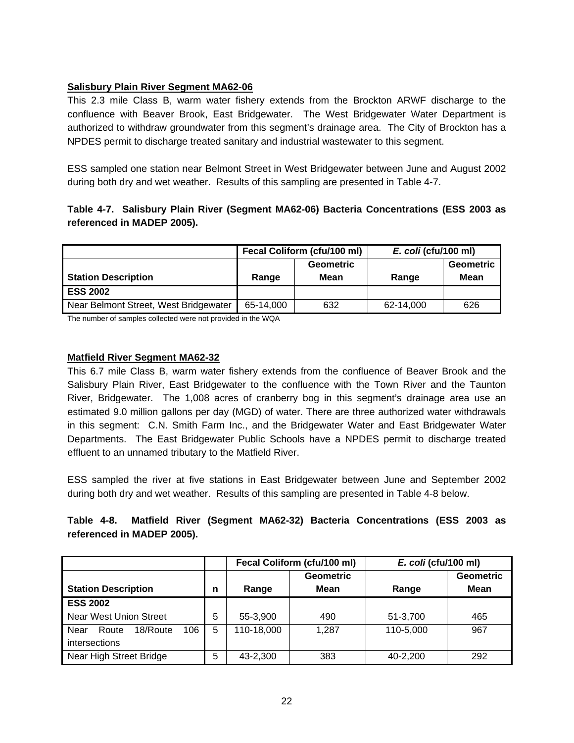#### **Salisbury Plain River Segment MA62-06**

This 2.3 mile Class B, warm water fishery extends from the Brockton ARWF discharge to the confluence with Beaver Brook, East Bridgewater. The West Bridgewater Water Department is authorized to withdraw groundwater from this segment's drainage area. The City of Brockton has a NPDES permit to discharge treated sanitary and industrial wastewater to this segment.

ESS sampled one station near Belmont Street in West Bridgewater between June and August 2002 during both dry and wet weather. Results of this sampling are presented in Table 4-7.

#### **Table 4-7. Salisbury Plain River (Segment MA62-06) Bacteria Concentrations (ESS 2003 as referenced in MADEP 2005).**

|                                       | Fecal Coliform (cfu/100 ml) |      | E. coli (cfu/100 ml) |           |
|---------------------------------------|-----------------------------|------|----------------------|-----------|
|                                       | <b>Geometric</b>            |      |                      | Geometric |
| <b>Station Description</b>            | Range                       | Mean | Range                | Mean      |
| <b>ESS 2002</b>                       |                             |      |                      |           |
| Near Belmont Street, West Bridgewater | 65-14.000                   | 632  | 62-14,000            | 626       |

The number of samples collected were not provided in the WQA

#### **Matfield River Segment MA62-32**

This 6.7 mile Class B, warm water fishery extends from the confluence of Beaver Brook and the Salisbury Plain River, East Bridgewater to the confluence with the Town River and the Taunton River, Bridgewater. The 1,008 acres of cranberry bog in this segment's drainage area use an estimated 9.0 million gallons per day (MGD) of water. There are three authorized water withdrawals in this segment: C.N. Smith Farm Inc., and the Bridgewater Water and East Bridgewater Water Departments. The East Bridgewater Public Schools have a NPDES permit to discharge treated effluent to an unnamed tributary to the Matfield River.

ESS sampled the river at five stations in East Bridgewater between June and September 2002 during both dry and wet weather. Results of this sampling are presented in Table 4-8 below.

#### **Table 4-8. Matfield River (Segment MA62-32) Bacteria Concentrations (ESS 2003 as referenced in MADEP 2005).**

|                                  |   | Fecal Coliform (cfu/100 ml) |                  | E. coli (cfu/100 ml) |                  |
|----------------------------------|---|-----------------------------|------------------|----------------------|------------------|
|                                  |   |                             | <b>Geometric</b> |                      | <b>Geometric</b> |
| <b>Station Description</b>       | n | Range                       | <b>Mean</b>      | Range                | Mean             |
| <b>ESS 2002</b>                  |   |                             |                  |                      |                  |
| Near West Union Street           | 5 | 55-3,900                    | 490              | 51-3,700             | 465              |
| 106<br>18/Route<br>Near<br>Route | 5 | 110-18,000                  | 1.287            | 110-5,000            | 967              |
| intersections                    |   |                             |                  |                      |                  |
| Near High Street Bridge          | 5 | 43-2,300                    | 383              | 40-2,200             | 292              |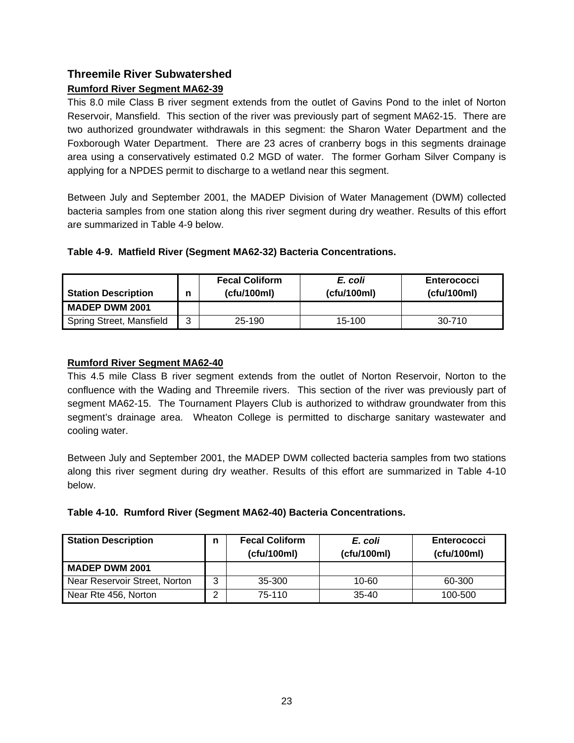## **Threemile River Subwatershed Rumford River Segment MA62-39**

This 8.0 mile Class B river segment extends from the outlet of Gavins Pond to the inlet of Norton Reservoir, Mansfield. This section of the river was previously part of segment MA62-15. There are two authorized groundwater withdrawals in this segment: the Sharon Water Department and the Foxborough Water Department. There are 23 acres of cranberry bogs in this segments drainage area using a conservatively estimated 0.2 MGD of water. The former Gorham Silver Company is applying for a NPDES permit to discharge to a wetland near this segment.

Between July and September 2001, the MADEP Division of Water Management (DWM) collected bacteria samples from one station along this river segment during dry weather. Results of this effort are summarized in Table 4-9 below.

#### **Table 4-9. Matfield River (Segment MA62-32) Bacteria Concentrations.**

| Station Description<br>n |   | <b>Fecal Coliform</b><br>(ctu/100ml) | E. coli<br>(ctu/100ml) | <b>Enterococci</b><br>(cfu/100ml) |  |
|--------------------------|---|--------------------------------------|------------------------|-----------------------------------|--|
| MADEP DWM 2001           |   |                                      |                        |                                   |  |
| Spring Street, Mansfield | ⌒ | 25-190                               | 15-100                 | 30-710                            |  |

#### **Rumford River Segment MA62-40**

This 4.5 mile Class B river segment extends from the outlet of Norton Reservoir, Norton to the confluence with the Wading and Threemile rivers. This section of the river was previously part of segment MA62-15. The Tournament Players Club is authorized to withdraw groundwater from this segment's drainage area. Wheaton College is permitted to discharge sanitary wastewater and cooling water.

Between July and September 2001, the MADEP DWM collected bacteria samples from two stations along this river segment during dry weather. Results of this effort are summarized in Table 4-10 below.

|  |  | Table 4-10. Rumford River (Segment MA62-40) Bacteria Concentrations. |
|--|--|----------------------------------------------------------------------|
|  |  |                                                                      |

| <b>Station Description</b>    | n | <b>Fecal Coliform</b><br>(cfu/100ml) | E. coli<br>(cfu/100ml) | <b>Enterococci</b><br>(cfu/100ml) |
|-------------------------------|---|--------------------------------------|------------------------|-----------------------------------|
| <b>MADEP DWM 2001</b>         |   |                                      |                        |                                   |
| Near Reservoir Street, Norton | ◠ | 35-300                               | 10-60                  | 60-300                            |
| Near Rte 456, Norton          |   | 75-110                               | $35 - 40$              | 100-500                           |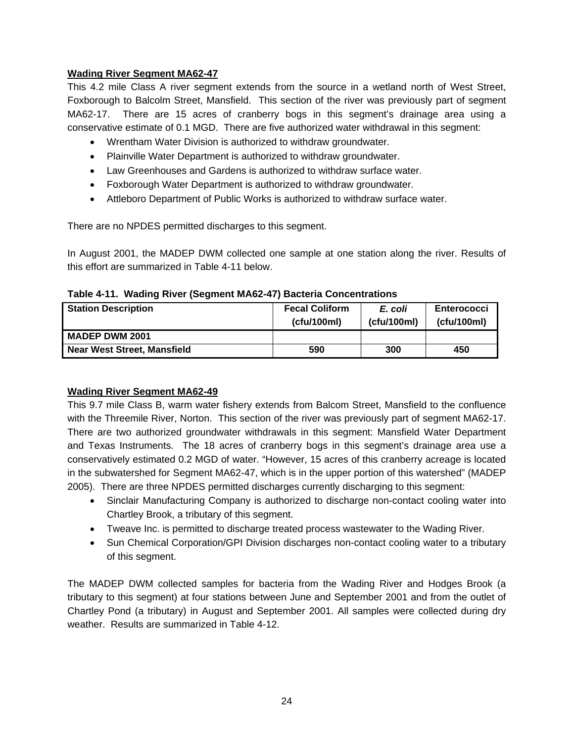#### **Wading River Segment MA62-47**

This 4.2 mile Class A river segment extends from the source in a wetland north of West Street, Foxborough to Balcolm Street, Mansfield. This section of the river was previously part of segment MA62-17. There are 15 acres of cranberry bogs in this segment's drainage area using a conservative estimate of 0.1 MGD. There are five authorized water withdrawal in this segment:

- Wrentham Water Division is authorized to withdraw groundwater.
- Plainville Water Department is authorized to withdraw groundwater.
- Law Greenhouses and Gardens is authorized to withdraw surface water.
- Foxborough Water Department is authorized to withdraw groundwater.
- Attleboro Department of Public Works is authorized to withdraw surface water.

There are no NPDES permitted discharges to this segment.

In August 2001, the MADEP DWM collected one sample at one station along the river. Results of this effort are summarized in Table 4-11 below.

|  |  |  | Table 4-11. Wading River (Segment MA62-47) Bacteria Concentrations |
|--|--|--|--------------------------------------------------------------------|
|--|--|--|--------------------------------------------------------------------|

| <b>Station Description</b>         | <b>Fecal Coliform</b><br>(ctu/100m) | E. coli<br>(ctu/100m) | <b>Enterococci</b><br>(ctu/100ml) |
|------------------------------------|-------------------------------------|-----------------------|-----------------------------------|
| <b>MADEP DWM 2001</b>              |                                     |                       |                                   |
| <b>Near West Street, Mansfield</b> | 590                                 | 300                   | 450                               |

#### **Wading River Segment MA62-49**

This 9.7 mile Class B, warm water fishery extends from Balcom Street, Mansfield to the confluence with the Threemile River, Norton. This section of the river was previously part of segment MA62-17. There are two authorized groundwater withdrawals in this segment: Mansfield Water Department and Texas Instruments. The 18 acres of cranberry bogs in this segment's drainage area use a conservatively estimated 0.2 MGD of water. "However, 15 acres of this cranberry acreage is located in the subwatershed for Segment MA62-47, which is in the upper portion of this watershed" (MADEP 2005). There are three NPDES permitted discharges currently discharging to this segment:

- Sinclair Manufacturing Company is authorized to discharge non-contact cooling water into Chartley Brook, a tributary of this segment.
- Tweave Inc. is permitted to discharge treated process wastewater to the Wading River.
- Sun Chemical Corporation/GPI Division discharges non-contact cooling water to a tributary of this segment.

The MADEP DWM collected samples for bacteria from the Wading River and Hodges Brook (a tributary to this segment) at four stations between June and September 2001 and from the outlet of Chartley Pond (a tributary) in August and September 2001. All samples were collected during dry weather. Results are summarized in Table 4-12.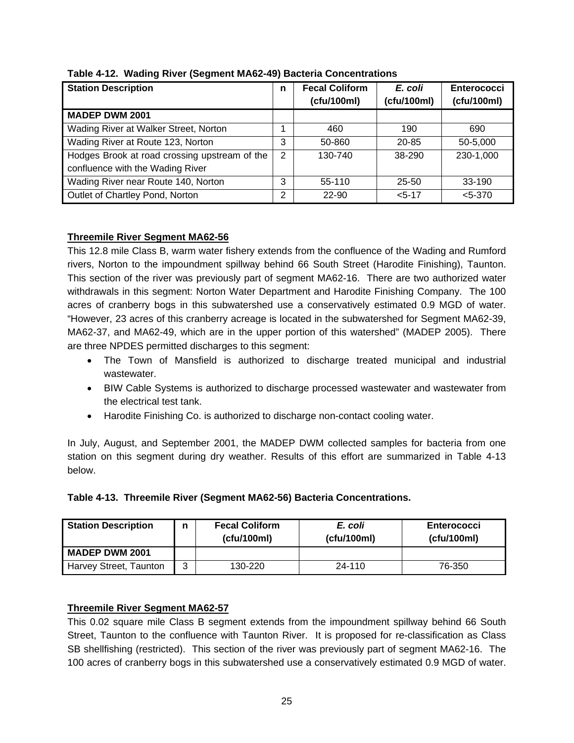| <b>Station Description</b>                    | n              | <b>Fecal Coliform</b><br>(cfu/100ml) | E. coli<br>(cfu/100ml) | Enterococci<br>(cfu/100ml) |
|-----------------------------------------------|----------------|--------------------------------------|------------------------|----------------------------|
| <b>MADEP DWM 2001</b>                         |                |                                      |                        |                            |
| Wading River at Walker Street, Norton         |                | 460                                  | 190                    | 690                        |
| Wading River at Route 123, Norton             | 3              | 50-860                               | 20-85                  | 50-5,000                   |
| Hodges Brook at road crossing upstream of the | $\overline{2}$ | 130-740                              | 38-290                 | 230-1,000                  |
| confluence with the Wading River              |                |                                      |                        |                            |
| Wading River near Route 140, Norton           | 3              | 55-110                               | $25 - 50$              | $33-190$                   |
| Outlet of Chartley Pond, Norton               | 2              | 22-90                                | $< 5 - 17$             | $< 5 - 370$                |

**Table 4-12. Wading River (Segment MA62-49) Bacteria Concentrations** 

## **Threemile River Segment MA62-56**

This 12.8 mile Class B, warm water fishery extends from the confluence of the Wading and Rumford rivers, Norton to the impoundment spillway behind 66 South Street (Harodite Finishing), Taunton. This section of the river was previously part of segment MA62-16. There are two authorized water withdrawals in this segment: Norton Water Department and Harodite Finishing Company. The 100 acres of cranberry bogs in this subwatershed use a conservatively estimated 0.9 MGD of water. "However, 23 acres of this cranberry acreage is located in the subwatershed for Segment MA62-39, MA62-37, and MA62-49, which are in the upper portion of this watershed" (MADEP 2005). There are three NPDES permitted discharges to this segment:

- The Town of Mansfield is authorized to discharge treated municipal and industrial wastewater.
- BIW Cable Systems is authorized to discharge processed wastewater and wastewater from the electrical test tank.
- Harodite Finishing Co. is authorized to discharge non-contact cooling water.

In July, August, and September 2001, the MADEP DWM collected samples for bacteria from one station on this segment during dry weather. Results of this effort are summarized in Table 4-13 below.

|  | Table 4-13. Threemile River (Segment MA62-56) Bacteria Concentrations. |  |  |  |  |
|--|------------------------------------------------------------------------|--|--|--|--|
|--|------------------------------------------------------------------------|--|--|--|--|

| <b>Station Description</b><br>n |   | <b>Fecal Coliform</b><br>(ctu/100ml) | E. coli<br>(ctu/100ml) | <b>Enterococci</b><br>(ctu/100ml) |
|---------------------------------|---|--------------------------------------|------------------------|-----------------------------------|
| <b>MADEP DWM 2001</b>           |   |                                      |                        |                                   |
| Harvey Street, Taunton          | 3 | 130-220                              | 24-110                 | 76-350                            |

## **Threemile River Segment MA62-57**

This 0.02 square mile Class B segment extends from the impoundment spillway behind 66 South Street, Taunton to the confluence with Taunton River. It is proposed for re-classification as Class SB shellfishing (restricted). This section of the river was previously part of segment MA62-16. The 100 acres of cranberry bogs in this subwatershed use a conservatively estimated 0.9 MGD of water.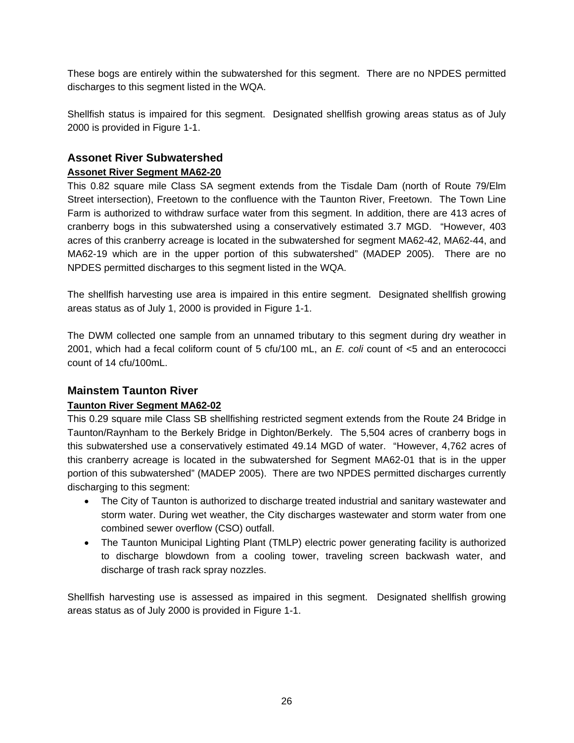These bogs are entirely within the subwatershed for this segment. There are no NPDES permitted discharges to this segment listed in the WQA.

Shellfish status is impaired for this segment. Designated shellfish growing areas status as of July 2000 is provided in Figure 1-1.

# **Assonet River Subwatershed**

## **Assonet River Segment MA62-20**

This 0.82 square mile Class SA segment extends from the Tisdale Dam (north of Route 79/Elm Street intersection), Freetown to the confluence with the Taunton River, Freetown. The Town Line Farm is authorized to withdraw surface water from this segment. In addition, there are 413 acres of cranberry bogs in this subwatershed using a conservatively estimated 3.7 MGD. "However, 403 acres of this cranberry acreage is located in the subwatershed for segment MA62-42, MA62-44, and MA62-19 which are in the upper portion of this subwatershed" (MADEP 2005). There are no NPDES permitted discharges to this segment listed in the WQA.

The shellfish harvesting use area is impaired in this entire segment. Designated shellfish growing areas status as of July 1, 2000 is provided in Figure 1-1.

The DWM collected one sample from an unnamed tributary to this segment during dry weather in 2001, which had a fecal coliform count of 5 cfu/100 mL, an *E. coli* count of <5 and an enterococci count of 14 cfu/100mL.

## **Mainstem Taunton River**

## **Taunton River Segment MA62-02**

This 0.29 square mile Class SB shellfishing restricted segment extends from the Route 24 Bridge in Taunton/Raynham to the Berkely Bridge in Dighton/Berkely. The 5,504 acres of cranberry bogs in this subwatershed use a conservatively estimated 49.14 MGD of water. "However, 4,762 acres of this cranberry acreage is located in the subwatershed for Segment MA62-01 that is in the upper portion of this subwatershed" (MADEP 2005). There are two NPDES permitted discharges currently discharging to this segment:

- The City of Taunton is authorized to discharge treated industrial and sanitary wastewater and storm water. During wet weather, the City discharges wastewater and storm water from one combined sewer overflow (CSO) outfall.
- The Taunton Municipal Lighting Plant (TMLP) electric power generating facility is authorized to discharge blowdown from a cooling tower, traveling screen backwash water, and discharge of trash rack spray nozzles.

Shellfish harvesting use is assessed as impaired in this segment. Designated shellfish growing areas status as of July 2000 is provided in Figure 1-1.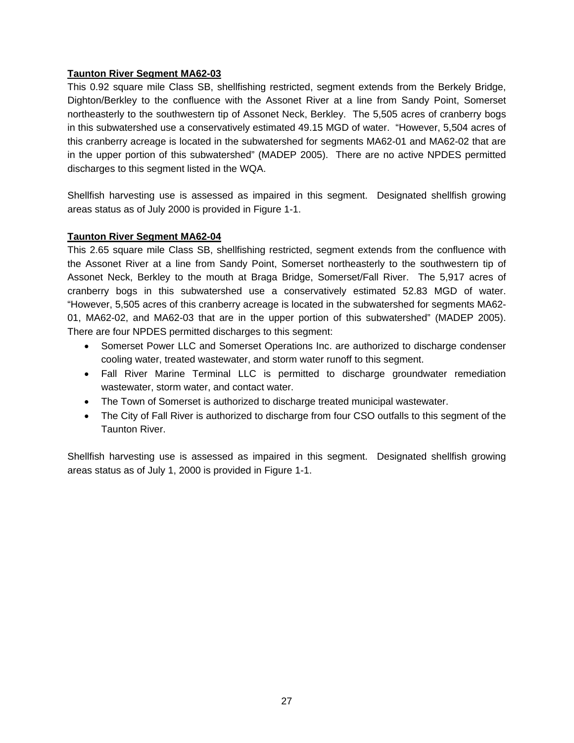#### **Taunton River Segment MA62-03**

This 0.92 square mile Class SB, shellfishing restricted, segment extends from the Berkely Bridge, Dighton/Berkley to the confluence with the Assonet River at a line from Sandy Point, Somerset northeasterly to the southwestern tip of Assonet Neck, Berkley. The 5,505 acres of cranberry bogs in this subwatershed use a conservatively estimated 49.15 MGD of water. "However, 5,504 acres of this cranberry acreage is located in the subwatershed for segments MA62-01 and MA62-02 that are in the upper portion of this subwatershed" (MADEP 2005). There are no active NPDES permitted discharges to this segment listed in the WQA.

Shellfish harvesting use is assessed as impaired in this segment. Designated shellfish growing areas status as of July 2000 is provided in Figure 1-1.

#### **Taunton River Segment MA62-04**

This 2.65 square mile Class SB, shellfishing restricted, segment extends from the confluence with the Assonet River at a line from Sandy Point, Somerset northeasterly to the southwestern tip of Assonet Neck, Berkley to the mouth at Braga Bridge, Somerset/Fall River. The 5,917 acres of cranberry bogs in this subwatershed use a conservatively estimated 52.83 MGD of water. "However, 5,505 acres of this cranberry acreage is located in the subwatershed for segments MA62- 01, MA62-02, and MA62-03 that are in the upper portion of this subwatershed" (MADEP 2005). There are four NPDES permitted discharges to this segment:

- Somerset Power LLC and Somerset Operations Inc. are authorized to discharge condenser cooling water, treated wastewater, and storm water runoff to this segment.
- Fall River Marine Terminal LLC is permitted to discharge groundwater remediation wastewater, storm water, and contact water.
- The Town of Somerset is authorized to discharge treated municipal wastewater.
- The City of Fall River is authorized to discharge from four CSO outfalls to this segment of the Taunton River.

Shellfish harvesting use is assessed as impaired in this segment. Designated shellfish growing areas status as of July 1, 2000 is provided in Figure 1-1.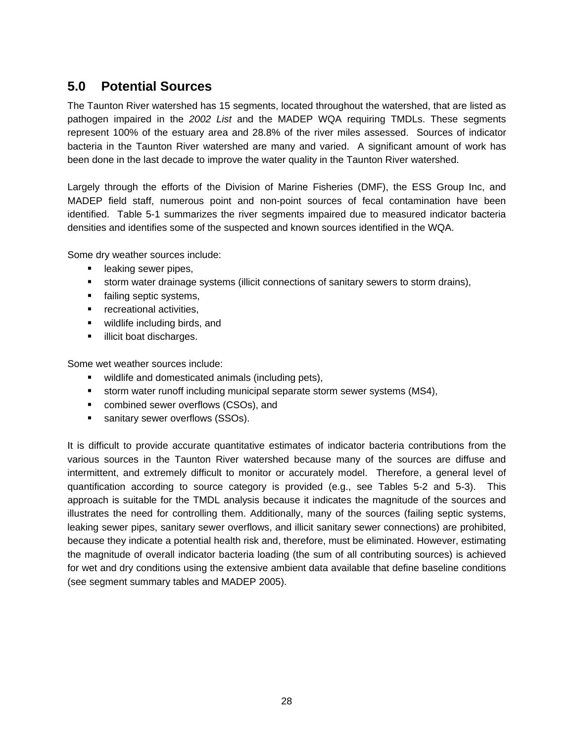# **5.0 Potential Sources**

The Taunton River watershed has 15 segments, located throughout the watershed, that are listed as pathogen impaired in the *2002 List* and the MADEP WQA requiring TMDLs. These segments represent 100% of the estuary area and 28.8% of the river miles assessed. Sources of indicator bacteria in the Taunton River watershed are many and varied. A significant amount of work has been done in the last decade to improve the water quality in the Taunton River watershed.

Largely through the efforts of the Division of Marine Fisheries (DMF), the ESS Group Inc, and MADEP field staff, numerous point and non-point sources of fecal contamination have been identified. Table 5-1 summarizes the river segments impaired due to measured indicator bacteria densities and identifies some of the suspected and known sources identified in the WQA.

Some dry weather sources include:

- **Example 1** leaking sewer pipes,
- storm water drainage systems (illicit connections of sanitary sewers to storm drains),
- failing septic systems,
- **•** recreational activities,
- **wildlife including birds, and**
- **I** illicit boat discharges.

Some wet weather sources include:

- wildlife and domesticated animals (including pets),
- storm water runoff including municipal separate storm sewer systems (MS4),
- **EXECOMBINED SERVER OVERFIOWS (CSOs), and**
- **sanitary sewer overflows (SSOs).**

It is difficult to provide accurate quantitative estimates of indicator bacteria contributions from the various sources in the Taunton River watershed because many of the sources are diffuse and intermittent, and extremely difficult to monitor or accurately model. Therefore, a general level of quantification according to source category is provided (e.g., see Tables 5-2 and 5-3). This approach is suitable for the TMDL analysis because it indicates the magnitude of the sources and illustrates the need for controlling them. Additionally, many of the sources (failing septic systems, leaking sewer pipes, sanitary sewer overflows, and illicit sanitary sewer connections) are prohibited, because they indicate a potential health risk and, therefore, must be eliminated. However, estimating the magnitude of overall indicator bacteria loading (the sum of all contributing sources) is achieved for wet and dry conditions using the extensive ambient data available that define baseline conditions (see segment summary tables and MADEP 2005).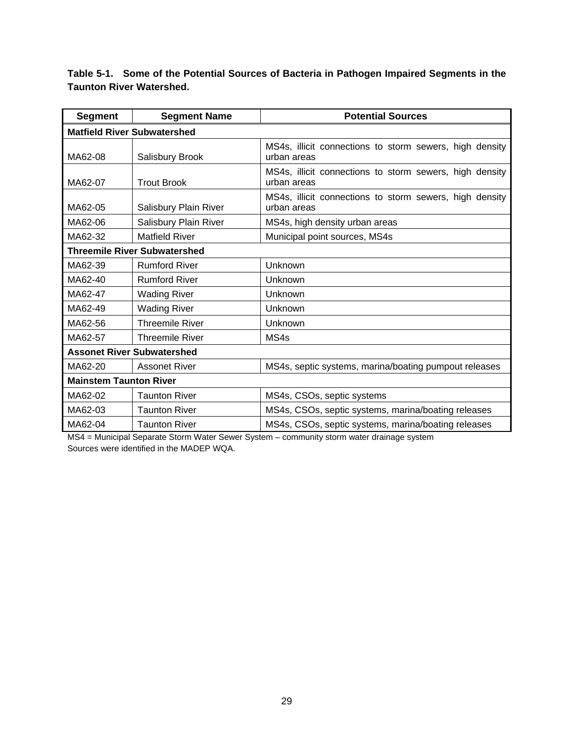**Table 5-1. Some of the Potential Sources of Bacteria in Pathogen Impaired Segments in the Taunton River Watershed.** 

| <b>Segment</b>                      | <b>Segment Name</b>               | <b>Potential Sources</b>                                               |  |  |  |
|-------------------------------------|-----------------------------------|------------------------------------------------------------------------|--|--|--|
| <b>Matfield River Subwatershed</b>  |                                   |                                                                        |  |  |  |
| MA62-08                             | Salisbury Brook                   | MS4s, illicit connections to storm sewers, high density<br>urban areas |  |  |  |
| MA62-07                             | <b>Trout Brook</b>                | MS4s, illicit connections to storm sewers, high density<br>urban areas |  |  |  |
| MA62-05                             | Salisbury Plain River             | MS4s, illicit connections to storm sewers, high density<br>urban areas |  |  |  |
| MA62-06                             | Salisbury Plain River             | MS4s, high density urban areas                                         |  |  |  |
| MA62-32                             | <b>Matfield River</b>             | Municipal point sources, MS4s                                          |  |  |  |
| <b>Threemile River Subwatershed</b> |                                   |                                                                        |  |  |  |
| MA62-39                             | <b>Rumford River</b>              | Unknown                                                                |  |  |  |
| MA62-40                             | <b>Rumford River</b>              | Unknown                                                                |  |  |  |
| MA62-47                             | <b>Wading River</b>               | Unknown                                                                |  |  |  |
| MA62-49                             | <b>Wading River</b>               | Unknown                                                                |  |  |  |
| MA62-56                             | <b>Threemile River</b>            | Unknown                                                                |  |  |  |
| MA62-57                             | <b>Threemile River</b>            | MS4s                                                                   |  |  |  |
|                                     | <b>Assonet River Subwatershed</b> |                                                                        |  |  |  |
| MA62-20                             | <b>Assonet River</b>              | MS4s, septic systems, marina/boating pumpout releases                  |  |  |  |
| <b>Mainstem Taunton River</b>       |                                   |                                                                        |  |  |  |
| MA62-02                             | <b>Taunton River</b>              | MS4s, CSOs, septic systems                                             |  |  |  |
| MA62-03                             | <b>Taunton River</b>              | MS4s, CSOs, septic systems, marina/boating releases                    |  |  |  |
| MA62-04                             | <b>Taunton River</b>              | MS4s, CSOs, septic systems, marina/boating releases                    |  |  |  |

MS4 = Municipal Separate Storm Water Sewer System – community storm water drainage system Sources were identified in the MADEP WQA.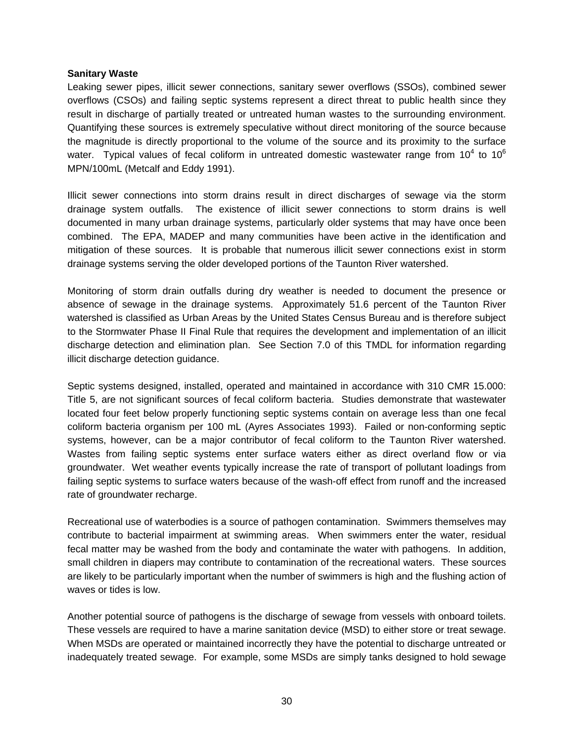#### **Sanitary Waste**

Leaking sewer pipes, illicit sewer connections, sanitary sewer overflows (SSOs), combined sewer overflows (CSOs) and failing septic systems represent a direct threat to public health since they result in discharge of partially treated or untreated human wastes to the surrounding environment. Quantifying these sources is extremely speculative without direct monitoring of the source because the magnitude is directly proportional to the volume of the source and its proximity to the surface water. Typical values of fecal coliform in untreated domestic wastewater range from 10<sup>4</sup> to 10<sup>6</sup> MPN/100mL (Metcalf and Eddy 1991).

Illicit sewer connections into storm drains result in direct discharges of sewage via the storm drainage system outfalls. The existence of illicit sewer connections to storm drains is well documented in many urban drainage systems, particularly older systems that may have once been combined. The EPA, MADEP and many communities have been active in the identification and mitigation of these sources. It is probable that numerous illicit sewer connections exist in storm drainage systems serving the older developed portions of the Taunton River watershed.

Monitoring of storm drain outfalls during dry weather is needed to document the presence or absence of sewage in the drainage systems. Approximately 51.6 percent of the Taunton River watershed is classified as Urban Areas by the United States Census Bureau and is therefore subject to the Stormwater Phase II Final Rule that requires the development and implementation of an illicit discharge detection and elimination plan. See Section 7.0 of this TMDL for information regarding illicit discharge detection guidance.

Septic systems designed, installed, operated and maintained in accordance with 310 CMR 15.000: Title 5, are not significant sources of fecal coliform bacteria. Studies demonstrate that wastewater located four feet below properly functioning septic systems contain on average less than one fecal coliform bacteria organism per 100 mL (Ayres Associates 1993). Failed or non-conforming septic systems, however, can be a major contributor of fecal coliform to the Taunton River watershed. Wastes from failing septic systems enter surface waters either as direct overland flow or via groundwater. Wet weather events typically increase the rate of transport of pollutant loadings from failing septic systems to surface waters because of the wash-off effect from runoff and the increased rate of groundwater recharge.

Recreational use of waterbodies is a source of pathogen contamination. Swimmers themselves may contribute to bacterial impairment at swimming areas. When swimmers enter the water, residual fecal matter may be washed from the body and contaminate the water with pathogens. In addition, small children in diapers may contribute to contamination of the recreational waters. These sources are likely to be particularly important when the number of swimmers is high and the flushing action of waves or tides is low.

Another potential source of pathogens is the discharge of sewage from vessels with onboard toilets. These vessels are required to have a marine sanitation device (MSD) to either store or treat sewage. When MSDs are operated or maintained incorrectly they have the potential to discharge untreated or inadequately treated sewage. For example, some MSDs are simply tanks designed to hold sewage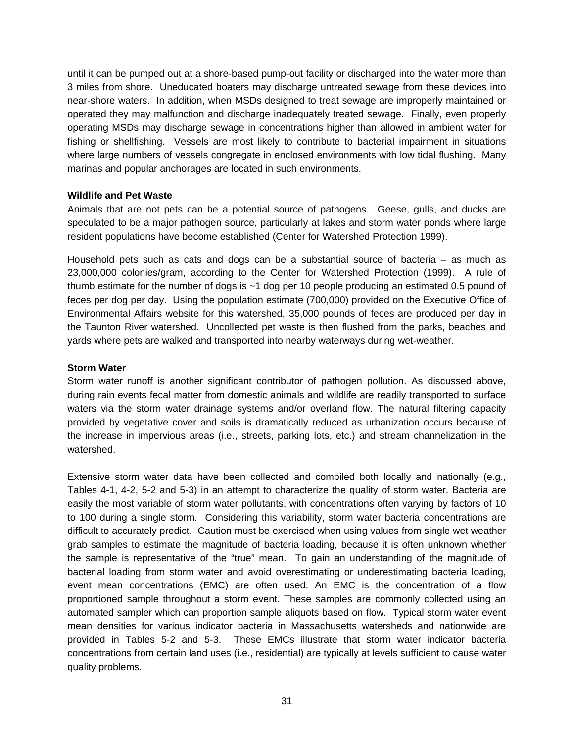until it can be pumped out at a shore-based pump-out facility or discharged into the water more than 3 miles from shore. Uneducated boaters may discharge untreated sewage from these devices into near-shore waters. In addition, when MSDs designed to treat sewage are improperly maintained or operated they may malfunction and discharge inadequately treated sewage. Finally, even properly operating MSDs may discharge sewage in concentrations higher than allowed in ambient water for fishing or shellfishing. Vessels are most likely to contribute to bacterial impairment in situations where large numbers of vessels congregate in enclosed environments with low tidal flushing. Many marinas and popular anchorages are located in such environments.

#### **Wildlife and Pet Waste**

Animals that are not pets can be a potential source of pathogens. Geese, gulls, and ducks are speculated to be a major pathogen source, particularly at lakes and storm water ponds where large resident populations have become established (Center for Watershed Protection 1999).

Household pets such as cats and dogs can be a substantial source of bacteria – as much as 23,000,000 colonies/gram, according to the Center for Watershed Protection (1999). A rule of thumb estimate for the number of dogs is ~1 dog per 10 people producing an estimated 0.5 pound of feces per dog per day. Using the population estimate (700,000) provided on the Executive Office of Environmental Affairs website for this watershed, 35,000 pounds of feces are produced per day in the Taunton River watershed. Uncollected pet waste is then flushed from the parks, beaches and yards where pets are walked and transported into nearby waterways during wet-weather.

#### **Storm Water**

Storm water runoff is another significant contributor of pathogen pollution. As discussed above, during rain events fecal matter from domestic animals and wildlife are readily transported to surface waters via the storm water drainage systems and/or overland flow. The natural filtering capacity provided by vegetative cover and soils is dramatically reduced as urbanization occurs because of the increase in impervious areas (i.e., streets, parking lots, etc.) and stream channelization in the watershed.

Extensive storm water data have been collected and compiled both locally and nationally (e.g., Tables 4-1, 4-2, 5-2 and 5-3) in an attempt to characterize the quality of storm water. Bacteria are easily the most variable of storm water pollutants, with concentrations often varying by factors of 10 to 100 during a single storm. Considering this variability, storm water bacteria concentrations are difficult to accurately predict. Caution must be exercised when using values from single wet weather grab samples to estimate the magnitude of bacteria loading, because it is often unknown whether the sample is representative of the "true" mean. To gain an understanding of the magnitude of bacterial loading from storm water and avoid overestimating or underestimating bacteria loading, event mean concentrations (EMC) are often used. An EMC is the concentration of a flow proportioned sample throughout a storm event. These samples are commonly collected using an automated sampler which can proportion sample aliquots based on flow. Typical storm water event mean densities for various indicator bacteria in Massachusetts watersheds and nationwide are provided in Tables 5-2 and 5-3. These EMCs illustrate that storm water indicator bacteria concentrations from certain land uses (i.e., residential) are typically at levels sufficient to cause water quality problems.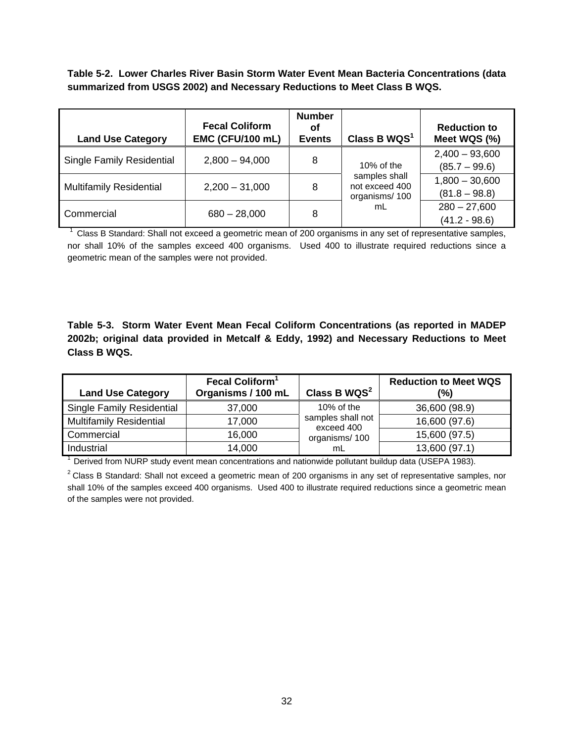**Table 5-2. Lower Charles River Basin Storm Water Event Mean Bacteria Concentrations (data summarized from USGS 2002) and Necessary Reductions to Meet Class B WQS.** 

| <b>Land Use Category</b>         | <b>Fecal Coliform</b><br><b>EMC (CFU/100 mL)</b> | <b>Number</b><br>οf<br><b>Events</b> | Class B WQS <sup>1</sup>                         | <b>Reduction to</b><br>Meet WQS (%) |
|----------------------------------|--------------------------------------------------|--------------------------------------|--------------------------------------------------|-------------------------------------|
| <b>Single Family Residential</b> | $2,800 - 94,000$                                 | 8                                    | $10\%$ of the                                    | $2,400 - 93,600$<br>$(85.7 - 99.6)$ |
| <b>Multifamily Residential</b>   | $2,200 - 31,000$                                 | 8                                    | samples shall<br>not exceed 400<br>organisms/100 | $1,800 - 30,600$<br>$(81.8 - 98.8)$ |
| Commercial                       | $680 - 28,000$                                   | 8                                    | mL                                               | $280 - 27,600$<br>$(41.2 - 98.6)$   |

Class B Standard: Shall not exceed a geometric mean of 200 organisms in any set of representative samples, nor shall 10% of the samples exceed 400 organisms. Used 400 to illustrate required reductions since a geometric mean of the samples were not provided.

**Table 5-3. Storm Water Event Mean Fecal Coliform Concentrations (as reported in MADEP 2002b; original data provided in Metcalf & Eddy, 1992) and Necessary Reductions to Meet Class B WQS.** 

| <b>Land Use Category</b>         | Fecal Coliform <sup>1</sup><br>Organisms / 100 mL | Class B $WQS2$                  | <b>Reduction to Meet WQS</b><br>(%) |
|----------------------------------|---------------------------------------------------|---------------------------------|-------------------------------------|
| <b>Single Family Residential</b> | 37,000                                            | 10% of the                      | 36,600 (98.9)                       |
| <b>Multifamily Residential</b>   | 17,000                                            | samples shall not<br>exceed 400 | 16,600 (97.6)                       |
| Commercial                       | 16,000                                            | organisms/100                   | 15,600 (97.5)                       |
| Industrial                       | 14,000                                            | mL                              | 13,600 (97.1)                       |

 $1$  Derived from NURP study event mean concentrations and nationwide pollutant buildup data (USEPA 1983).

 $2$  Class B Standard: Shall not exceed a geometric mean of 200 organisms in any set of representative samples, nor shall 10% of the samples exceed 400 organisms. Used 400 to illustrate required reductions since a geometric mean of the samples were not provided.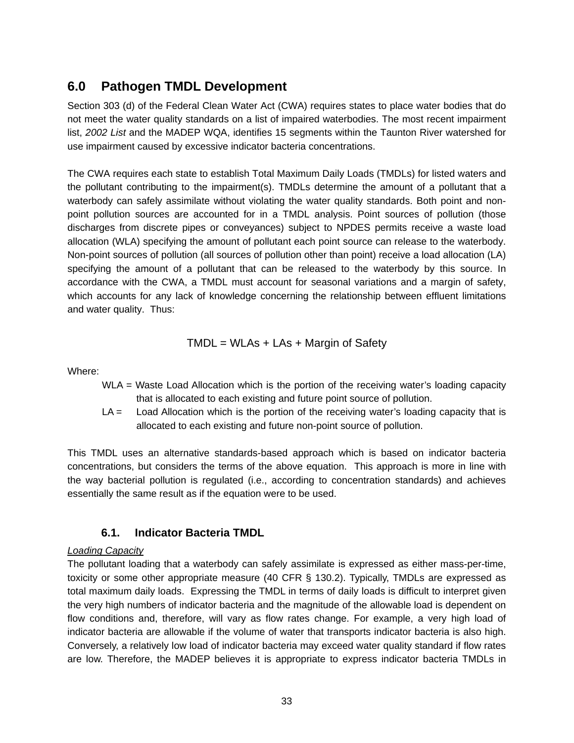# **6.0 Pathogen TMDL Development**

Section 303 (d) of the Federal Clean Water Act (CWA) requires states to place water bodies that do not meet the water quality standards on a list of impaired waterbodies. The most recent impairment list, *2002 List* and the MADEP WQA, identifies 15 segments within the Taunton River watershed for use impairment caused by excessive indicator bacteria concentrations.

The CWA requires each state to establish Total Maximum Daily Loads (TMDLs) for listed waters and the pollutant contributing to the impairment(s). TMDLs determine the amount of a pollutant that a waterbody can safely assimilate without violating the water quality standards. Both point and nonpoint pollution sources are accounted for in a TMDL analysis. Point sources of pollution (those discharges from discrete pipes or conveyances) subject to NPDES permits receive a waste load allocation (WLA) specifying the amount of pollutant each point source can release to the waterbody. Non-point sources of pollution (all sources of pollution other than point) receive a load allocation (LA) specifying the amount of a pollutant that can be released to the waterbody by this source. In accordance with the CWA, a TMDL must account for seasonal variations and a margin of safety, which accounts for any lack of knowledge concerning the relationship between effluent limitations and water quality. Thus:

$$
TMDL = WLAs + LAs + Margin of Safety
$$

Where:

- WLA = Waste Load Allocation which is the portion of the receiving water's loading capacity that is allocated to each existing and future point source of pollution.
- LA = Load Allocation which is the portion of the receiving water's loading capacity that is allocated to each existing and future non-point source of pollution.

This TMDL uses an alternative standards-based approach which is based on indicator bacteria concentrations, but considers the terms of the above equation. This approach is more in line with the way bacterial pollution is regulated (i.e., according to concentration standards) and achieves essentially the same result as if the equation were to be used.

## **6.1. Indicator Bacteria TMDL**

#### *Loading Capacity*

The pollutant loading that a waterbody can safely assimilate is expressed as either mass-per-time, toxicity or some other appropriate measure (40 CFR § 130.2). Typically, TMDLs are expressed as total maximum daily loads. Expressing the TMDL in terms of daily loads is difficult to interpret given the very high numbers of indicator bacteria and the magnitude of the allowable load is dependent on flow conditions and, therefore, will vary as flow rates change. For example, a very high load of indicator bacteria are allowable if the volume of water that transports indicator bacteria is also high. Conversely, a relatively low load of indicator bacteria may exceed water quality standard if flow rates are low. Therefore, the MADEP believes it is appropriate to express indicator bacteria TMDLs in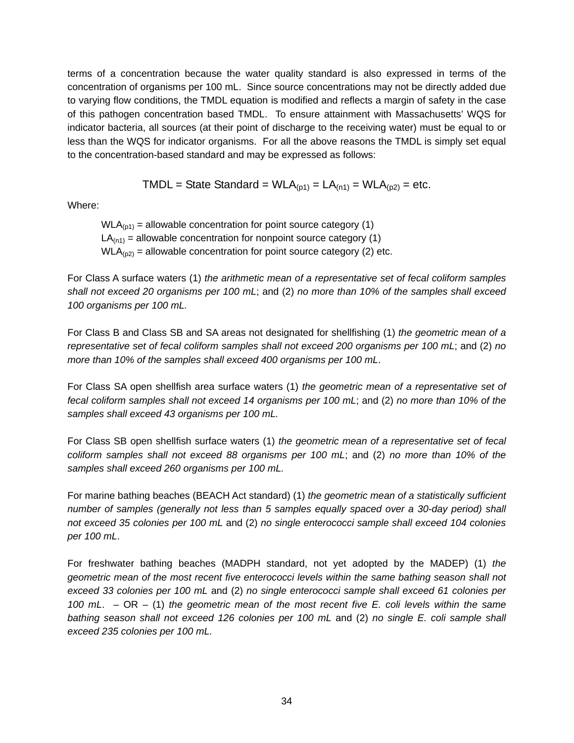terms of a concentration because the water quality standard is also expressed in terms of the concentration of organisms per 100 mL. Since source concentrations may not be directly added due to varying flow conditions, the TMDL equation is modified and reflects a margin of safety in the case of this pathogen concentration based TMDL. To ensure attainment with Massachusetts' WQS for indicator bacteria, all sources (at their point of discharge to the receiving water) must be equal to or less than the WQS for indicator organisms. For all the above reasons the TMDL is simply set equal to the concentration-based standard and may be expressed as follows:

$$
TMDL = State Standard = WLA_{(p1)} = LA_{(n1)} = WLA_{(p2)} = etc.
$$

Where:

 $WLA<sub>(n1)</sub> = allowable concentration for point source category (1)$  $LA<sub>(n1)</sub>$  = allowable concentration for nonpoint source category (1)  $WLA<sub>(p2)</sub> = allowable concentration for point source category (2) etc.$ 

For Class A surface waters (1) *the arithmetic mean of a representative set of fecal coliform samples shall not exceed 20 organisms per 100 mL*; and (2) *no more than 10% of the samples shall exceed 100 organisms per 100 mL.*

For Class B and Class SB and SA areas not designated for shellfishing (1) *the geometric mean of a representative set of fecal coliform samples shall not exceed 200 organisms per 100 mL*; and (2) *no more than 10% of the samples shall exceed 400 organisms per 100 mL*.

For Class SA open shellfish area surface waters (1) *the geometric mean of a representative set of fecal coliform samples shall not exceed 14 organisms per 100 mL*; and (2) *no more than 10% of the samples shall exceed 43 organisms per 100 mL.*

For Class SB open shellfish surface waters (1) *the geometric mean of a representative set of fecal coliform samples shall not exceed 88 organisms per 100 mL*; and (2) *no more than 10% of the samples shall exceed 260 organisms per 100 mL.*

For marine bathing beaches (BEACH Act standard) (1) *the geometric mean of a statistically sufficient number of samples (generally not less than 5 samples equally spaced over a 30-day period) shall not exceed 35 colonies per 100 mL* and (2) *no single enterococci sample shall exceed 104 colonies per 100 mL*.

For freshwater bathing beaches (MADPH standard, not yet adopted by the MADEP) (1) *the geometric mean of the most recent five enterococci levels within the same bathing season shall not exceed 33 colonies per 100 mL* and (2) *no single enterococci sample shall exceed 61 colonies per 100 mL*. – OR – (1) *the geometric mean of the most recent five E. coli levels within the same bathing season shall not exceed 126 colonies per 100 mL* and (2) *no single E. coli sample shall exceed 235 colonies per 100 mL.*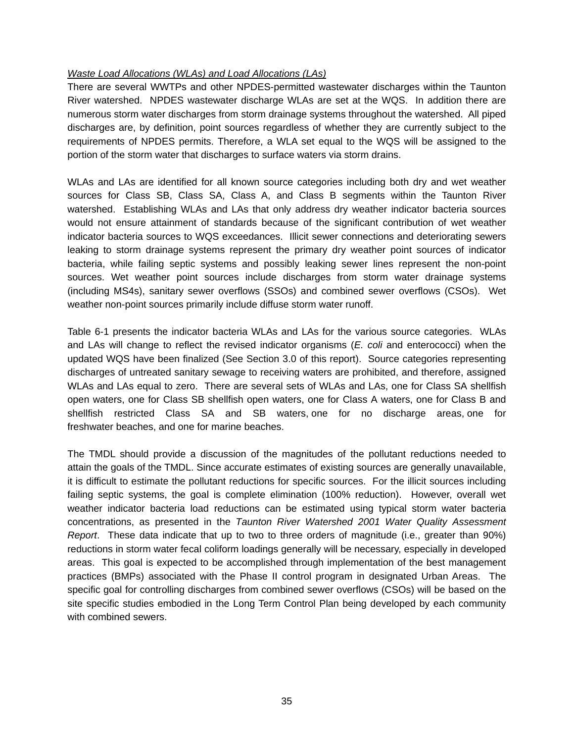#### *Waste Load Allocations (WLAs) and Load Allocations (LAs)*

There are several WWTPs and other NPDES-permitted wastewater discharges within the Taunton River watershed. NPDES wastewater discharge WLAs are set at the WQS. In addition there are numerous storm water discharges from storm drainage systems throughout the watershed. All piped discharges are, by definition, point sources regardless of whether they are currently subject to the requirements of NPDES permits. Therefore, a WLA set equal to the WQS will be assigned to the portion of the storm water that discharges to surface waters via storm drains.

WLAs and LAs are identified for all known source categories including both dry and wet weather sources for Class SB, Class SA, Class A, and Class B segments within the Taunton River watershed. Establishing WLAs and LAs that only address dry weather indicator bacteria sources would not ensure attainment of standards because of the significant contribution of wet weather indicator bacteria sources to WQS exceedances. Illicit sewer connections and deteriorating sewers leaking to storm drainage systems represent the primary dry weather point sources of indicator bacteria, while failing septic systems and possibly leaking sewer lines represent the non-point sources. Wet weather point sources include discharges from storm water drainage systems (including MS4s), sanitary sewer overflows (SSOs) and combined sewer overflows (CSOs). Wet weather non-point sources primarily include diffuse storm water runoff.

Table 6-1 presents the indicator bacteria WLAs and LAs for the various source categories. WLAs and LAs will change to reflect the revised indicator organisms (*E. coli* and enterococci) when the updated WQS have been finalized (See Section 3.0 of this report). Source categories representing discharges of untreated sanitary sewage to receiving waters are prohibited, and therefore, assigned WLAs and LAs equal to zero. There are several sets of WLAs and LAs, one for Class SA shellfish open waters, one for Class SB shellfish open waters, one for Class A waters, one for Class B and shellfish restricted Class SA and SB waters, one for no discharge areas, one for freshwater beaches, and one for marine beaches.

The TMDL should provide a discussion of the magnitudes of the pollutant reductions needed to attain the goals of the TMDL. Since accurate estimates of existing sources are generally unavailable, it is difficult to estimate the pollutant reductions for specific sources. For the illicit sources including failing septic systems, the goal is complete elimination (100% reduction). However, overall wet weather indicator bacteria load reductions can be estimated using typical storm water bacteria concentrations, as presented in the *Taunton River Watershed 2001 Water Quality Assessment Report*. These data indicate that up to two to three orders of magnitude (i.e., greater than 90%) reductions in storm water fecal coliform loadings generally will be necessary, especially in developed areas. This goal is expected to be accomplished through implementation of the best management practices (BMPs) associated with the Phase II control program in designated Urban Areas. The specific goal for controlling discharges from combined sewer overflows (CSOs) will be based on the site specific studies embodied in the Long Term Control Plan being developed by each community with combined sewers.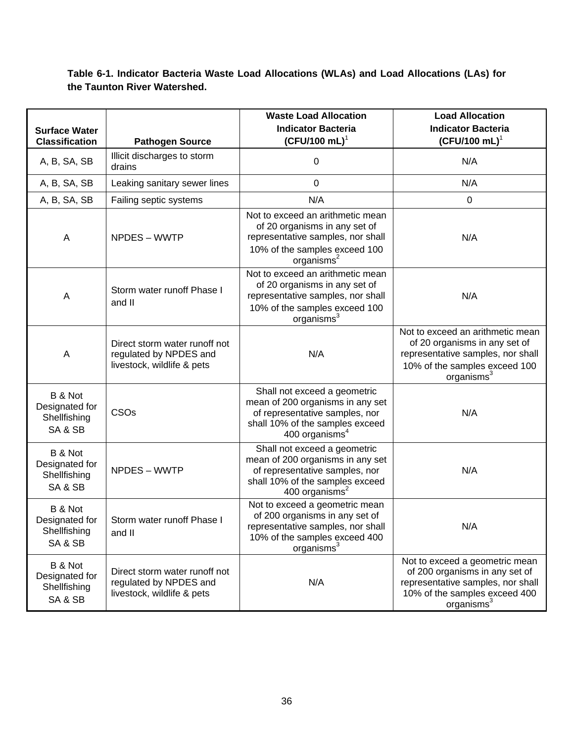**Table 6-1. Indicator Bacteria Waste Load Allocations (WLAs) and Load Allocations (LAs) for the Taunton River Watershed.** 

|                                                      |                                                                                       | <b>Waste Load Allocation</b>                                                                                                                                        | <b>Load Allocation</b>                                                                                                                                            |
|------------------------------------------------------|---------------------------------------------------------------------------------------|---------------------------------------------------------------------------------------------------------------------------------------------------------------------|-------------------------------------------------------------------------------------------------------------------------------------------------------------------|
| <b>Surface Water</b><br><b>Classification</b>        |                                                                                       | <b>Indicator Bacteria</b><br>$(CFU/100 mL)^T$                                                                                                                       | <b>Indicator Bacteria</b><br>$(CFU/100 mL)^1$                                                                                                                     |
|                                                      | <b>Pathogen Source</b><br>Illicit discharges to storm                                 |                                                                                                                                                                     |                                                                                                                                                                   |
| A, B, SA, SB                                         | drains                                                                                | 0                                                                                                                                                                   | N/A                                                                                                                                                               |
| A, B, SA, SB                                         | Leaking sanitary sewer lines                                                          | 0                                                                                                                                                                   | N/A                                                                                                                                                               |
| A, B, SA, SB                                         | Failing septic systems                                                                | N/A                                                                                                                                                                 | 0                                                                                                                                                                 |
| A                                                    | NPDES - WWTP                                                                          | Not to exceed an arithmetic mean<br>of 20 organisms in any set of<br>representative samples, nor shall<br>10% of the samples exceed 100<br>organisms <sup>2</sup>   | N/A                                                                                                                                                               |
| A                                                    | Storm water runoff Phase I<br>and II                                                  | Not to exceed an arithmetic mean<br>of 20 organisms in any set of<br>representative samples, nor shall<br>10% of the samples exceed 100<br>organisms <sup>3</sup>   | N/A                                                                                                                                                               |
| Α                                                    | Direct storm water runoff not<br>regulated by NPDES and<br>livestock, wildlife & pets | N/A                                                                                                                                                                 | Not to exceed an arithmetic mean<br>of 20 organisms in any set of<br>representative samples, nor shall<br>10% of the samples exceed 100<br>organisms <sup>3</sup> |
| B & Not<br>Designated for<br>Shellfishing<br>SA & SB | CSO <sub>s</sub>                                                                      | Shall not exceed a geometric<br>mean of 200 organisms in any set<br>of representative samples, nor<br>shall 10% of the samples exceed<br>400 organisms <sup>4</sup> | N/A                                                                                                                                                               |
| B & Not<br>Designated for<br>Shellfishing<br>SA & SB | NPDES - WWTP                                                                          | Shall not exceed a geometric<br>mean of 200 organisms in any set<br>of representative samples, nor<br>shall 10% of the samples exceed<br>400 organisms $2$          | N/A                                                                                                                                                               |
| B & Not<br>Designated for<br>Shellfishing<br>SA & SB | Storm water runoff Phase I<br>and II                                                  | Not to exceed a geometric mean<br>of 200 organisms in any set of<br>representative samples, nor shall<br>10% of the samples exceed 400<br>organisms <sup>3</sup>    | N/A                                                                                                                                                               |
| B & Not<br>Designated for<br>Shellfishing<br>SA & SB | Direct storm water runoff not<br>regulated by NPDES and<br>livestock, wildlife & pets | N/A                                                                                                                                                                 | Not to exceed a geometric mean<br>of 200 organisms in any set of<br>representative samples, nor shall<br>10% of the samples exceed 400<br>organisms <sup>3</sup>  |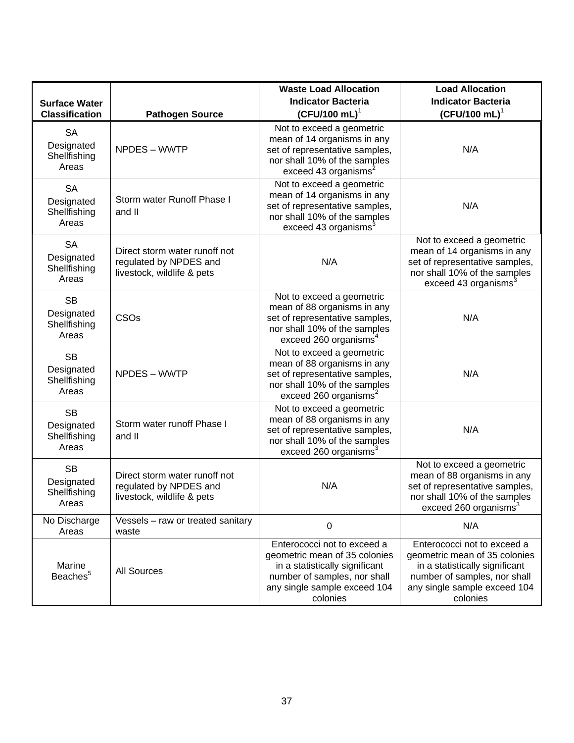|                                                  |                                                                                       | <b>Waste Load Allocation</b>                                                                                                                                               | <b>Load Allocation</b>                                                                                                                                                     |
|--------------------------------------------------|---------------------------------------------------------------------------------------|----------------------------------------------------------------------------------------------------------------------------------------------------------------------------|----------------------------------------------------------------------------------------------------------------------------------------------------------------------------|
| <b>Surface Water</b>                             |                                                                                       | <b>Indicator Bacteria</b>                                                                                                                                                  | <b>Indicator Bacteria</b>                                                                                                                                                  |
| <b>Classification</b>                            | <b>Pathogen Source</b>                                                                | $(CFU/100 mL)^T$                                                                                                                                                           | $(CFU/100 mL)^1$                                                                                                                                                           |
| <b>SA</b><br>Designated<br>Shellfishing<br>Areas | NPDES - WWTP                                                                          | Not to exceed a geometric<br>mean of 14 organisms in any<br>set of representative samples,<br>nor shall 10% of the samples<br>exceed 43 organisms <sup>2</sup>             | N/A                                                                                                                                                                        |
| <b>SA</b><br>Designated<br>Shellfishing<br>Areas | Storm water Runoff Phase I<br>and II                                                  | Not to exceed a geometric<br>mean of 14 organisms in any<br>set of representative samples,<br>nor shall 10% of the samples<br>exceed 43 organisms <sup>3</sup>             | N/A                                                                                                                                                                        |
| <b>SA</b><br>Designated<br>Shellfishing<br>Areas | Direct storm water runoff not<br>regulated by NPDES and<br>livestock, wildlife & pets | N/A                                                                                                                                                                        | Not to exceed a geometric<br>mean of 14 organisms in any<br>set of representative samples,<br>nor shall 10% of the samples<br>exceed 43 organisms <sup>3</sup>             |
| <b>SB</b><br>Designated<br>Shellfishing<br>Areas | CSOs                                                                                  | Not to exceed a geometric<br>mean of 88 organisms in any<br>set of representative samples,<br>nor shall 10% of the samples<br>exceed 260 organisms <sup>4</sup>            | N/A                                                                                                                                                                        |
| <b>SB</b><br>Designated<br>Shellfishing<br>Areas | NPDES - WWTP                                                                          | Not to exceed a geometric<br>mean of 88 organisms in any<br>set of representative samples,<br>nor shall 10% of the samples<br>exceed 260 organisms <sup>2</sup>            | N/A                                                                                                                                                                        |
| <b>SB</b><br>Designated<br>Shellfishing<br>Areas | Storm water runoff Phase I<br>and II                                                  | Not to exceed a geometric<br>mean of 88 organisms in any<br>set of representative samples,<br>nor shall 10% of the samples<br>exceed 260 organisms <sup>3</sup>            | N/A                                                                                                                                                                        |
| <b>SB</b><br>Designated<br>Shellfishing<br>Areas | Direct storm water runoff not<br>regulated by NPDES and<br>livestock, wildlife & pets | N/A                                                                                                                                                                        | Not to exceed a geometric<br>mean of 88 organisms in any<br>set of representative samples,<br>nor shall 10% of the samples<br>exceed 260 organisms <sup>3</sup>            |
| No Discharge<br>Areas                            | Vessels - raw or treated sanitary<br>waste                                            | 0                                                                                                                                                                          | N/A                                                                                                                                                                        |
| Marine<br>Beaches <sup>5</sup>                   | <b>All Sources</b>                                                                    | Enterococci not to exceed a<br>geometric mean of 35 colonies<br>in a statistically significant<br>number of samples, nor shall<br>any single sample exceed 104<br>colonies | Enterococci not to exceed a<br>geometric mean of 35 colonies<br>in a statistically significant<br>number of samples, nor shall<br>any single sample exceed 104<br>colonies |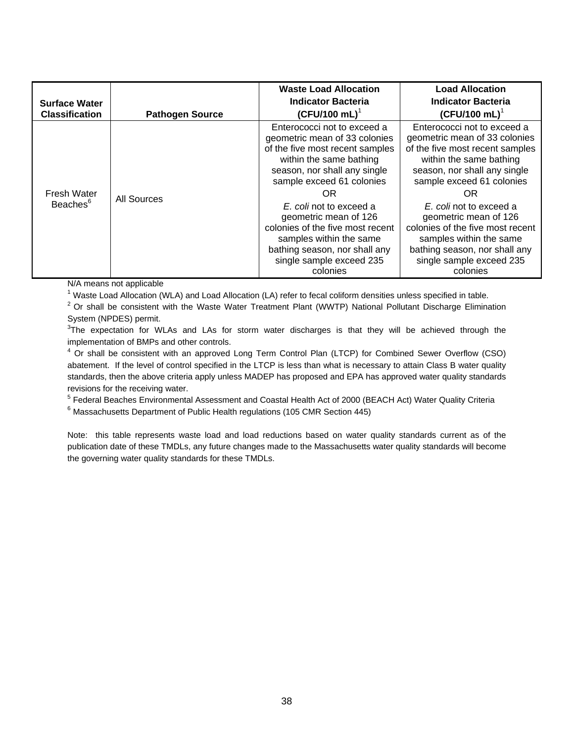| <b>Surface Water</b><br><b>Classification</b> | <b>Pathogen Source</b> | <b>Waste Load Allocation</b><br><b>Indicator Bacteria</b><br>$(CFU/100 mL)^T$                                                                                                                                                                                                                                                                                                             | <b>Load Allocation</b><br><b>Indicator Bacteria</b><br>$(CFU/100 mL)^T$                                                                                                                                                                                                                                                                                                                   |
|-----------------------------------------------|------------------------|-------------------------------------------------------------------------------------------------------------------------------------------------------------------------------------------------------------------------------------------------------------------------------------------------------------------------------------------------------------------------------------------|-------------------------------------------------------------------------------------------------------------------------------------------------------------------------------------------------------------------------------------------------------------------------------------------------------------------------------------------------------------------------------------------|
| <b>Fresh Water</b><br>Beaches <sup>6</sup>    | All Sources            | Enterococci not to exceed a<br>geometric mean of 33 colonies<br>of the five most recent samples<br>within the same bathing<br>season, nor shall any single<br>sample exceed 61 colonies<br>OR<br>E. coli not to exceed a<br>geometric mean of 126<br>colonies of the five most recent<br>samples within the same<br>bathing season, nor shall any<br>single sample exceed 235<br>colonies | Enterococci not to exceed a<br>geometric mean of 33 colonies<br>of the five most recent samples<br>within the same bathing<br>season, nor shall any single<br>sample exceed 61 colonies<br>OR<br>E. coli not to exceed a<br>geometric mean of 126<br>colonies of the five most recent<br>samples within the same<br>bathing season, nor shall any<br>single sample exceed 235<br>colonies |

N/A means not applicable

<sup>1</sup> Waste Load Allocation (WLA) and Load Allocation (LA) refer to fecal coliform densities unless specified in table.

 $2$  Or shall be consistent with the Waste Water Treatment Plant (WWTP) National Pollutant Discharge Elimination System (NPDES) permit.

 $3$ The expectation for WLAs and LAs for storm water discharges is that they will be achieved through the implementation of BMPs and other controls.

<sup>4</sup> Or shall be consistent with an approved Long Term Control Plan (LTCP) for Combined Sewer Overflow (CSO) abatement. If the level of control specified in the LTCP is less than what is necessary to attain Class B water quality standards, then the above criteria apply unless MADEP has proposed and EPA has approved water quality standards revisions for the receiving water.

<sup>5</sup> Federal Beaches Environmental Assessment and Coastal Health Act of 2000 (BEACH Act) Water Quality Criteria<br><sup>6</sup> Messechusette Department of Bublic Health requlations (105 CMB Section 445)

 $6$  Massachusetts Department of Public Health regulations (105 CMR Section 445)

Note: this table represents waste load and load reductions based on water quality standards current as of the publication date of these TMDLs, any future changes made to the Massachusetts water quality standards will become the governing water quality standards for these TMDLs.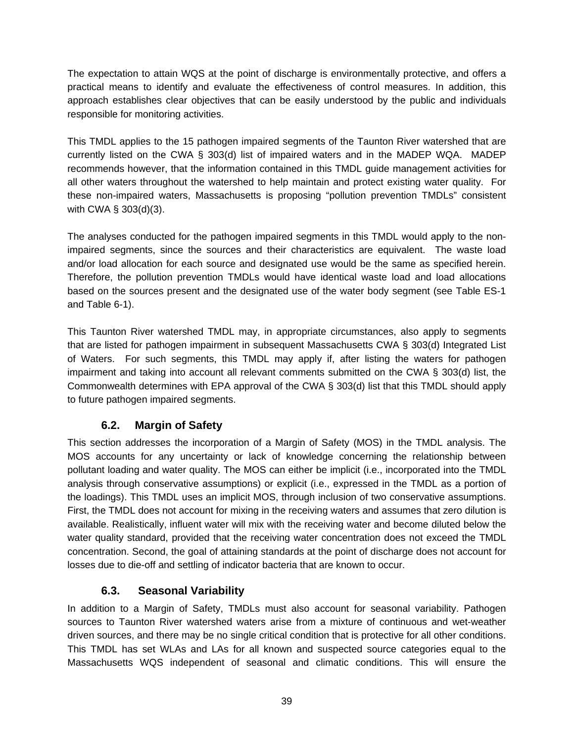The expectation to attain WQS at the point of discharge is environmentally protective, and offers a practical means to identify and evaluate the effectiveness of control measures. In addition, this approach establishes clear objectives that can be easily understood by the public and individuals responsible for monitoring activities.

This TMDL applies to the 15 pathogen impaired segments of the Taunton River watershed that are currently listed on the CWA § 303(d) list of impaired waters and in the MADEP WQA. MADEP recommends however, that the information contained in this TMDL guide management activities for all other waters throughout the watershed to help maintain and protect existing water quality. For these non-impaired waters, Massachusetts is proposing "pollution prevention TMDLs" consistent with CWA § 303(d)(3).

The analyses conducted for the pathogen impaired segments in this TMDL would apply to the nonimpaired segments, since the sources and their characteristics are equivalent. The waste load and/or load allocation for each source and designated use would be the same as specified herein. Therefore, the pollution prevention TMDLs would have identical waste load and load allocations based on the sources present and the designated use of the water body segment (see Table ES-1 and Table 6-1).

This Taunton River watershed TMDL may, in appropriate circumstances, also apply to segments that are listed for pathogen impairment in subsequent Massachusetts CWA § 303(d) Integrated List of Waters. For such segments, this TMDL may apply if, after listing the waters for pathogen impairment and taking into account all relevant comments submitted on the CWA § 303(d) list, the Commonwealth determines with EPA approval of the CWA § 303(d) list that this TMDL should apply to future pathogen impaired segments.

# **6.2. Margin of Safety**

This section addresses the incorporation of a Margin of Safety (MOS) in the TMDL analysis. The MOS accounts for any uncertainty or lack of knowledge concerning the relationship between pollutant loading and water quality. The MOS can either be implicit (i.e., incorporated into the TMDL analysis through conservative assumptions) or explicit (i.e., expressed in the TMDL as a portion of the loadings). This TMDL uses an implicit MOS, through inclusion of two conservative assumptions. First, the TMDL does not account for mixing in the receiving waters and assumes that zero dilution is available. Realistically, influent water will mix with the receiving water and become diluted below the water quality standard, provided that the receiving water concentration does not exceed the TMDL concentration. Second, the goal of attaining standards at the point of discharge does not account for losses due to die-off and settling of indicator bacteria that are known to occur.

## **6.3. Seasonal Variability**

In addition to a Margin of Safety, TMDLs must also account for seasonal variability. Pathogen sources to Taunton River watershed waters arise from a mixture of continuous and wet-weather driven sources, and there may be no single critical condition that is protective for all other conditions. This TMDL has set WLAs and LAs for all known and suspected source categories equal to the Massachusetts WQS independent of seasonal and climatic conditions. This will ensure the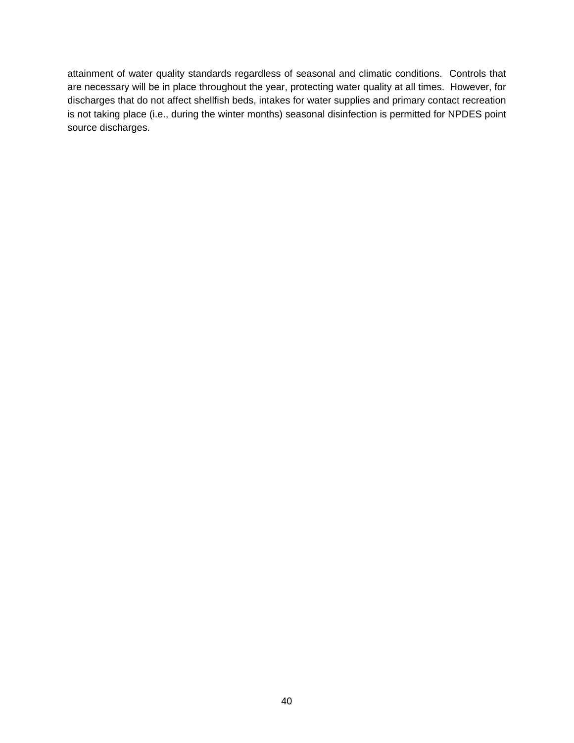attainment of water quality standards regardless of seasonal and climatic conditions. Controls that are necessary will be in place throughout the year, protecting water quality at all times. However, for discharges that do not affect shellfish beds, intakes for water supplies and primary contact recreation is not taking place (i.e., during the winter months) seasonal disinfection is permitted for NPDES point source discharges.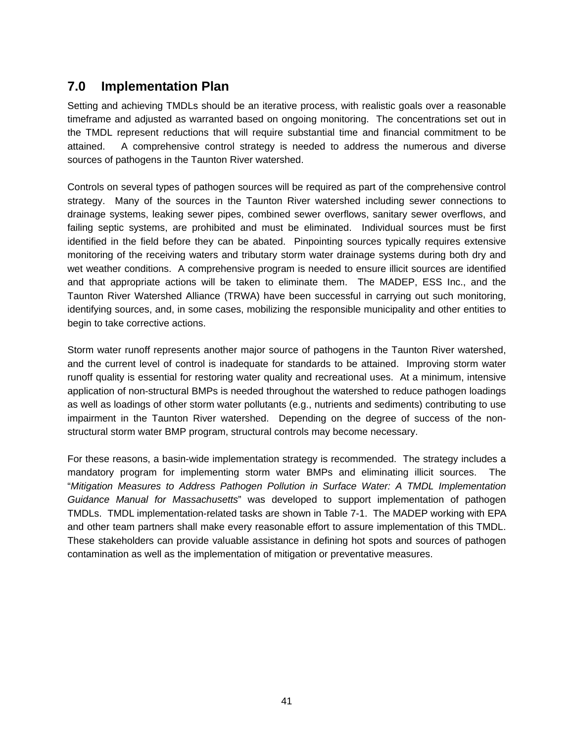# **7.0 Implementation Plan**

Setting and achieving TMDLs should be an iterative process, with realistic goals over a reasonable timeframe and adjusted as warranted based on ongoing monitoring. The concentrations set out in the TMDL represent reductions that will require substantial time and financial commitment to be attained. A comprehensive control strategy is needed to address the numerous and diverse sources of pathogens in the Taunton River watershed.

Controls on several types of pathogen sources will be required as part of the comprehensive control strategy. Many of the sources in the Taunton River watershed including sewer connections to drainage systems, leaking sewer pipes, combined sewer overflows, sanitary sewer overflows, and failing septic systems, are prohibited and must be eliminated. Individual sources must be first identified in the field before they can be abated. Pinpointing sources typically requires extensive monitoring of the receiving waters and tributary storm water drainage systems during both dry and wet weather conditions. A comprehensive program is needed to ensure illicit sources are identified and that appropriate actions will be taken to eliminate them. The MADEP, ESS Inc., and the Taunton River Watershed Alliance (TRWA) have been successful in carrying out such monitoring, identifying sources, and, in some cases, mobilizing the responsible municipality and other entities to begin to take corrective actions.

Storm water runoff represents another major source of pathogens in the Taunton River watershed, and the current level of control is inadequate for standards to be attained. Improving storm water runoff quality is essential for restoring water quality and recreational uses. At a minimum, intensive application of non-structural BMPs is needed throughout the watershed to reduce pathogen loadings as well as loadings of other storm water pollutants (e.g., nutrients and sediments) contributing to use impairment in the Taunton River watershed. Depending on the degree of success of the nonstructural storm water BMP program, structural controls may become necessary.

For these reasons, a basin-wide implementation strategy is recommended. The strategy includes a mandatory program for implementing storm water BMPs and eliminating illicit sources. The "*Mitigation Measures to Address Pathogen Pollution in Surface Water: A TMDL Implementation Guidance Manual for Massachusetts*" was developed to support implementation of pathogen TMDLs. TMDL implementation-related tasks are shown in Table 7-1. The MADEP working with EPA and other team partners shall make every reasonable effort to assure implementation of this TMDL. These stakeholders can provide valuable assistance in defining hot spots and sources of pathogen contamination as well as the implementation of mitigation or preventative measures.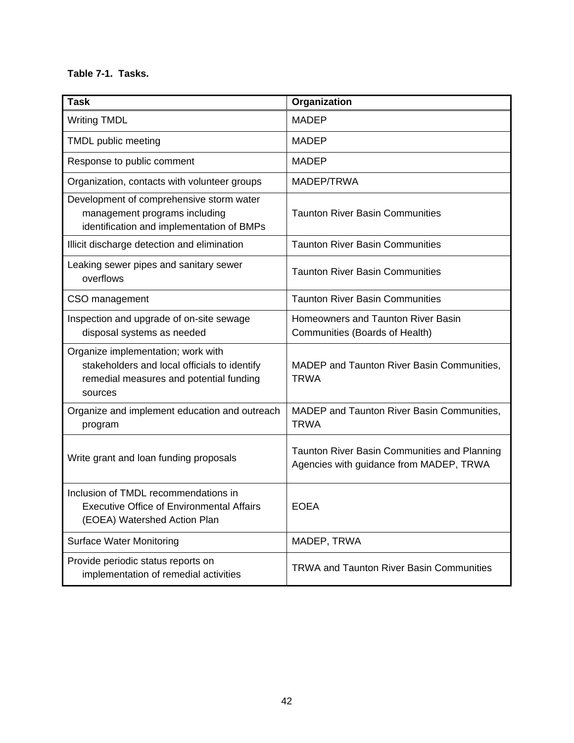#### **Table 7-1. Tasks.**

| <b>Task</b>                                                                                                                              | Organization                                                                            |
|------------------------------------------------------------------------------------------------------------------------------------------|-----------------------------------------------------------------------------------------|
| <b>Writing TMDL</b>                                                                                                                      | <b>MADEP</b>                                                                            |
| TMDL public meeting                                                                                                                      | <b>MADEP</b>                                                                            |
| Response to public comment                                                                                                               | <b>MADEP</b>                                                                            |
| Organization, contacts with volunteer groups                                                                                             | MADEP/TRWA                                                                              |
| Development of comprehensive storm water<br>management programs including<br>identification and implementation of BMPs                   | <b>Taunton River Basin Communities</b>                                                  |
| Illicit discharge detection and elimination                                                                                              | <b>Taunton River Basin Communities</b>                                                  |
| Leaking sewer pipes and sanitary sewer<br>overflows                                                                                      | <b>Taunton River Basin Communities</b>                                                  |
| CSO management                                                                                                                           | <b>Taunton River Basin Communities</b>                                                  |
| Inspection and upgrade of on-site sewage<br>disposal systems as needed                                                                   | Homeowners and Taunton River Basin<br>Communities (Boards of Health)                    |
| Organize implementation; work with<br>stakeholders and local officials to identify<br>remedial measures and potential funding<br>sources | MADEP and Taunton River Basin Communities,<br><b>TRWA</b>                               |
| Organize and implement education and outreach<br>program                                                                                 | MADEP and Taunton River Basin Communities,<br><b>TRWA</b>                               |
| Write grant and loan funding proposals                                                                                                   | Taunton River Basin Communities and Planning<br>Agencies with guidance from MADEP, TRWA |
| Inclusion of TMDL recommendations in<br><b>Executive Office of Environmental Affairs</b><br>(EOEA) Watershed Action Plan                 | <b>EOEA</b>                                                                             |
| <b>Surface Water Monitoring</b>                                                                                                          | MADEP, TRWA                                                                             |
| Provide periodic status reports on<br>implementation of remedial activities                                                              | <b>TRWA and Taunton River Basin Communities</b>                                         |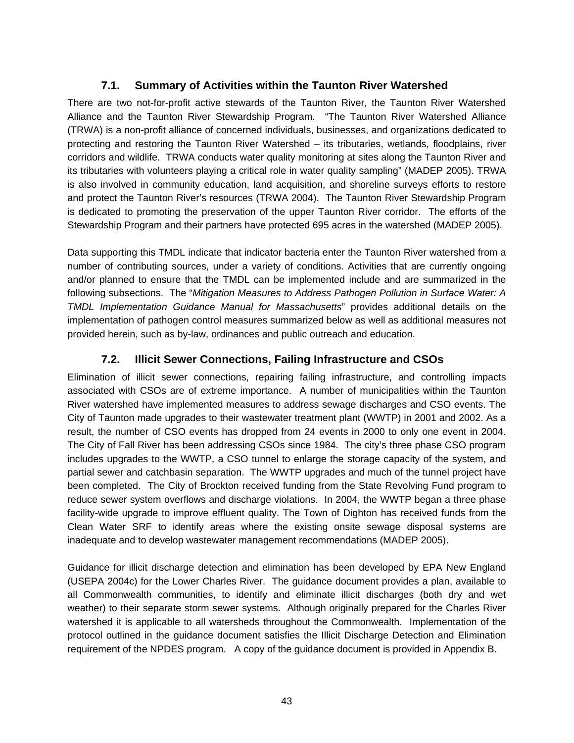## **7.1. Summary of Activities within the Taunton River Watershed**

There are two not-for-profit active stewards of the Taunton River, the Taunton River Watershed Alliance and the Taunton River Stewardship Program. "The Taunton River Watershed Alliance (TRWA) is a non-profit alliance of concerned individuals, businesses, and organizations dedicated to protecting and restoring the Taunton River Watershed – its tributaries, wetlands, floodplains, river corridors and wildlife. TRWA conducts water quality monitoring at sites along the Taunton River and its tributaries with volunteers playing a critical role in water quality sampling" (MADEP 2005). TRWA is also involved in community education, land acquisition, and shoreline surveys efforts to restore and protect the Taunton River's resources (TRWA 2004). The Taunton River Stewardship Program is dedicated to promoting the preservation of the upper Taunton River corridor. The efforts of the Stewardship Program and their partners have protected 695 acres in the watershed (MADEP 2005).

Data supporting this TMDL indicate that indicator bacteria enter the Taunton River watershed from a number of contributing sources, under a variety of conditions. Activities that are currently ongoing and/or planned to ensure that the TMDL can be implemented include and are summarized in the following subsections. The "*Mitigation Measures to Address Pathogen Pollution in Surface Water: A TMDL Implementation Guidance Manual for Massachusetts*" provides additional details on the implementation of pathogen control measures summarized below as well as additional measures not provided herein, such as by-law, ordinances and public outreach and education.

## **7.2. Illicit Sewer Connections, Failing Infrastructure and CSOs**

Elimination of illicit sewer connections, repairing failing infrastructure, and controlling impacts associated with CSOs are of extreme importance. A number of municipalities within the Taunton River watershed have implemented measures to address sewage discharges and CSO events. The City of Taunton made upgrades to their wastewater treatment plant (WWTP) in 2001 and 2002. As a result, the number of CSO events has dropped from 24 events in 2000 to only one event in 2004. The City of Fall River has been addressing CSOs since 1984. The city's three phase CSO program includes upgrades to the WWTP, a CSO tunnel to enlarge the storage capacity of the system, and partial sewer and catchbasin separation. The WWTP upgrades and much of the tunnel project have been completed. The City of Brockton received funding from the State Revolving Fund program to reduce sewer system overflows and discharge violations. In 2004, the WWTP began a three phase facility-wide upgrade to improve effluent quality. The Town of Dighton has received funds from the Clean Water SRF to identify areas where the existing onsite sewage disposal systems are inadequate and to develop wastewater management recommendations (MADEP 2005).

Guidance for illicit discharge detection and elimination has been developed by EPA New England (USEPA 2004c) for the Lower Charles River. The guidance document provides a plan, available to all Commonwealth communities, to identify and eliminate illicit discharges (both dry and wet weather) to their separate storm sewer systems. Although originally prepared for the Charles River watershed it is applicable to all watersheds throughout the Commonwealth. Implementation of the protocol outlined in the guidance document satisfies the Illicit Discharge Detection and Elimination requirement of the NPDES program. A copy of the guidance document is provided in Appendix B.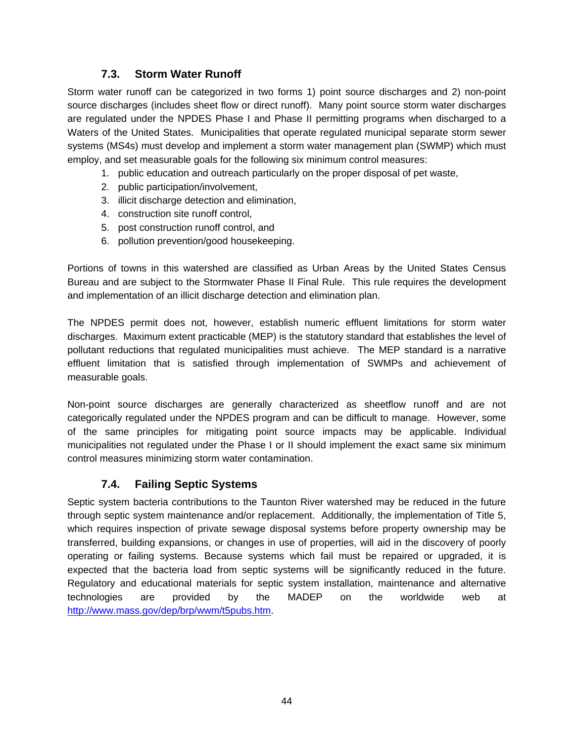## **7.3. Storm Water Runoff**

Storm water runoff can be categorized in two forms 1) point source discharges and 2) non-point source discharges (includes sheet flow or direct runoff). Many point source storm water discharges are regulated under the NPDES Phase I and Phase II permitting programs when discharged to a Waters of the United States. Municipalities that operate regulated municipal separate storm sewer systems (MS4s) must develop and implement a storm water management plan (SWMP) which must employ, and set measurable goals for the following six minimum control measures:

- 1. public education and outreach particularly on the proper disposal of pet waste,
- 2. public participation/involvement,
- 3. illicit discharge detection and elimination,
- 4. construction site runoff control,
- 5. post construction runoff control, and
- 6. pollution prevention/good housekeeping.

Portions of towns in this watershed are classified as Urban Areas by the United States Census Bureau and are subject to the Stormwater Phase II Final Rule. This rule requires the development and implementation of an illicit discharge detection and elimination plan.

The NPDES permit does not, however, establish numeric effluent limitations for storm water discharges. Maximum extent practicable (MEP) is the statutory standard that establishes the level of pollutant reductions that regulated municipalities must achieve. The MEP standard is a narrative effluent limitation that is satisfied through implementation of SWMPs and achievement of measurable goals.

Non-point source discharges are generally characterized as sheetflow runoff and are not categorically regulated under the NPDES program and can be difficult to manage. However, some of the same principles for mitigating point source impacts may be applicable. Individual municipalities not regulated under the Phase I or II should implement the exact same six minimum control measures minimizing storm water contamination.

## **7.4. Failing Septic Systems**

Septic system bacteria contributions to the Taunton River watershed may be reduced in the future through septic system maintenance and/or replacement. Additionally, the implementation of Title 5, which requires inspection of private sewage disposal systems before property ownership may be transferred, building expansions, or changes in use of properties, will aid in the discovery of poorly operating or failing systems. Because systems which fail must be repaired or upgraded, it is expected that the bacteria load from septic systems will be significantly reduced in the future. Regulatory and educational materials for septic system installation, maintenance and alternative technologies are provided by the MADEP on the worldwide web at http://www.mass.gov/dep/brp/wwm/t5pubs.htm.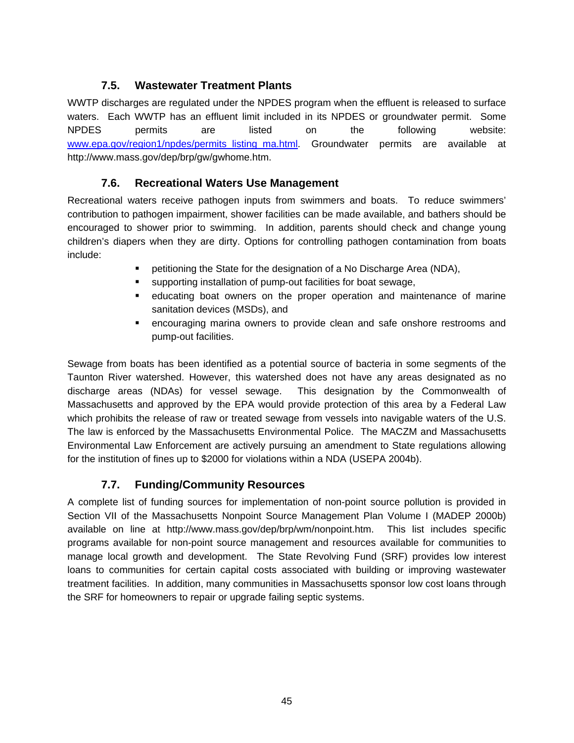## **7.5. Wastewater Treatment Plants**

WWTP discharges are regulated under the NPDES program when the effluent is released to surface waters. Each WWTP has an effluent limit included in its NPDES or groundwater permit. Some NPDES permits are listed on the following website: www.epa.gov/region1/npdes/permits listing ma.html. Groundwater permits are available at http://www.mass.gov/dep/brp/gw/gwhome.htm.

## **7.6. Recreational Waters Use Management**

Recreational waters receive pathogen inputs from swimmers and boats. To reduce swimmers' contribution to pathogen impairment, shower facilities can be made available, and bathers should be encouraged to shower prior to swimming. In addition, parents should check and change young children's diapers when they are dirty. Options for controlling pathogen contamination from boats include:

- petitioning the State for the designation of a No Discharge Area (NDA),
- supporting installation of pump-out facilities for boat sewage,
- educating boat owners on the proper operation and maintenance of marine sanitation devices (MSDs), and
- encouraging marina owners to provide clean and safe onshore restrooms and pump-out facilities.

Sewage from boats has been identified as a potential source of bacteria in some segments of the Taunton River watershed. However, this watershed does not have any areas designated as no discharge areas (NDAs) for vessel sewage. This designation by the Commonwealth of Massachusetts and approved by the EPA would provide protection of this area by a Federal Law which prohibits the release of raw or treated sewage from vessels into navigable waters of the U.S. The law is enforced by the Massachusetts Environmental Police. The MACZM and Massachusetts Environmental Law Enforcement are actively pursuing an amendment to State regulations allowing for the institution of fines up to \$2000 for violations within a NDA (USEPA 2004b).

## **7.7. Funding/Community Resources**

A complete list of funding sources for implementation of non-point source pollution is provided in Section VII of the Massachusetts Nonpoint Source Management Plan Volume I (MADEP 2000b) available on line at http://www.mass.gov/dep/brp/wm/nonpoint.htm. This list includes specific programs available for non-point source management and resources available for communities to manage local growth and development. The State Revolving Fund (SRF) provides low interest loans to communities for certain capital costs associated with building or improving wastewater treatment facilities. In addition, many communities in Massachusetts sponsor low cost loans through the SRF for homeowners to repair or upgrade failing septic systems.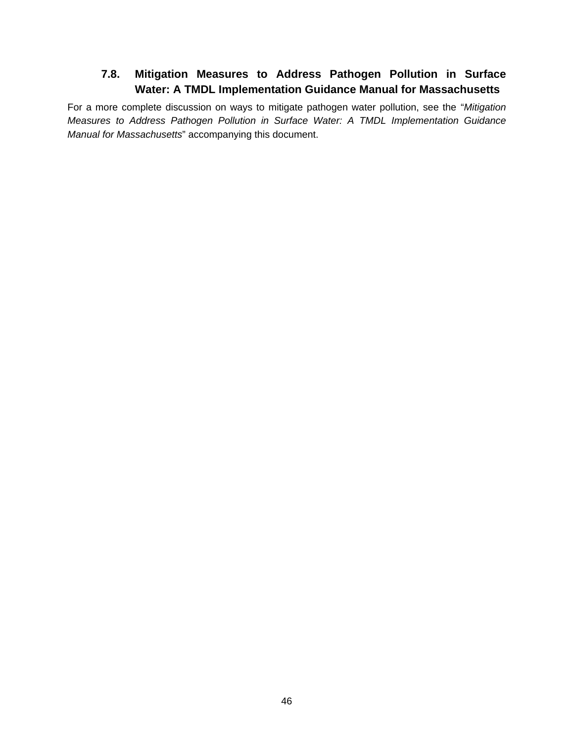# **7.8. Mitigation Measures to Address Pathogen Pollution in Surface Water: A TMDL Implementation Guidance Manual for Massachusetts**

For a more complete discussion on ways to mitigate pathogen water pollution, see the "*Mitigation Measures to Address Pathogen Pollution in Surface Water: A TMDL Implementation Guidance Manual for Massachusetts*" accompanying this document.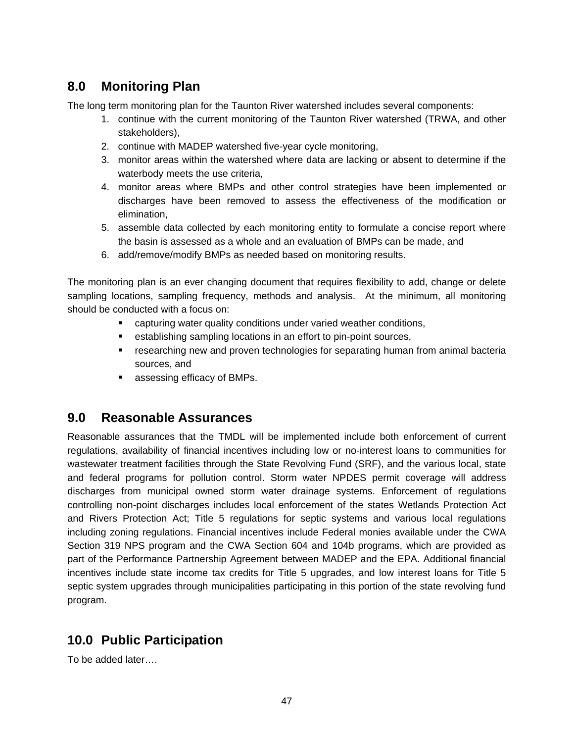# **8.0 Monitoring Plan**

The long term monitoring plan for the Taunton River watershed includes several components:

- 1. continue with the current monitoring of the Taunton River watershed (TRWA, and other stakeholders),
- 2. continue with MADEP watershed five-year cycle monitoring,
- 3. monitor areas within the watershed where data are lacking or absent to determine if the waterbody meets the use criteria,
- 4. monitor areas where BMPs and other control strategies have been implemented or discharges have been removed to assess the effectiveness of the modification or elimination,
- 5. assemble data collected by each monitoring entity to formulate a concise report where the basin is assessed as a whole and an evaluation of BMPs can be made, and
- 6. add/remove/modify BMPs as needed based on monitoring results.

The monitoring plan is an ever changing document that requires flexibility to add, change or delete sampling locations, sampling frequency, methods and analysis. At the minimum, all monitoring should be conducted with a focus on:

- **EXECT** capturing water quality conditions under varied weather conditions,
- establishing sampling locations in an effort to pin-point sources,
- researching new and proven technologies for separating human from animal bacteria sources, and
- **assessing efficacy of BMPs.**

# **9.0 Reasonable Assurances**

Reasonable assurances that the TMDL will be implemented include both enforcement of current regulations, availability of financial incentives including low or no-interest loans to communities for wastewater treatment facilities through the State Revolving Fund (SRF), and the various local, state and federal programs for pollution control. Storm water NPDES permit coverage will address discharges from municipal owned storm water drainage systems. Enforcement of regulations controlling non-point discharges includes local enforcement of the states Wetlands Protection Act and Rivers Protection Act; Title 5 regulations for septic systems and various local regulations including zoning regulations. Financial incentives include Federal monies available under the CWA Section 319 NPS program and the CWA Section 604 and 104b programs, which are provided as part of the Performance Partnership Agreement between MADEP and the EPA. Additional financial incentives include state income tax credits for Title 5 upgrades, and low interest loans for Title 5 septic system upgrades through municipalities participating in this portion of the state revolving fund program.

# **10.0 Public Participation**

To be added later….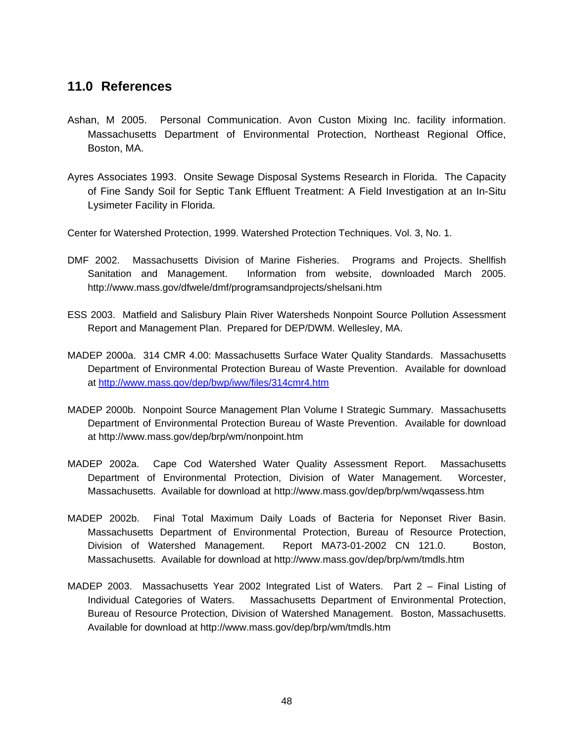# **11.0 References**

- Ashan, M 2005. Personal Communication. Avon Custon Mixing Inc. facility information. Massachusetts Department of Environmental Protection, Northeast Regional Office, Boston, MA.
- Ayres Associates 1993. Onsite Sewage Disposal Systems Research in Florida. The Capacity of Fine Sandy Soil for Septic Tank Effluent Treatment: A Field Investigation at an In-Situ Lysimeter Facility in Florida.

Center for Watershed Protection, 1999. Watershed Protection Techniques. Vol. 3, No. 1.

- DMF 2002. Massachusetts Division of Marine Fisheries. Programs and Projects. Shellfish Sanitation and Management. Information from website, downloaded March 2005. http://www.mass.gov/dfwele/dmf/programsandprojects/shelsani.htm
- ESS 2003. Matfield and Salisbury Plain River Watersheds Nonpoint Source Pollution Assessment Report and Management Plan. Prepared for DEP/DWM. Wellesley, MA.
- MADEP 2000a. 314 CMR 4.00: Massachusetts Surface Water Quality Standards. Massachusetts Department of Environmental Protection Bureau of Waste Prevention. Available for download at http://www.mass.gov/dep/bwp/iww/files/314cmr4.htm
- MADEP 2000b. Nonpoint Source Management Plan Volume I Strategic Summary. Massachusetts Department of Environmental Protection Bureau of Waste Prevention. Available for download at http://www.mass.gov/dep/brp/wm/nonpoint.htm
- MADEP 2002a. Cape Cod Watershed Water Quality Assessment Report. Massachusetts Department of Environmental Protection, Division of Water Management. Worcester, Massachusetts. Available for download at http://www.mass.gov/dep/brp/wm/wqassess.htm
- MADEP 2002b. Final Total Maximum Daily Loads of Bacteria for Neponset River Basin. Massachusetts Department of Environmental Protection, Bureau of Resource Protection, Division of Watershed Management. Report MA73-01-2002 CN 121.0. Boston, Massachusetts. Available for download at http://www.mass.gov/dep/brp/wm/tmdls.htm
- MADEP 2003. Massachusetts Year 2002 Integrated List of Waters. Part 2 Final Listing of Individual Categories of Waters. Massachusetts Department of Environmental Protection, Bureau of Resource Protection, Division of Watershed Management. Boston, Massachusetts. Available for download at http://www.mass.gov/dep/brp/wm/tmdls.htm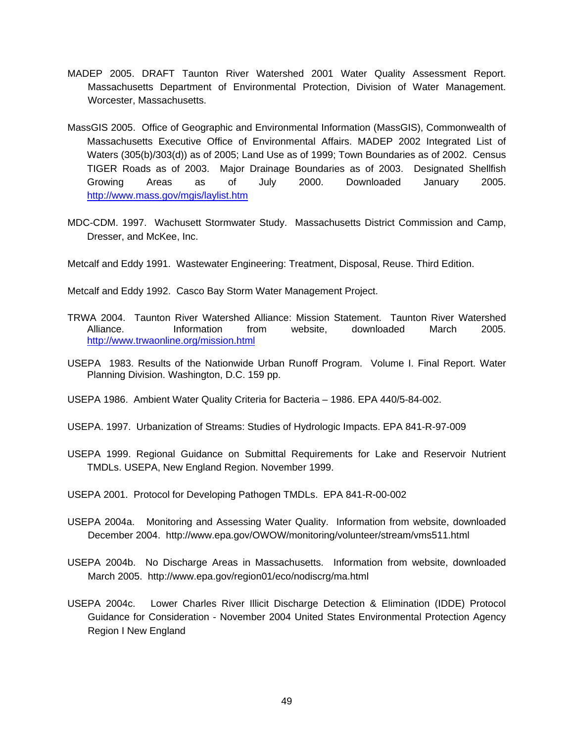- MADEP 2005. DRAFT Taunton River Watershed 2001 Water Quality Assessment Report. Massachusetts Department of Environmental Protection, Division of Water Management. Worcester, Massachusetts.
- MassGIS 2005. Office of Geographic and Environmental Information (MassGIS), Commonwealth of Massachusetts Executive Office of Environmental Affairs. MADEP 2002 Integrated List of Waters (305(b)/303(d)) as of 2005; Land Use as of 1999; Town Boundaries as of 2002. Census TIGER Roads as of 2003. Major Drainage Boundaries as of 2003. Designated Shellfish Growing Areas as of July 2000. Downloaded January 2005. http://www.mass.gov/mgis/laylist.htm
- MDC-CDM. 1997. Wachusett Stormwater Study. Massachusetts District Commission and Camp, Dresser, and McKee, Inc.

Metcalf and Eddy 1991. Wastewater Engineering: Treatment, Disposal, Reuse. Third Edition.

Metcalf and Eddy 1992. Casco Bay Storm Water Management Project.

- TRWA 2004. Taunton River Watershed Alliance: Mission Statement. Taunton River Watershed Alliance. Information from website, downloaded March 2005. http://www.trwaonline.org/mission.html
- USEPA 1983. Results of the Nationwide Urban Runoff Program. Volume I. Final Report. Water Planning Division. Washington, D.C. 159 pp.
- USEPA 1986. Ambient Water Quality Criteria for Bacteria 1986. EPA 440/5-84-002.
- USEPA. 1997. Urbanization of Streams: Studies of Hydrologic Impacts. EPA 841-R-97-009
- USEPA 1999. Regional Guidance on Submittal Requirements for Lake and Reservoir Nutrient TMDLs. USEPA, New England Region. November 1999.
- USEPA 2001. Protocol for Developing Pathogen TMDLs. EPA 841-R-00-002
- USEPA 2004a. Monitoring and Assessing Water Quality. Information from website, downloaded December 2004. http://www.epa.gov/OWOW/monitoring/volunteer/stream/vms511.html
- USEPA 2004b. No Discharge Areas in Massachusetts. Information from website, downloaded March 2005. http://www.epa.gov/region01/eco/nodiscrg/ma.html
- USEPA 2004c. Lower Charles River Illicit Discharge Detection & Elimination (IDDE) Protocol Guidance for Consideration - November 2004 United States Environmental Protection Agency Region I New England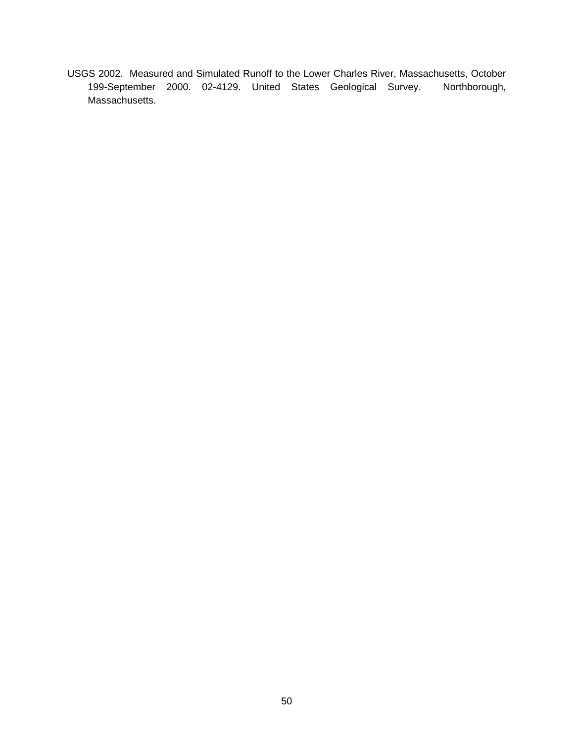USGS 2002. Measured and Simulated Runoff to the Lower Charles River, Massachusetts, October 199-September 2000. 02-4129. United States Geological Survey. Northborough, Massachusetts.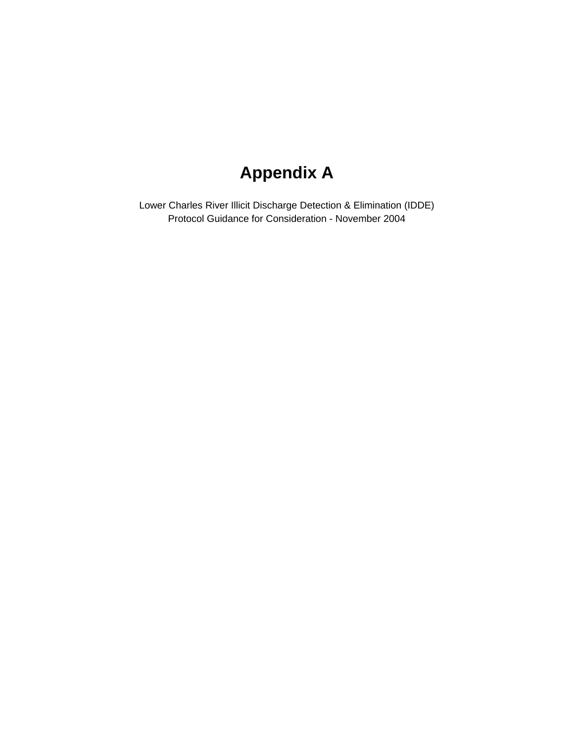# **Appendix A**

Lower Charles River Illicit Discharge Detection & Elimination (IDDE) Protocol Guidance for Consideration - November 2004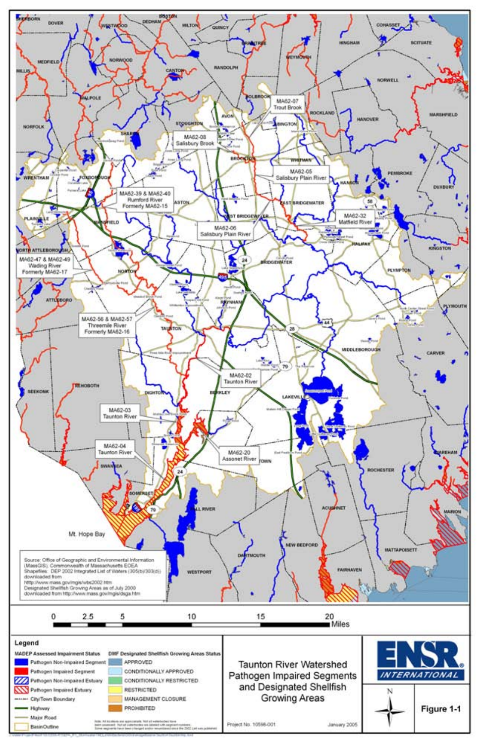